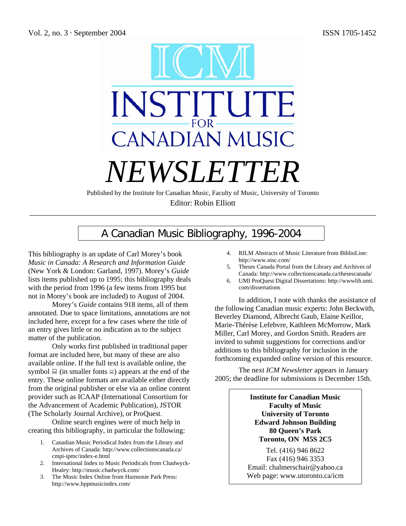

Editor: Robin Elliott \_\_\_\_\_\_\_\_\_\_\_\_\_\_\_\_\_\_\_\_\_\_\_\_\_\_\_\_\_\_\_\_\_\_\_\_\_\_\_\_\_\_\_\_\_\_\_\_\_\_\_\_\_\_\_\_\_\_\_\_\_\_\_\_\_\_\_\_\_\_\_\_\_\_\_\_\_\_\_\_\_\_\_\_\_\_\_

# A Canadian Music Bibliography, 1996-2004

This bibliography is an update of Carl Morey's book *Music in Canada: A Research and Information Guide* (New York & London: Garland, 1997). Morey's *Guide* lists items published up to 1995; this bibliography deals with the period from 1996 (a few items from 1995 but not in Morey's book are included) to August of 2004.

Morey's *Guide* contains 918 items, all of them annotated. Due to space limitations, annotations are not included here, except for a few cases where the title of an entry gives little or no indication as to the subject matter of the publication.

Only works first published in traditional paper format are included here, but many of these are also available online. If the full text is available online, the symbol  $\Box$  (in smaller fonts  $\Box$ ) appears at the end of the entry. These online formats are available either directly from the original publisher or else via an online content provider such as ICAAP (International Consortium for the Advancement of Academic Publication), JSTOR (The Scholarly Journal Archive), or ProQuest.

Online search engines were of much help in creating this bibliography, in particular the following:

- 1. Canadian Music Periodical Index from the Library and Archives of Canada: http://www.collectionscanada.ca/ cmpi-ipmc/index-e.html
- 2. International Index to Music Periodicals from Chadwyck-Healey: http://music.chadwyck.com/
- 3. The Music Index Online from Harmonie Park Press: http://www.hppmusicindex.com/
- 4. RILM Abstracts of Music Literature from BiblioLine: http://www.nisc.com/
- 5. Theses Canada Portal from the Library and Archives of Canada: http://www.collectionscanada.ca/thesescanada/
- 6. UMI ProQuest Digital Dissertations: http://wwwlib.umi. com/dissertations

In addition, I note with thanks the assistance of the following Canadian music experts: John Beckwith, Beverley Diamond, Albrecht Gaub, Elaine Keillor, Marie-Thérèse Lefebvre, Kathleen McMorrow, Mark Miller, Carl Morey, and Gordon Smith. Readers are invited to submit suggestions for corrections and/or additions to this bibliography for inclusion in the forthcoming expanded online version of this resource.

The next *ICM Newsletter* appears in January 2005; the deadline for submissions is December 15th.

> **Institute for Canadian Music Faculty of Music University of Toronto Edward Johnson Building 80 Queen's Park Toronto, ON M5S 2C5**

Tel. (416) 946 8622 Fax (416) 946 3353 Email: chalmerschair@yahoo.ca Web page: www.utoronto.ca/icm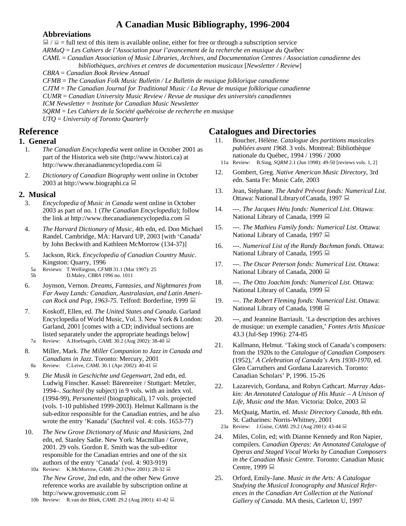# **A Canadian Music Bibliography, 1996-2004**

# **Abbreviations**

 $\Box / \Box$  = full text of this item is available online, either for free or through a subscription service *ARMuQ* = *Les Cahiers de l'Association pour l'avancement de la recherche en musique du Québec CAML* = *Canadian Association of Music Libraries, Archives, and Documentation Centres / Association canadienne des bibliothèques, archives et centres de documentation musicaux* [*Newsletter / Review*] *CBRA* = *Canadian Book Review Annual CFMB* = *The Canadian Folk Music Bulletin / Le Bulletin de musique folklorique canadienne CJTM* = *The Canadian Journal for Traditional Music / La Revue de musique folklorique canadienne CUMR* = *Canadian University Music Review / Revue de musique des universités canadiennes ICM Newsletter* = *Institute for Canadian Music Newsletter SQRM* = *Les Cahiers de la Société québécoise de recherche en musique* 

*UTQ* = *University of Toronto Quarterly* 

# **Reference**

# **1. General**

- 1. *The Canadian Encyclopedia* went online in October 2001 as part of the Historica web site (http://www.histori.ca) at http://www.thecanadianencyclopedia.com
- 2. *Dictionary of Canadian Biography* went online in October 2003 at http://www.biographi.ca

# **2. Musical**

- 3. *Encyclopedia of Music in Canada* went online in October 2003 as part of no. 1 (*The Canadian Encyclopedia*); follow the link at http://www.thecanadianencyclopedia.com
- 4. *The Harvard Dictionary of Music*, 4th edn, ed. Don Michael Randel. Cambridge, MA: Harvard UP, 2003 [with 'Canada' by John Beckwith and Kathleen McMorrow (134-37)]
- 5. Jackson, Rick. *Encyclopedia of Canadian Country Music*. Kingston: Quarry, 1996
- 5a Reviews: T.Wellington, *CFMB* 31.1 (Mar 1997): 25
- 5b D.Maley, *CBRA 1996* no. 1011
- 6. Joynson, Vernon. *Dreams, Fantasies, and Nightmares from Far Away Lands: Canadian, Australasian, and Latin American Rock and Pop, 1963-75.* Telford: Borderline, 1999 ■
- 7. Koskoff, Ellen, ed. *The United States and Canada*. Garland Encyclopedia of World Music, Vol. 3. New York & London: Garland, 2001 [comes with a CD; individual sections are listed separately under the appropriate headings below] 7a Review: A.Hoefnagels, *CAML* 30.2 (Aug 2002): 38-40
- 8. Miller, Mark. *The Miller Companion to Jazz in Canada and Canadians in Jazz*. Toronto: Mercury, 2001
- 8a Review: C.Leive, *CAML* 30.1 (Apr 2002): 40-41
- 9. *Die Musik in Geschichte und Gegenwart*, 2nd edn, ed. Ludwig Finscher. Kassel: Bärenreiter / Stuttgart: Metzler, 1994–. *Sachteil* (by subject) in 9 vols. with an index vol. (1994-99), *Personenteil* (biographical), 17 vols. projected (vols. 1-10 published 1999-2003). Helmut Kallmann is the sub-editor responsible for the Canadian entries, and he also wrote the entry 'Kanada' (*Sachteil* vol. 4: cols. 1653-77)
- 10. *The New Grove Dictionary of Music and Musicians*, 2nd edn, ed. Stanley Sadie. New York: Macmillan / Grove, 2001. 29 vols. Gordon E. Smith was the sub-editor responsible for the Canadian entries and one of the six authors of the entry 'Canada' (vol. 4: 903-919)
	- 10a Review: K.McMorrow, *CAML* 29.3 (Nov 2001): 28-32 *The New Grove*, 2nd edn, and the other New Grove reference works are available by subscription online at http://www.grovemusic.com
	- 10b Review: R.van der Bliek, *CAML* 29.2 (Aug 2001): 41-42

# **Catalogues and Directories**

- 11. Boucher, Hélène. *Catalogue des partitions musicales publiées avant 1968*. 3 vols. Montreal: Bibliothèque nationale du Québec, 1994 / 1996 / 2000
- 11a Review: B.Sing, *SQRM* 2.1 (Jun 1998): 49-50 [reviews vols. 1, 2]
- 12. Gombert, Greg. *Native American Music Directory*, 3rd edn. Santa Fe: Music Cafe, 2003
- 13. Jean, Stéphane. *The André Prévost fonds: Numerical List*. Ottawa: National LibraryofCanada, 1997
- 14. ---. *The Jacques Hétu fonds: Numerical List*. Ottawa: National Library of Canada, 1999
- 15. ---. *The Mathieu Family fonds: Numerical List*. Ottawa: National Library of Canada, 1997
- 16. ---. *Numerical List of the Randy Bachman fonds*. Ottawa: National Library of Canada, 1995 ■
- 17. ---. *The Oscar Peterson fonds: Numerical List*. Ottawa: National Library of Canada, 2000
- 18. ---. *The Otto Joachim fonds: Numerical List*. Ottawa: National Library of Canada, 1999
- 19. ---. *The Robert Fleming fonds: Numerical List*. Ottawa: National Library of Canada, 1998 ■
- 20. ---, and Jeannine Barriault. 'La description des archives de musique: un exemple canadien,' *Fontes Artis Musicae* 43.3 (Jul-Sep 1996): 274-85
- 21. Kallmann, Helmut. 'Taking stock of Canada's composers: from the 1920s to the *Catalogue of Canadian Composers* (1952),' *A Celebration of Canada's Arts 1930-1970*, ed. Glen Carruthers and Gordana Lazarevich. Toronto: Canadian Scholars' P, 1996. 15-26
- 22. Lazarevich, Gordana, and Robyn Cathcart. *Murray Adaskin: An Annotated Catalogue of His Music – A Unison of Life, Music and the Man*. Victoria: Dolce, 2003
- 23. McQuaig, Martin, ed. *Music Directory Canada*, 8th edn. St. Catharines: Norris-Whitney, 2001
- 23a Review: J.Guise, *CAML* 29.2 (Aug 2001): 43-44
- 24. Miles, Colin, ed; with Dianne Kennedy and Ron Napier, compilers. *Canadian Operas: An Annotated Catalogue of Operas and Staged Vocal Works by Canadian Composers in the Canadian Music Centre*. Toronto: Canadian Music Centre, 1999 <u>■</u>
- 25. Orford, Emily-Jane. *Music in the Arts: A Catalogue Studying the Musical Iconography and Musical References in the Canadian Art Collection at the National Gallery of Canada*. MA thesis, Carleton U, 1997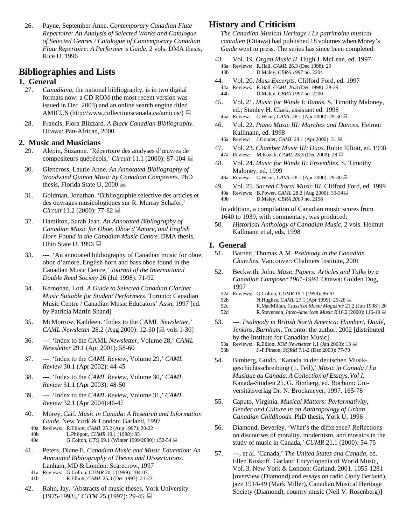26. Payne, September Anne. *Contemporary Canadian Flute Repertoire: An Analysis of Selected Works and Catalogue of Selected Genres / Catalogue of Contemporary Canadian Flute Repertoire: A Performer's Guide*. 2 vols. DMA thesis, Rice U, 1996

# **Bibliographies and Lists**

# **1. General**

- 27. *Canadiana*, the national bibliography, is in two digital formats now: a CD ROM (the most recent version was issued in Dec. 2003) and an online search engine titled AMICUS (http://www.collectionscanada.ca/amicus/)
- 28. Francis, Flora Blizzard. *A Black Canadian Bibliography*. Ottawa: Pan-African, 2000

# **2. Music and Musicians**

- 29. Alepin, Suzanne. 'Répertoire des analyses d'œuvres de compositeurs québécois,' *Circuit* 11.1 (2000): 87-104
- 30. Glencross, Laurie Anne. *An Annotated Bibliography of Woodwind Quintet Music by Canadian Composers*. PhD thesis, Florida State U, 2000
- 31. Goldman, Jonathan. 'Bibliographie sélective des articles et des ouvrages musicologiques sur R. Murray Schafer,' *Circuit* 11.2 (2000): 77-82
- 32. Hamilton, Sarah Jean. *An Annotated Bibliography of Canadian Music for Oboe, Oboe d'Amore, and English Horn Found in the Canadian Music Centre*. DMA thesis, Ohio State U, 1996
- 33. ---. 'An annotated bibliography of Canadian music for oboe, oboe d'amore, English horn and bass oboe found in the Canadian Music Centre,' *Journal of the International Double Reed Society* 26 (Jul 1998): 71-92
- 34. Kernohan, Lori. *A Guide to Selected Canadian Clarinet Music Suitable for Student Performers*. Toronto: Canadian Music Centre / Canadian Music Educators' Assn, 1997 [ed. by Patricia Martin Shand]
- 35. McMorrow, Kathleen. 'Index to the CAML *Newsletter*,' *CAML Newsletter* 28.2 (Aug 2000): 12-30 [■ vols 1-30]
- 36. ---. 'Index to the CAML *Newsletter*, Volume 28,' *CAML Newsletter* 29.1 (Apr 2001): 58-60
- 37. ---. 'Index to the *CAML Review*, Volume 29,' *CAML Review* 30.1 (Apr 2002): 44-45
- 38. ---. 'Index to the *CAML Review*, Volume 30,' *CAML Review* 31.1 (Apr 2003): 48-50
- 39. ---. 'Index to the *CAML Review*, Volume 31,' *CAML Review* 32.1 (Apr 2004):46-47
- 40. Morey, Carl. *Music in Canada: A Research and Information Guide*. New York & London: Garland, 1997
- 40a Reviews: R.Elliott, *CAML* 25.2 (Aug 1997): 20-22
- 40b L.Philpott, *CUMR* 19.1 (1998): 85 40c G.Colton, *UTQ* 69.1 (Winter 1999/2000): 152-54
- 41. Peters, Diane E. *Canadian Music and Music Education: An Annotated Bibliography of Theses and Dissertations*. Lanham, MD & London: Scarecrow, 1997
- 41a Reviews: G.Colton, *CUMR* 20.1 (1999): 104-07
- 41b R.Elliott, *CAML* 25.3 (Dec 1997): 21-23
- 42. Rahn, Jay. 'Abstracts of music theses, York University [1975-1993],' *CJTM* 25 (1997): 29-45

# **History and Criticism**

*The Canadian Musical Heritage / Le patrimoine musical canadien* (Ottawa) had published 18 volumes when Morey's *Guide* went to press. The series has since been completed:

- 43. Vol. 19. *Organ Music II*. Hugh J. McLean, ed. 1997 43a Reviews: R.Hall, *CAML* 26.3 (Dec 1998): 29 43b D.Maley, *CBRA 1997* no. 2204
- 44. Vol. 20. *Mass Excerpts*. Clifford Ford, ed. 1997 44a Reviews: R.Hall, *CAML* 26.3 (Dec 1998): 28-29 44b D.Maley, *CBRA 1997* no. 2200
- 45. Vol. 21. *Music for Winds I: Bands*. S. Timothy Maloney, ed.; Stanley H. Clark, assistant ed. 1998 45a Review: C.Weait, *CAML* 28.1 (Apr 2000): 29-30 **■**
- 46. Vol. 22. *Piano Music III: Marches and Dances*. Helmut Kallmann, ed. 1998
	- 46a Review: J.Gonder, *CAML* 28.1 (Apr 2000): 31 ■
- 47. Vol. 23. *Chamber Music III: Duos*. Robin Elliott, ed. 1998 47a Review: M.Kozak, *CAML* 28.3 (Dec 2000): 28
- 48. Vol. 24. *Music for Winds II: Ensembles*. S. Timothy Maloney, ed. 1999
- 48a Review: C.Weait, *CAML* 28.1 (Apr 2000): 29-30
- 49. Vol. 25. *Sacred Choral Music III*. Clifford Ford, ed. 1999 49a Reviews: B.Power, *CAML* 28.2 (Aug 2000): 33-34 49b D.Maley, *CBRA 2000* no. 2158

In addition, a compilation of Canadian music scores from 1640 to 1939, with commentary, was produced:

50. *Historical Anthology of Canadian Music*, 2 vols. Helmut Kallmann et al, eds. 1998

# **1. General**

- 51. Barnett, Thomas A.M. *Psalmody in the Canadian Churches*. Vancouver: Chalmers Institute, 2001
- 52. Beckwith, John. *Music Papers: Articles and Talks by a Canadian Composer 1961-1994*. Ottawa: Golden Dog, 1997
	- 52a Reviews: G.Colton, *CUMR* 19.1 (1998): 86-91
	- 52b N.Hughes, *CAML* 27.1 (Apr 1999): 25-26
- 52c R.MacMillan, *Classical Music Magazine* 21.2 (Jun 1998): 20 52d R.Stevenson, *Inter-American Music R* 16.2 (2000): 116-19
- 53. ---. *Psalmody in British North America: Humbert, Daulé, Jenkins, Burnham*. Toronto: the author, 2002 [distributed by the Institute for Canadian Music]
	- 53a Reviews: R.Elliott, *ICM Newsletter* 1.1 (Jan 2003): 13
- 53b J.-P.Pinson, *SQRM* 7.1-2 (Dec 2003): 77-79
- 54. Bimberg, Guido. 'Kanada in der deutschen Musikgeschichtsschreibung (1. Teil),' *Music in Canada / La Musique au Canada:A Collection of Essays,Vol I*, Kanada-Studien 25. G. Bimberg, ed. Bochum: Universitätsverlag Dr. N. Brockmeyer, 1997. 165-78
- 55. Caputo, Virginia. *Musical Matters: Performativity, Gender and Culture in an Anthropology of Urban Canadian Childhoods*. PhD thesis, York U, 1996
- 56. Diamond, Beverley. 'What's the difference? Reflections on discourses of morality, modernism, and mosaics in the study of music in Canada,*' CUMR* 21.1 (2000): 54-75
- 57. ---, et al. 'Canada,' *The United States and Canada*, ed. Ellen Koskoff. Garland Encyclopedia of World Music, Vol. 3. New York & London: Garland, 2001. 1055-1281 [overview (Diamond) and essays on radio (Jody Berland), jazz 1914-49 (Mark Miller), Canadian Musical Heritage Society (Diamond), country music (Neil V. Rosenberg)]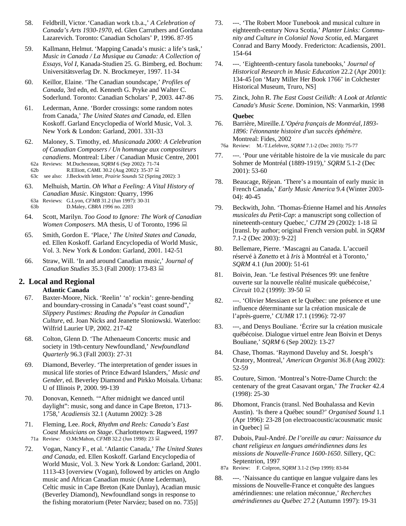- 58. Feldbrill, Victor.'Canadian work t.b.a.,' *A Celebration of Canada's Arts 1930-1970*, ed. Glen Carruthers and Gordana Lazarevich. Toronto: Canadian Scholars' P, 1996. 87-95
- 59. Kallmann, Helmut. 'Mapping Canada's music: a life's task,' *Music in Canada / La Musique au Canada: A Collection of Essays, Vol I*, Kanada-Studien 25. G. Bimberg, ed. Bochum: Universitätsverlag Dr. N. Brockmeyer, 1997. 11-34
- 60. Keillor, Elaine. 'The Canadian soundscape,' *Profiles of Canada*, 3rd edn, ed. Kenneth G. Pryke and Walter C. Soderlund. Toronto: Canadian Scholars' P, 2003. 447-86
- 61. Lederman, Anne. 'Border crossings: some random notes from Canada,' *The United States and Canada*, ed. Ellen Koskoff. Garland Encyclopedia of World Music, Vol. 3. New York & London: Garland, 2001. 331-33
- 62. Maloney, S. Timothy, ed. *Musicanada 2000: A Celebration of Canadian Composers / Un hommage aux compositeurs canadiens*. Montreal: Liber / Canadian Music Centre, 2001
	- 62a Reviews: M.Duchesneau, *SQRM* 6 (Sep 2002): 71-74
	- 62b R.Elliott, *CAML* 30.2 (Aug 2002): 35-37 ■
- 63c see also: J.Beckwith letter, *Prairie Sounds* 52 (Spring 2002): 3
- 63. Melhuish, Martin. *Oh What a Feeling: A Vital History of Canadian Music*. Kingston: Quarry, 1996 63a Reviews: G.Lyon, *CFMB* 31.2 (Jun 1997): 30-31
	- 63b D.Maley, *CBRA 1996* no. 2203
- 64. Scott, Marilyn. *Too Good to Ignore: The Work of Canadian Women Composers*. MA thesis, U of Toronto, 1996
- 65. Smith, Gordon E. 'Place,' *The United States and Canada*, ed. Ellen Koskoff. Garland Encyclopedia of World Music, Vol. 3. New York & London: Garland, 2001. 142-51
- 66. Straw, Will. 'In and around Canadian music,' *Journal of Canadian Studies* 35.3 (Fall 2000): 173-83

# **2. Local and Regional**

#### **Atlantic Canada**

- 67. Baxter-Moore, Nick. 'Reelin' 'n' rockin': genre-bending and boundary-crossing in Canada's "east coast sound",' *Slippery Pastimes: Reading the Popular in Canadian Culture*, ed. Joan Nicks and Jeanette Sloniowski. Waterloo: Wilfrid Laurier UP, 2002. 217-42
- 68. Colton, Glenn D. 'The Athenaeum Concerts: music and society in 19th-century Newfoundland,' *Newfoundland Quarterly* 96.3 (Fall 2003): 27-31
- 69. Diamond, Beverley. 'The interpretation of gender issues in musical life stories of Prince Edward Islanders,' *Music and Gender*, ed. Beverley Diamond and Pirkko Moisala. Urbana: U of Illinois P, 2000. 99-139
- 70. Donovan, Kenneth. '"After midnight we danced until daylight": music, song and dance in Cape Breton, 1713- 1758,' *Acadiensis* 32.1 (Autumn 2002): 3-28
- 71. Fleming, Lee. *Rock, Rhythm and Reels: Canada's East Coast Musicians on Stage*. Charlottetown: Ragweed, 1997 71a Review: O.McMahon, *CFMB* 32.2 (Jun 1998): 23
- 72. Vogan, Nancy F., et al. 'Atlantic Canada,' *The United States and Canada*, ed. Ellen Koskoff. Garland Encyclopedia of World Music, Vol. 3. New York & London: Garland, 2001. 1113-43 [overview (Vogan), followed by articles on Anglo music and African Canadian music (Anne Lederman), Celtic music in Cape Breton (Kate Dunlay), Acadian music (Beverley Diamond), Newfoundland songs in response to the fishing moratorium (Peter Narváez; based on no. 735)]
- 73. ---. 'The Robert Moor Tunebook and musical culture in eighteenth-century Nova Scotia,' *Planter Links: Community and Culture in Colonial Nova Scotia*, ed. Margaret Conrad and Barry Moody. Fredericton: Acadiensis, 2001. 154-64
- 74. ---. 'Eighteenth-century fasola tunebooks,' *Journal of Historical Research in Music Education* 22.2 (Apr 2001): 134-45 [on 'Mary Miller Her Book 1766' in Colchester Historical Museum, Truro, NS]
- 75. Zinck, John R. *The East Coast Ceilidh: A Look at Atlantic Canada's Music Scene*. Dominion, NS: Vanmarkin, 1998

# **Quebec**

76. Barrière, Mireille.*L'Opéra français de Montréal,1893- 1896: l'étonnante histoire d'un succès éphémère*. Montreal: Fides, 2002

- 76a Review: M.-T.Lefebvre, *SQRM* 7.1-2 (Dec 2003): 75-77
- 77. ---. 'Pour une véritable histoire de la vie musicale du parc Sohmer de Montréal (1889-1919),' *SQRM* 5.1-2 (Dec 2001): 53-60
- 78. Beaucage, Réjean. 'There's a mountain of early music in French Canada,' *Early Music America* 9.4 (Winter 2003- 04): 40-45
- 79. Beckwith, John. 'Thomas-Étienne Hamel and his *Annales musicales du Petit-Cap*: a manuscript song collection of nineteenth-century Quebec,' *CJTM* 29 (2002): 1-18 [transl. by author; original French version publ. in *SQRM*  7.1-2 (Dec 2003): 9-22]
- 80. Bellemare, Pierre. 'Mascagni au Canada. L'accueil réservé à *Zanetto* et à *Iris* à Montréal et à Toronto,' *SQRM* 4.1 (Jun 2000): 51-61
- 81. Boivin, Jean. 'Le festival Présences 99: une fenêtre ouverte sur la nouvelle réalité musicale québécoise,' *Circuit* 10.2 (1999): 39-50
- 82. ---. 'Olivier Messiaen et le Québec: une présence et une influence déterminante sur la création musicale de l'après-guerre,' *CUMR* 17.1 (1996): 72-97
- 83. ---, and Denys Bouliane. 'Écrire sur la création musicale québécoise. Dialogue virtuel entre Jean Boivin et Denys Bouliane,' *SQRM* 6 (Sep 2002): 13-27
- 84. Chase, Thomas. 'Raymond Daveluy and St. Joesph's Oratory, Montreal,' *American Organist* 36.8 (Aug 2002): 52-59
- 85. Couture, Simon. 'Montreal's Notre-Dame Church: the centenary of the great Casavant organ,' *The Tracker* 42.4 (1998): 25-30
- 86. Dhomont, Francis (transl. Ned Bouhalassa and Kevin Austin). 'Is there a Québec sound?' *Organised Sound* 1.1 (Apr 1996): 23-28 [on electroacoustic/acousmatic music in Quebec] ■
- 87. Dubois, Paul-André. *De l'oreille au cœur: Naissance du chant religieux en langues amérindiennes dans les missions de Nouvelle-France 1600-1650*. Sillery, QC: Septentrion, 1997
- 87a Review: F. Colpron, *SQRM* 3.1-2 (Sep 1999): 83-84
- 88. ---. 'Naissance du cantique en langue vulgaire dans les missions de Nouvelle-France et conquête des langues amérindiennes: une relation méconnue,' *Recherches amérindiennes au Québec* 27.2 (Autumn 1997): 19-31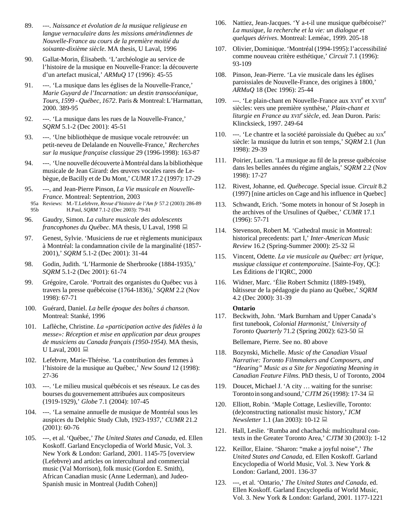- 89. ---. *Naissance et évolution de la musique religieuse en langue vernaculaire dans les missions amérindiennes de Nouvelle-France au cours de la première moitié du soixante-dixième siècle*. MA thesis, U Laval, 1996
- 90. Gallat-Morin, Élisabeth. 'L'archéologie au service de l'histoire de la musique en Nouvelle-France: la découverte d'un artefact musical,' *ARMuQ* 17 (1996): 45-55
- 91. ---. 'La musique dans les églises de la Nouvelle-France,' *Marie Guyard de l'Incarnation: un destin transocéanique, Tours, 1599 - Québec, 1672*. Paris & Montreal:L'Harmattan, 2000. 389-95
- 92. ---. 'La musique dans les rues de la Nouvelle-France,' *SQRM* 5.1-2 (Dec 2001): 45-51
- 93. ---. 'Une bibliothèque de musique vocale retrouvée: un petit-neveu de Delalande en Nouvelle-France,' *Recherches sur la musique française classique* 29 (1996-1998): 163-87
- 94. ---. 'Une nouvelle découverte à Montréal dansla bibliothèque musicale de Jean Girard: des œuvres vocales rares de Lebègue, deBacilly et de Du Mont,' *CUMR* 17.2 (1997): 17-29
- 95. ---, and Jean-Pierre Pinson, *La Vie musicale en Nouvelle-France*. Montreal: Septentrion, 2003
- 95a Reviews: M.-T.Lefebvre, *Revue d'histoire de l'Am fr* 57.2 (2003): 286-89
- 95b H.Paul, *SQRM* 7.1-2 (Dec 2003): 79-81
- 96. Gaudry, Simon. *La culture musicale des adolescents francophones du Québec*. MA thesis, U Laval, 1998
- 97. Genest, Sylvie. 'Musiciens de rue et règlements municipaux à Montréal: la condamnation civile de la marginalité (1857- 2001),' *SQRM* 5.1-2 (Dec 2001): 31-44
- 98. Godin, Judith. 'L'Harmonie de Sherbrooke (1884-1935),' *SQRM* 5.1-2 (Dec 2001): 61-74
- 99. Grégoire, Carole. 'Portrait des organistes du Québec vus à travers la presse québécoise (1764-1836),' *SQRM* 2.2 (Nov 1998): 67-71
- 100. Guérard, Daniel. *La belle époque des boîtes á chanson*. Montreal: Stanké, 1996
- 101. Laflèche, Christine. *La «participation active des fidèles à la messe»: Réception et mise en application par deux groupes de musiciens au Canada français (1950-1954)*. MA thesis, U Laval, 2001  $\Box$
- 102. Lefebvre, Marie-Thérèse. 'La contribution des femmes à l'histoire de la musique au Québec,' *New Sound* 12 (1998): 27-36
- 103. ---. 'Le milieu musical québécois et ses réseaux. Le cas des bourses du gouvernement attribuées aux compositeurs (1919-1929),' *Globe* 7.1 (2004): 107-45
- 104. ---. 'La semaine annuelle de musique de Montréal sous les auspices du Delphic Study Club, 1923-1937,' *CUMR* 21.2 (2001): 60-76
- 105. ---, et al. 'Québec,' *The United States and Canada*, ed. Ellen Koskoff. Garland Encyclopedia of World Music, Vol. 3. New York & London: Garland, 2001. 1145-75 [overview (Lefebvre) and articles on intercultural and commercial music (Val Morrison), folk music (Gordon E. Smith), African Canadian music (Anne Lederman), and Judeo-Spanish music in Montreal (Judith Cohen)]
- 106. Nattiez, Jean-Jacques. 'Y a-t-il une musique québécoise?' *La musique, la recherche et la vie: un dialogue et quelques dérives*. Montreal: Leméac, 1999. 205-18
- 107. Olivier, Dominique. 'Montréal (1994-1995):l'accessibilité comme nouveau critère esthétique,' *Circuit* 7.1 (1996): 93-109
- 108. Pinson, Jean-Pierre. 'La vie musicale dans les églises paroissiales de Nouvelle-France, des origines à 1800,' *ARMuQ* 18 (Dec 1996): 25-44
- 109. ---. 'Le plain-chant en Nouvelle-France aux XVII<sup>e</sup> et XVIII<sup>e</sup> siècles: vers une première synthèse,' *Plain-chant et liturgie en France au XVIIe siècle*, ed. Jean Duron. Paris: Klincksieck, 1997. 249-64
- 110. ---. 'Le chantre et la société paroissiale du Québec au  $x^e$ siècle: la musique du lutrin et son temps,' *SQRM* 2.1 (Jun 1998): 29-39
- 111. Poirier, Lucien. 'La musique au fil de la presse québécoise dans les belles années du régime anglais,' *SQRM* 2.2 (Nov 1998): 17-27
- 112. Rivest, Johanne, ed. *Québecage*. Special issue. *Circuit* 8.2 (1997) [nine articles on Cage and his influence in Quebec]
- 113. Schwandt, Erich. 'Some motets in honour of St Joseph in the archives of the Ursulines of Québec,' *CUMR* 17.1 (1996): 57-71
- 114. Stevenson, Robert M. 'Cathedral music in Montreal: historical precedents: part I,' *Inter-American Music Review* 16.2 (Spring-Summer 2000): 25-32 ■
- 115. Vincent, Odette. *La vie musicale au Québec: art lyrique, musique classique et contemporaine*. [Sainte-Foy, QC]: Les Éditions de l'IQRC, 2000
- 116. Widner, Marc. 'Élie Robert Schmitz (1889-1949), bâtisseur de la pédagogie du piano au Québec,' *SQRM* 4.2 (Dec 2000): 31-39

### **Ontario**

117. Beckwith, John. 'Mark Burnham and Upper Canada's first tunebook, *Colonial Harmonist*,' *University of Toronto Quarterly* 71.2 (Spring 2002): 623-50 ■

Bellemare, Pierre. See no. 80 above

- 118. Bozynski, Michelle. *Music of the Canadian Visual Narrative: Toronto Filmmakers and Composers, and "Hearing" Music as a Site for Negotiating Meaning in Canadian Feature Films*. PhD thesis, U of Toronto, 2004
- 119. Doucet, Michael J. 'A city ... waiting for the sunrise: Toronto in song and sound,'  $CJTM$  26(1998): 17-34
- 120. Elliott, Robin. 'Maple Cottage, Leslieville, Toronto: (de)constructing nationalist music history,' *ICM Newsletter* 1.1 (Jan 2003): 10-12 **■**
- 121. Hall, Leslie. 'Rumba and chachachá: multicultural contexts in the Greater Toronto Area,' *CJTM* 30 (2003): 1-12
- 122. Keillor, Elaine. 'Sharon: "make a joyful noise",' *The United States and Canada*, ed. Ellen Koskoff. Garland Encyclopedia of World Music, Vol. 3. New York & London: Garland, 2001. 136-37
- 123. ---, et al. 'Ontario,' *The United States and Canada*, ed. Ellen Koskoff. Garland Encyclopedia of World Music, Vol. 3. New York & London: Garland, 2001. 1177-1221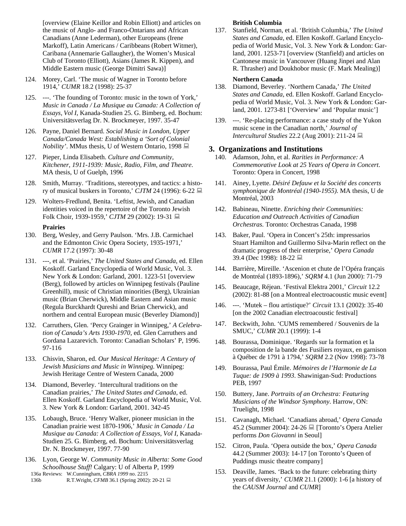[overview (Elaine Keillor and Robin Elliott) and articles on the music of Anglo- and Franco-Ontarians and African Canadians (Anne Lederman), other Europeans (Irene Markoff), Latin Americans / Caribbeans (Robert Witmer), Caribana (Annemarie Gallaugher), the Women's Musical Club of Toronto (Elliott), Asians (James R. Kippen), and Middle Eastern music (George Dimitri Sawa)]

- 124. Morey, Carl. 'The music of Wagner in Toronto before 1914,' *CUMR* 18.2 (1998): 25-37
- 125. ---. 'The founding of Toronto: music in the town of York,' *Music in Canada / La Musique au Canada: A Collection of Essays, Vol I*, Kanada-Studien 25. G. Bimberg, ed. Bochum: Universitätsverlag Dr. N. Brockmeyer, 1997. 35-47
- 126. Payne, Daniel Bernard. *Social Music in London, Upper Canada/Canada West: Establishing a 'Sort of Colonial Nobility'*. MMus thesis, U of Western Ontario, 1998
- 127. Pieper, Linda Elisabeth. *Culture and Community, Kitchener, 1911-1939: Music, Radio, Film, and Theatre*. MA thesis, U of Guelph, 1996
- 128. Smith, Murray. 'Traditions, stereotypes, and tactics: a history of musical buskers in Toronto,' *CJTM* 24 (1996): 6-22
- 129. Wolters-Fredlund, Benita. 'Leftist, Jewish, and Canadian identities voiced in the repertoire of the Toronto Jewish Folk Choir, 1939-1959,' *CJTM* 29 (2002): 19-31

#### **Prairies**

- 130. Berg, Wesley, and Gerry Paulson. 'Mrs. J.B. Carmichael and the Edmonton Civic Opera Society, 1935-1971,' *CUMR* 17.2 (1997): 30-48
- 131. ---, et al. 'Prairies,' *The United States and Canada*, ed. Ellen Koskoff. Garland Encyclopedia of World Music, Vol. 3. New York & London: Garland, 2001. 1223-51 [overview (Berg), followed by articles on Winnipeg festivals (Pauline Greenhill), music of Christian minorities (Berg), Ukrainian music (Brian Cherwick), Middle Eastern and Asian music (Regula Burckhardt Qureshi and Brian Cherwick), and northern and central European music (Beverley Diamond)]
- 132. Carruthers, Glen. 'Percy Grainger in Winnipeg,' *A Celebration of Canada's Arts 1930-1970*, ed. Glen Carruthers and Gordana Lazarevich. Toronto: Canadian Scholars' P, 1996. 97-116
- 133. Chisvin, Sharon, ed. *Our Musical Heritage: A Century of Jewish Musicians and Music in Winnipeg*. Winnipeg: Jewish Heritage Centre of Western Canada, 2000
- 134. Diamond, Beverley. 'Intercultural traditions on the Canadian prairies,' *The United States and Canada*, ed. Ellen Koskoff. Garland Encyclopedia of World Music, Vol. 3. New York & London: Garland, 2001. 342-45
- 135. Lobaugh, Bruce. 'Henry Walker, pioneer musician in the Canadian prairie west 1870-1906,' *Music in Canada / La Musique au Canada: A Collection of Essays, Vol I*, Kanada-Studien 25. G. Bimberg, ed. Bochum: Universitätsverlag Dr. N. Brockmeyer, 1997. 77-90
- 136. Lyon, George W. *Community Music in Alberta: Some Good Schoolhouse Stuff!* Calgary: U of Alberta P, 1999 136a Reviews: W.Cunningham, *CBRA 1999* no. 2215
- 136b R.T.Wright, *CFMB* 36.1 (Spring 2002): 20-21

## **British Columbia**

137. Stanfield, Norman, et al. 'British Columbia,' *The United States and Canada*, ed. Ellen Koskoff. Garland Encyclopedia of World Music, Vol. 3. New York & London: Garland, 2001. 1253-71 [overview (Stanfield) and articles on Cantonese music in Vancouver (Huang Jinpei and Alan R. Thrasher) and Doukhobor music (F. Mark Mealing)]

### **Northern Canada**

- 138. Diamond, Beverley. 'Northern Canada,' *The United States and Canada*, ed. Ellen Koskoff. Garland Encyclopedia of World Music, Vol. 3. New York & London: Garland, 2001. 1273-81 ['Overview' and 'Popular music']
- 139. ---. 'Re-placing performance: a case study of the Yukon music scene in the Canadian north,' *Journal of Intercultural Studies* 22.2 (Aug 2001): 211-24

### **3. Organizations and Institutions**

- 140. Adamson, John, et al. *Rarities in Performance: A Commemorative Look at 25 Years of Opera in Concert*. Toronto: Opera in Concert, 1998
- 141. Ainey, Lyette. *Désiré Defauw et la Société des concerts symphonique de Montréal (1940-1955)*. MA thesis, U de Montréal, 2003
- 142. Babineau, Ninette. *Enriching their Communities: Education and Outreach Activities of Canadian Orchestras*. Toronto: Orchestras Canada, 1998
- 143. Baker, Paul. 'Opera in Concert's 25th: impressarios Stuart Hamilton and Guillermo Silva-Marin reflect on the dramatic progress of their enterprise,' *Opera Canada* 39.4 (Dec 1998): 18-22 ■
- 144. Barrière, Mireille. 'Ascenion et chute de l'Opéra français de Montréal (1893-1896),' *SQRM* 4.1 (Jun 2000): 71-79
- 145. Beaucage, Réjean. 'Festival Elektra 2001,' *Circuit* 12.2 (2002): 81-88 [on a Montreal electroacoustic music event]
- 146. ---. 'Mutek flou artistique?' *Circuit* 13.1 (2002): 35-40 [on the 2002 Canadian electroacoustic festival]
- 147. Beckwith, John. 'CUMS remembered / Souvenirs de la SMUC,' *CUMR* 20.1 (1999): 1-4
- 148. Bourassa, Dominique. 'Regards sur la formation et la composition de la bande des Fusiliers royaux, en garnison à Québec de 1791 à 1794,' *SQRM* 2.2 (Nov 1998): 73-78
- 149. Bourassa, Paul Émile. *Mémoires de l'Harmonie de La Tuque: de 1909 à 1993*. Shawinigan-Sud: Productions PEB, 1997
- 150. Buttery, Jane. *Portraits of an Orchestra: Featuring Musicians of the Windsor Symphony*. Harrow, ON: Truelight, 1998
- 151. Cavanagh, Michael. 'Canadians abroad,' *Opera Canada* 45.2 (Summer 2004): 24-26  $\Box$  [Toronto's Opera Atelier performs *Don Giovanni* in Seoul]
- 152. Citron, Paula. 'Opera outside the box,' *Opera Canada* 44.2 (Summer 2003): 14-17 [on Toronto's Queen of Puddings music theatre company]
- 153. Deaville, James. 'Back to the future: celebrating thirty years of diversity,' *CUMR* 21.1 (2000): 1-6 [a history of the *CAUSM Journal* and *CUMR*]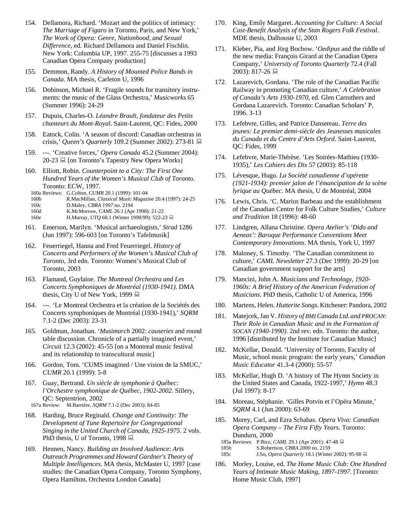- 154. Dellamora, Richard. 'Mozart and the politics of intimacy: *The Marriage of Figaro* in Toronto, Paris, and New York,' *The Work of Opera: Genre, Nationhood, and Sexual Difference*, ed. Richard Dellamora and Daniel Fischlin. New York: Columbia UP, 1997. 255-75 [discusses a 1993 Canadian Opera Company production]
- 155. Demmon, Randy. *A History of Mounted Police Bands in Canada*. MA thesis, Carleton U, 1996
- 156. Dobinson, Michael R. 'Fragile sounds for transitory instruments: the music of the Glass Orchestra,' *Musicworks* 65 (Summer 1996): 24-29
- 157. Dupuis, Charles-O. *Léandre Brault, fondateur des Petits chanteurs du Mont-Royal*. Saint-Laurent, QC: Fides, 2000
- 158. Eatock, Colin. 'A season of discord: Canadian orchestras in crisis,' *Queen's Quarterly* 109.2 (Summer 2002): 273-81
- 159. ---. 'Creative forces,' *Opera Canada* 45.2 (Summer 2004):  $20-23 \equiv$  [on Toronto's Tapestry New Opera Works]
- 160. Elliott, Robin. *Counterpoint to a City: The First One Hundred Years of the Women's Musical Club of Toronto*. Toronto: ECW, 1997.
	- 160a Reviews: G.Colton, *CUMR* 20.1 (1999): 101-04
- 160b R.MacMillan, *Classical Music Magazine* 20.4 (1997): 24-25
- 160c D.Maley, *CBRA 1997* no. 2194
- 160d K.McMorrow, *CAML* 26.1 (Apr 1998): 21-22
- 160e H.Murray, *UTQ* 68.1 (Winter 1998/99): 522-23
- 161. Emerson, Marilyn. 'Musical archaeologists,' *Strad* 1286 (Jun 1997): 596-603 [on Toronto's Tafelmusik]
- 162. Feuerriegel, Hanna and Fred Feuerriegel. *History of Concerts and Performers of the Women's Musical Club of Toronto*, 3rd edn. Toronto: Women's Musical Club of Toronto, 2003
- 163. Flamand, Guylaine. *The Montreal Orchestra and Les Concerts Symphoniques de Montréal (1930-1941)*. DMA thesis, City U of New York, 1999
- 164. ---. 'Le Montreal Orchestra et la création de la Sociétés des Concerts symphoniques de Montréal (1930-1941),' *SQRM* 7.1-2 (Dec 2003): 23-31
- 165. Goldman, Jonathan. '*Musimarch* 2002: *causeries* and round table discussion. Chronicle of a partially imagined event,' *Circuit* 12.3 (2002): 45-55 [on a Montreal music festival and its relationship to transcultural music]
- 166. Gordon, Tom. 'CUMS imagined / Une vision de la SMUC,' *CUMR* 20.1 (1999): 5-8
- 167. Guay, Bertrand. *Un siècle de symphonie à Québec: l'Orchestre symphonique de Québec, 1902-2002*. Sillery, QC: Septentrion, 2002
- 167a Review: M.Barrière, *SQRM* 7.1-2 (Dec 2003): 84-85
- 168. Harding, Bruce Reginald. *Change and Continuity: The Development of Tune Repertoire for Congregational Singing in the United Church of Canada, 1925-1975*. 2 vols. PhD thesis, U of Toronto, 1998 ■
- 169. Hennen, Nancy. *Building an Involved Audience: Arts Outreach Programmes and Howard Gardner's Theory of Multiple Intelligences*. MA thesis, McMaster U, 1997 [case studies: the Canadian Opera Company, Toronto Symphony, Opera Hamilton, Orchestra London Canada]
- 170. King, Emily Margaret. *Accounting for Culture: A Social Cost-Benefit Analysis of the Stan Rogers Folk Festival*. MDE thesis, Dalhousie U, 2003
- 171. Kleber, Pia, and Jörg Bochow. '*Oedipus* and the riddle of the new media: François Girard at the Canadian Opera Company,' *University of Toronto Quarterly* 72.4 (Fall 2003): 817-26 ■
- 172. Lazarevich, Gordana. 'The role of the Canadian Pacific Railway in promoting Canadian culture,' *A Celebration of Canada's Arts 1930-1970*, ed. Glen Carruthers and Gordana Lazarevich. Toronto: Canadian Scholars' P, 1996. 3-13
- 173. Lefebvre, Gilles, and Patrice Dansereau. *Terre des jeunes: Le premier demi-siècle des Jeunesses musicales du Canada et du Centre d'Arts Orford*. Saint-Laurent, QC: Fides, 1999
- 174. Lefebvre, Marie-Thérèse. 'Les Soirées-Mathieu (1930- 1935),' *Les Cahiers des Dix* 57 (2003): 85-118
- 175. Lévesque, Hugo. *La Société canadienne d'opérette (1921-1934): premier jalon de l'émancipation de la scène lyrique au Québec*. MA thesis, U de Montréal, 2004
- 176. Lewis, Chris. 'C. Marius Barbeau and the establishment of the Canadian Centre for Folk Culture Studies,' *Culture and Tradition* 18 (1996): 48-60
- 177. Lindgren, Allana Christine. *Opera Atelier's 'Dido and Aeneas': Baroque Performance Conventions Meet Contemporary Innovations*. MA thesis, York U, 1997
- 178. Maloney, S. Timothy. 'The Canadian commitment to culture,' *CAML Newsletter* 27.3 (Dec 1999): 20-29 [on Canadian government support for the arts]
- 179. Mancini, John A. *Musicians and Technology, 1920- 1960s: A Brief History of the American Federation of Musicians*. PhD thesis, Catholic U of America, 1996
- 180. Martens, Helen. *Hutterite Songs*. Kitchener: Pandora, 2002
- 181. Matejcek,Jan V. *History of BMI Canada Ltd. and PROCAN: Their Role in Canadian Music and in the Formation of SOCAN (1940-1990)*. 2nd rev. edn. Toronto: the author, 1996 [distributed by the Institute for Canadian Music]
- 182. McKellar, Donald. 'University of Toronto, Faculty of Music, school music program: the early years,' *Canadian Music Educator* 41.3-4 (2000): 55-57
- 183. McKellar, Hugh D. 'A history of The Hymn Society in the United States and Canada, 1922-1997,' *Hymn* 48.3 (Jul 1997): 8-17
- 184. Moreau, Stéphanie. 'Gilles Potvin et l'Opéra Minute,' *SQRM* 4.1 (Jun 2000): 63-69
- 185. Morey, Carl, and Ezra Schabas. *Opera Viva: Canadian Opera Company – The First Fifty Years*. Toronto: Dundurn, 2000
	- 185a Reviews: P.Rice, *CAML* 29.1 (Apr 2001): 47-48
	- 185b S.Robertson, *CBRA 2000* no. 2159 185c J.So, *Opera Quarterly* 18.1 (Winter 2002): 95-98
- 186. Morley, Louise, ed. *The Home Music Club: One Hundred Years of Intimate Music Making, 1897-1997*. [Toronto: Home Music Club, 1997]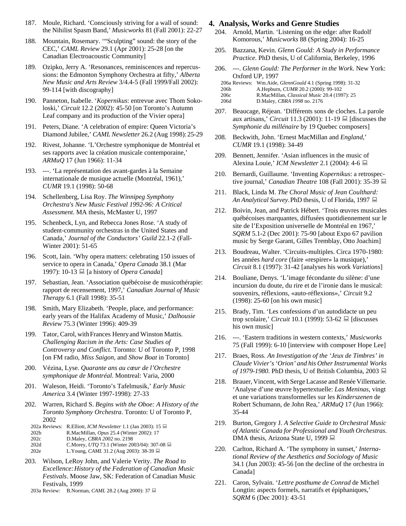- 187. Moule, Richard. 'Consciously striving for a wall of sound: the Nihilist Spasm Band,' *Musicworks* 81 (Fall 2001): 22-27
- 188. Mountain, Rosemary. '"Sculpting" sound: the story of the CEC,' *CAML Review* 29.1 (Apr 2001): 25-28 [on the Canadian Electroacoustic Community]
- 189. Ozipko, Jerry A. 'Resonances, reminiscences and repercussions: the Edmonton Symphony Orchestra at fifty,' *Alberta New Music and Arts Review* 3/4.4-5 (Fall 1999/Fall 2002): 99-114 [with discography]
- 190. Panneton, Isabelle. '*Kopernikus*: entrevue avec Thom Sokoloski,' *Circuit* 12.2 (2002): 45-50 [on Toronto's Autumn Leaf company and its production of the Vivier opera]
- 191. Peters, Diane. 'A celebration of empire: Queen Victoria's Diamond Jubilee,' *CAML Newsletter* 26.2 (Aug 1998):25-29
- 192. Rivest, Johanne. 'L'Orchestre symphonique de Montréal et ses rapports avec la création musicale contemporaine,' *ARMuQ* 17 (Jun 1966): 11-34
- 193. ---. 'La représentation des avant-gardes à la Semaine internationale de musique actuelle (Montréal, 1961),' *CUMR* 19.1 (1998): 50-68
- 194. Schellenberg, Lisa Roy. *The Winnipeg Symphony Orchestra's New Music Festival 1992-96: A Critical Assessment*. MA thesis, McMaster U, 1997
- 195. Schenbeck, Lyn, and Rebecca Jones Rose. 'A study of student-community orchestras in the United States and Canada,' *Journal of the Conductors' Guild* 22.1-2 (Fall-Winter 2001): 51-65
- 196. Scott, Iain. 'Why opera matters: celebrating 150 issues of service to opera in Canada,' *Opera Canada* 38.1 (Mar 1997): 10-13 [a history of *Opera Canada*]
- 197. Sebastian, Jean. 'Association québécoise de musicothérapie: rapport de recensement, 1997,' *Canadian Journal of Music Therapy* 6.1 (Fall 1998): 35-51
- 198. Smith, Mary Elizabeth. 'People, place, and performance: early years of the Halifax Academy of Music,' *Dalhousie Review* 75.3 (Winter 1996): 409-39
- 199. Tator, Carol, with Frances Henry and Winston Mattis. *Challenging Racism in the Arts: Case Studies of Controversy and Conflict*. Toronto: U of Toronto P, 1998 [on FM radio, *Miss Saigon*, and *Show Boat* in Toronto]
- 200. Vézina, Lyse. *Quarante ans au cœur de l'Orchestre symphonique de Montréal*. Montreal: Varia, 2000
- 201. Waleson, Heidi. 'Toronto's Tafelmusik,' *Early Music America* 3.4 (Winter 1997-1998): 27-33
- 202. Warren, Richard S. *Begins with the Oboe: A History of the Toronto Symphony Orchestra*. Toronto: U of Toronto P, 2002
- 202a Reviews: R.Elliott, *ICM Newsletter* 1.1 (Jan 2003): 15 202b R.MacMillan, *Opus* 25.4 (Winter 2002): 17 202c D.Maley, *CBRA 2002* no. 2198
- 202d C.Morey, *UTQ* 73.1 (Winter 2003/04): 307-08
- 202e L.Young, *CAML* 31.2 (Aug 2003): 38-39 ■
- 203. Wilson, LeRoy John, and Valerie Verity. *The Road to Excellence:History of the Federation of Canadian Music Festivals*. Moose Jaw, SK: Federation of Canadian Music Festivals, 1999
	- 203a Review: B.Norman, *CAML* 28.2 (Aug 2000): 37

#### **4. Analysis, Works and Genre Studies**

- 204. Arnold, Martin. 'Listening on the edge: after Rudolf Komorous,' *Musicworks* 88 (Spring 2004): 16-25
- 205. Bazzana, Kevin. *Glenn Gould: A Study in Performance Practice*. PhD thesis, U of California, Berkeley, 1996
- 206. ---. *Glenn Gould: The Performer in the Work*. New York: Oxford UP, 1997
	- 206a Reviews: Wm.Aide, *GlennGould* 4.1 (Spring 1998): 31-32
	- 206b A.Hepburn, *CUMR* 20.2 (2000): 99-102
	- 206c R.MacMillan, *Classical Music* 20.4 (1997): 25
	- 206d D.Maley, *CBRA 1998* no. 2176
- 207. Beaucage, Réjean. 'Différents sons de cloches. La parole aux artisans,' *Circuit* 11.3 (2001): 11-19  $\Box$  [discusses the *Symphonie du millénaire* by 19 Quebec composers]
- 208. Beckwith, John. 'Ernest MacMillan and *England*,' *CUMR* 19.1 (1998): 34-49
- 209. Bennett, Jennifer. 'Asian influences in the music of Alexina Louie,' *ICM Newsletter* 2.1 (2004): 4-6
- 210. Bernardi, Guillaume. 'Inventing *Kopernikus*: a retrospective journal,' *Canadian Theatre* 108 (Fall 2001): 35-39
- 211. Black, Linda M. *The Choral Music of Jean Coulthard: An Analytical Survey*.PhD thesis, U of Florida, 1997
- 212. Boivin, Jean, and Patrick Hébert. 'Trois œuvres musicales québécoises marquantes, diffusées quotidiennement sur le site de l'Exposition universelle de Montréal en 1967,' *SQRM* 5.1-2 (Dec 2001): 75-90 [about Expo 67 pavilion music by Serge Garant, Gilles Tremblay, Otto Joachim]
- 213. Boudreau, Walter. 'Circuits-multiples. Circa 1970-1980: les années *hard core* (faire «respirer» la musique),' *Circuit* 8.1 (1997): 31-42 [analyses his work *Variations*]
- 214. Bouliane, Denys. 'L'image fécondante du silène: d'une incursion du doute, du rire et de l'ironie dans le musical: souvenirs, réflexions, «auto-réflexions»,' *Circuit* 9.2 (1998): 25-60 [on his own music]
- 215. Brady, Tim. 'Les confessions d'un autodidacte un peu trop scolaire,' *Circuit* 10.1 (1999): 53-62 **■** [discusses] his own music]
- 216. ---. 'Eastern traditions in western contexts,' *Musicworks* 75 (Fall 1999): 6-10 [interview with composer Hope Lee]
- 217. Braes, Ross. *An Investigation of the 'Jeux de Timbres' in Claude Vivier's 'Orion' and his Other Instrumental Works of 1979-1980*. PhD thesis, U of British Columbia, 2003 ■
- 218. Brauer, Vincent, with SergeLacasse and Renée Villemarie. 'Analyse d'une œuvre hypertextuelle: *Las Meninas*, vingt et une variations transformelles sur les *Kinderszenen* de Robert Schumann, de John Rea,' *ARMuQ* 17 (Jun 1966): 35-44
- 219. Burton, Gregory J. *A Selective Guide to Orchestral Music of Atlantic Canada for Professional and Youth Orchestras*. DMA thesis, Arizona State U, 1999 **■**
- 220. Carlton, Richard A. 'The symphony in sunset,' *International Review of the Aesthetics and Sociology of Music* 34.1 (Jun 2003): 45-56 [on the decline of the orchestra in Canada]
- 221. Caron, Sylvain. '*Lettre posthume de Conrad* de Michel Longtin: aspects formels, narratifs et épiphaniques,' *SQRM* 6 (Dec 2001): 43-51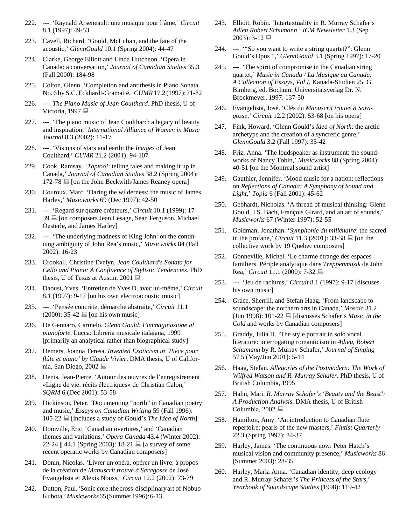- 222. ---. 'Raynald Arseneault: une musique pour l'âme,' *Circuit* 8.1 (1997): 49-53
- 223. Cavell, Richard. 'Gould, McLuhan, and the fate of the acoustic,' *GlennGould* 10.1 (Spring 2004): 44-47
- 224. Clarke, George Elliott and Linda Hutcheon. 'Opera in Canada: a conversation,' *Journal of Canadian Studies* 35.3 (Fall 2000): 184-98
- 225. Colton, Glenn. 'Completion and antithesis in Piano Sonata No. 6 by S.C. Eckhardt-Gramatté,'*CUMR*17.2 (1997):71-82
- 226. ---. *The Piano Music of Jean Coulthard*. PhD thesis, U of Victoria, 1997  $\blacksquare$
- 227. ---. 'The piano music of Jean Coulthard: a legacy of beauty and inspiration,' *International Alliance of Women in Music Journal* 8.3 (2002): 11-17
- 228. ---. 'Visions of stars and earth: the *Images* of Jean Coulthard,' *CUMR* 21.2 (2001): 94-107
- 229. Cook, Ramsay. '*Taptoo!*: telling tales and making it up in Canada,' *Journal of Canadian Studies* 38.2 (Spring 2004):  $172-78 \equiv$  [on the John Beckwith/James Reaney opera]
- 230. Couroux, Marc. 'Daring the wilderness: the music of James Harley,' *Musicworks* 69 (Dec 1997): 42-50
- 231. ---. 'Regard sur quatre créateurs,' *Circuit* 10.1 (1999): 17- 39  $\Box$  [on composers Jean Lesage, Sean Ferguson, Michael Oesterle, and James Harley]
- 232. ---. 'The underlying madness of King John: on the continuing ambiguity of John Rea's music,' *Musicworks* 84 (Fall 2002): 16-23
- 233. Crookall, Christine Evelyn. *Jean Coulthard's Sonata for Cello and Piano: A Confluence of Stylistic Tendencies*. PhD thesis, U of Texas at Austin, 2001  $\Box$
- 234. Daoust, Yves. 'Entretien de Yves D. avec lui-même,' *Circuit* 8.1 (1997): 9-17 [on his own electroacoustic music]
- 235. ---. 'Pensée concrète, démarche abstraite,' *Circuit* 11.1  $(2000)$ : 35-42  $\Box$  [on his own music]
- 236. De Gennaro, Carmelo. *Glenn Gould: l'immaginazione al pianoforte*. Lucca: Libreria musicale italaiana, 1999 [primarily an analytical rather than biographical study]
- 237. Demers, Joanna Teresa. *Invented Exoticism in 'Pièce pour flûte et piano' by Claude Vivier*. DMA thesis, U of California, San Diego, 2002
- 238. Denis, Jean-Pierre. 'Autour des œuvres de l'enregistrement «Ligne de vie: récits électriques» de Christian Calon,' *SQRM* 6 (Dec 2001): 53-58
- 239. Dickinson, Peter. 'Documenting "north" in Canadian poetry and music,' *Essays on Canadian Writing* 59 (Fall 1996): 105-22 [includes a study of Gould's *The Idea of North*]
- 240. Domville, Eric. 'Canadian overtures,' and 'Canadian themes and variations,' *Opera Canada* 43.4 (Winter 2002): 22-24 || 44.1 (Spring 2003): 18-21  $\Box$  [a survey of some recent operatic works by Canadian composers]
- 241. Donin, Nicolas. 'Livrer un opéra, opérer un livre: à propos de la création de *Manuscrit trouvé à Saragosse* de José Evangelista et Alexis Nouss,' *Circuit* 12.2 (2002): 73-79
- 242. Dutton, Paul.'Sonic core:thecross-disciplinaryart of Nobuo Kubota,'*Musicworks*65(Summer1996):6-13
- 243. Elliott, Robin. 'Intertextuality in R. Murray Schafer's *Adieu Robert Schumann*,' *ICM Newsletter* 1.3 (Sep  $2003$ : 3-12
- 244. ---. '"So you want to write a string quartet?": Glenn Gould's Opus 1,' *GlennGould* 3.1 (Spring 1997): 17-20
- 245. ---. 'The spirit of compromise in the Canadian string quartet,' *Music in Canada / La Musique au Canada: A Collection of Essays, Vol I*, Kanada-Studien 25. G. Bimberg, ed. Bochum: Universitätsverlag Dr. N. Brockmeyer, 1997. 137-50
- 246. Evangelista, José. 'Clés du *Manuscrit trouvé à Saragosse*,' *Circuit* 12.2 (2002): 53-68 [on his opera]
- 247. Fink, Howard. 'Glenn Gould's *Idea of North*: the arctic archetype and the creation of a syncretic genre,' *GlennGould* 3.2 (Fall 1997): 35-42
- 248. Friz, Anna. 'The loudspeaker as instrument: the soundworks of Nancy Tobin,' *Musicworks* 88 (Spring 2004): 40-51 [on the Montreal sound artist]
- 249. Gauthier, Jennifer. 'Mood music for a nation: reflections on *Reflections of Canada: A Symphony of Sound and Light*,' *Topia* 6 (Fall 2001): 45-62
- 250. Gebhardt, Nicholas. 'A thread of musical thinking: Glenn Gould, J.S. Bach, François Girard, and an art of sounds,' *Musicworks* 67 (Winter 1997): 52-55
- 251. Goldman, Jonathan. '*Symphonie du millénaire*: the sacred in the profane,' *Circuit* 11.3 (2001): 33-38  $\Box$  [on the collective work by 19 Quebec composers]
- 252. Gonneville, Michel. 'Le charme étrange des espaces familiers. Périple analytique dans *Treppenmusik* de John Rea,' *Circuit* 11.1 (2000): 7-32 ■
- 253. ---. 'Jeu de raclures,' *Circuit* 8.1 (1997): 9-17 [discuses his own music]
- 254. Grace, Sherrill, and Stefan Haag. 'From landscape to soundscape: the northern arts in Canada,' *Mosaic* 31.2 (Jun 1998): 101-22 **■** [discusses Schafer's *Music in the Cold* and works by Canadian composers]
- 255. Graddy, Julia H. 'The style portrait in solo vocal literature: interrogating romanticism in *Adieu, Robert Schumann* by R. Murray Schafer,' *Journal of Singing* 57.5 (May/Jun 2001): 5-14
- 256. Haag, Stefan. *Allegories of the Postmodern: The Work of Wilfred Watson and R. Murray Schafer*. PhD thesis, U of British Columbia, 1995
- 257. Hahn, Mari. *R. Murray Schafer's 'Beauty and the Beast': A Production Analysis*. DMA thesis, U of British Columbia, 2002 $\Box$
- 258. Hamilton, Amy. 'An introduction to Canadian flute repertoire: pearls of the new masters,' *Flutist Quarterly* 22.3 (Spring 1997): 34-37
- 259. Harley, James. 'The continuous now: Peter Hatch's musical vision and community presence,' *Musicworks* 86 (Summer 2003): 28-35
- 260. Harley, Maria Anna. 'Canadian identity, deep ecology and R. Murray Schafer's *The Princess of the Stars*,' *Yearbook of Soundscape Studies* (1998): 119-42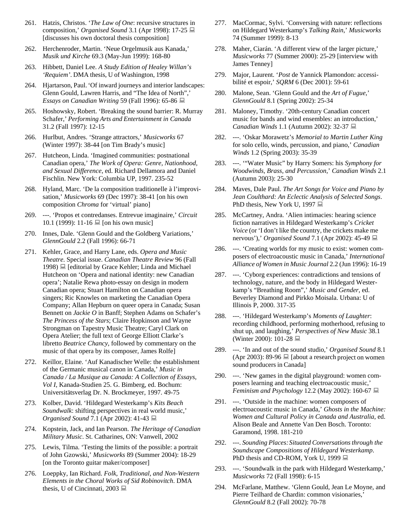- 261. Hatzis, Christos. '*The Law of One*: recursive structures in composition,' *Organised Sound* 3.1 (Apr 1998): 17-25 [discusses his own doctoral thesis composition]
- 262. Herchenroder, Martin. 'Neue Orgelmusik aus Kanada,' *Musik und Kirche* 69.3 (May-Jun 1999): 168-80
- 263. Hibbett, Daniel Lee. *A Study Edition of Healey Willan's 'Requiem'*. DMA thesis, U of Washington, 1998
- 264. Hjartarson, Paul.'Of inward journeys and interior landscapes: Glenn Gould, Lawren Harris, and "The Idea of North",' *Essays on Canadian Writing* 59 (Fall 1996): 65-86
- 265. Hoshowsky, Robert. 'Breaking the sound barrier: R. Murray Schafer,' *Performing Arts and Entertainment in Canada* 31.2 (Fall 1997): 12-15
- 266. Hurlbut, Andres. 'Strange attractors,' *Musicworks* 67 (Winter 1997): 38-44 [on Tim Brady's music]
- 267. Hutcheon, Linda. 'Imagined communities: postnational Canadian opera,' *The Work of Opera: Genre, Nationhood, and Sexual Difference*, ed. Richard Dellamora and Daniel Fischlin. New York: Columbia UP, 1997. 235-52
- 268. Hyland, Marc. 'De la composition traditionelle à l'improvisation,' *Musicworks* 69 (Dec 1997): 38-41 [on his own composition *Chroma* for 'virtual' piano]
- 269. ---. 'Propos et contredanses. Entrevue imaginaire,' *Circuit* 10.1 (1999): 11-16  $\Box$  [on his own music]
- 270. Innes, Dale. 'Glenn Gould and the Goldberg Variations,' *GlennGould* 2.2 (Fall 1996): 66-71
- 271. Kehler, Grace, and Harry Lane, eds. *Opera and Music Theatre*. Special issue. *Canadian Theatre Review* 96 (Fall 1998)  $\equiv$  [editorial by Grace Kehler; Linda and Michael Hutcheon on 'Opera and national identity: new Canadian opera'; Natalie Rewa photo-essay on design in modern Canadian opera; Stuart Hamilton on Canadian opera singers; Ric Knowles on marketing the Canadian Opera Company; Allan Hepburn on queer opera in Canada; Susan Bennett on *Jackie O* in Banff; Stephen Adams on Schafer's *The Princess of the Stars*; Claire Hopkinson and Wayne Strongman on Tapestry Music Theatre; Caryl Clark on Opera Atelier; the full text of George Elliott Clarke's libretto *Beatrice Chancy*, followed by commentary on the music of that opera by its composer, James Rolfe]
- 272. Keillor, Elaine. 'Auf Kanadischer Welle: the establishment of the Germanic musical canon in Canada,' *Music in Canada / La Musique au Canada: A Collection of Essays, Vol I*, Kanada-Studien 25. G. Bimberg, ed. Bochum: Universitätsverlag Dr. N. Brockmeyer, 1997. 49-75
- 273. Kolber, David. 'Hildegard Westerkamp's *Kits Beach Soundwalk*: shifting perspectives in real world music,' *Organised Sound* 7.1 (Apr 2002): 41-43 ■
- 274. Kopstein, Jack, and Ian Pearson. *The Heritage of Canadian Military Music*. St. Catharines, ON: Vanwell, 2002
- 275. Lewis, Tilma. 'Testing the limits of the possible: a portrait of John Gzowski,' *Musicworks* 89 (Summer 2004): 18-29 [on the Toronto guitar maker/composer]
- 276. Loeppky, Ian Richard. *Folk, Traditional, and Non-Western Elements in the Choral Works of Sid Robinovitch*. DMA thesis, U of Cincinnati, 2003
- 277. MacCormac, Sylvi. 'Conversing with nature: reflections on Hildegard Westerkamp's *Talking Rain*,' *Musicworks* 74 (Summer 1999): 8-13
- 278. Maher, Ciarán. 'A different view of the larger picture,' *Musicworks* 77 (Summer 2000): 25-29 [interview with James Tenney]
- 279. Major, Laurent. '*Post* de Yannick Plamondon: accessibilité et espoir,' *SQRM* 6 (Dec 2001): 59-61
- 280. Malone, Sean. 'Glenn Gould and the *Art of Fugue*,' *GlennGould* 8.1 (Spring 2002): 25-34
- 281. Maloney, Timothy. '20th-century Canadian concert music for bands and wind ensembles: an introduction,' *Canadian Winds* 1.1 (Autumn 2002): 32-37
- 282. ---. 'Oskar Morawetz's *Memorial to Martin Luther King* for solo cello, winds, percussion, and piano,' *Canadian Winds* 1.2 (Spring 2003): 35-39
- 283. ---. '"Water Music" by Harry Somers: his *Symphony for Woodwinds, Brass, and Percussion*,' *Canadian Winds* 2.1 (Autumn 2003): 25-30
- 284. Maves, Dale Paul. *The Art Songs for Voice and Piano by Jean Coulthard: An Eclectic Analysis of Selected Songs*. PhD thesis, New York U, 1997 ■
- 285. McCartney, Andra. 'Alien intimacies: hearing science fiction narratives in Hildegard Westerkamp's *Cricket Voice* (or 'I don't like the country, the crickets make me nervous'),' *Organised Sound* 7.1 (Apr 2002): 45-49
- 286. ---. 'Creating worlds for my music to exist: women composers of electroacoustic music in Canada,' *International Alliance of Women in Music Journal* 2.2 (Jun 1996): 16-19
- 287. ---. 'Cyborg experiences: contradictions and tensions of technology, nature, and the body in Hildegard Westerkamp's "Breathing Room",' *Music and Gender*, ed. Beverley Diamond and Pirkko Moisala. Urbana: U of Illinois P, 2000. 317-35
- 288. ---. 'Hildegard Westerkamp's *Moments of Laughter*: recording childhood, performing motherhood, refusing to shut up, and laughing,' *Perspectives of New Music* 38.1 (Winter 2000): 101-28 ■
- 289. ---. 'In and out of the sound studio,' *Organised Sound* 8.1 (Apr 2003): 89-96  $\Box$  [about a research project on women sound producers in Canada]
- 290. ---. 'New games in the digital playground: women composers learning and teaching electroacoustic music,' *Feminism and Psychology* 12.2 (May 2002): 160-67 **■**
- 291. ---. 'Outside in the machine: women composers of electroacoustic music in Canada,' *Ghosts in the Machine: Women and Cultural Policy in Canada and Australia*, ed. Alison Beale and Annette Van Den Bosch. Toronto: Garamond, 1998. 181-210
- 292. ---. *Sounding Places:Situated Conversationsthrough the Soundscape Compositions of Hildegard Westerkamp*. PhD thesis and CD-ROM, York U, 1999 ■
- 293. ---. 'Soundwalk in the park with Hildegard Westerkamp,' *Musicworks* 72 (Fall 1998): 6-15
- 294. McFarlane, Matthew. 'Glenn Gould, Jean Le Moyne, and Pierre Teilhard de Chardin: common visionaries,' *GlennGould* 8.2 (Fall 2002): 70-78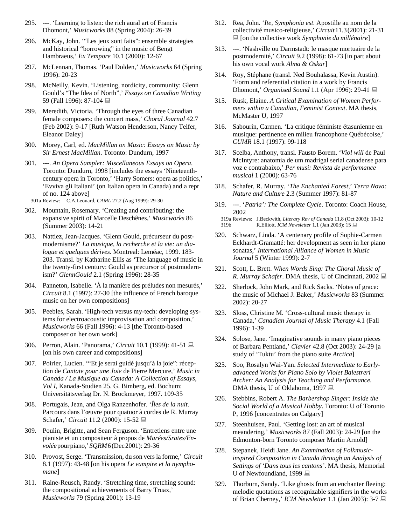- 295. ---. 'Learning to listen: the rich aural art of Francis Dhomont,' *Musicworks* 88 (Spring 2004): 26-39
- 296. McKay, John. '"Les jeux sont faits": ensemble strategies and historical "borrowing" in the music of Bengt Hambraeus,' *Ex Tempore* 10.1 (2000): 12-67
- 297. McLennan, Thomas. 'Paul Dolden,' *Musicworks* 64 (Spring 1996): 20-23
- 298. McNeilly, Kevin. 'Listening, nordicity, community: Glenn Gould's "The Idea of North",' *Essays on Canadian Writing* 59 (Fall 1996): 87-104
- 299. Meredith, Victoria. 'Through the eyes of three Canadian female composers: the concert mass,' *Choral Journal* 42.7 (Feb 2002): 9-17 [Ruth Watson Henderson, Nancy Telfer, Eleanor Daley]
- 300. Morey, Carl, ed. *MacMillan on Music: Essays on Music by Sir Ernest MacMillan*. Toronto: Dundurn, 1997
- 301. ---. *An Opera Sampler: Miscellaneous Essays on Opera*. Toronto: Dundurn, 1998 [includes the essays 'Nineteenthcentury opera in Toronto,' 'Harry Somers: opera as politics,' 'Evviva gli Italiani' (on Italian opera in Canada) and a repr of no. 124 above]
- 301a Review: C.A.Leonard, *CAML* 27.2 (Aug 1999): 29-30
- 302. Mountain, Rosemary. 'Creating and contributing: the expansive spirit of Marcelle Deschênes,' *Musicworks* 86 (Summer 2003): 14-21
- 303. Nattiez, Jean-Jacques. 'Glenn Gould, précurseur du postmodernisme?' *La musique, la recherche et la vie: un dialogue et quelques dérives*. Montreal: Leméac, 1999. 183- 203. Transl. by Katharine Ellis as 'The language of music in the twenty-first century: Gould as precursor of postmodernism?' *GlennGould* 2.1 (Spring 1996): 28-35
- 304. Panneton, Isabelle. 'À la manière des préludes non mesurés,' *Circuit* 8.1 (1997): 27-30 [the influence of French baroque music on her own compositions]
- 305. Peebles, Sarah. 'High-tech versus my-tech: developing systems for electroacoustic improvisation and composition,' *Musicworks* 66 (Fall 1996): 4-13 [the Toronto-based composer on her own work]
- 306. Perron, Alain. 'Panorama,' *Circuit* 10.1 (1999): 41-51 [on his own career and compositions]
- 307. Poirier, Lucien. '"Et je serai guidé jusqu'à la joie": réception de *Cantate pour une Joie* de Pierre Mercure,' *Music in Canada / La Musique au Canada: A Collection of Essays, Vol I*, Kanada-Studien 25. G. Bimberg, ed. Bochum: Universitätsverlag Dr. N. Brockmeyer, 1997. 109-35
- 308. Portugais, Jean, and Olga Ranzenhofer. '*Îles de la nuit*. Parcours dans l'œuvre pour quatuor à cordes de R. Murray Schafer,' *Circuit* 11.2 (2000): 15-52
- 309. Poulin, Brigitte, and Sean Ferguson. 'Entretiens entre une pianiste et un compositeur à propos de *Marées/Srates/Envolée*pourpiano,'*SQRM*6(Dec2001): 29-36
- 310. Provost, Serge. 'Transmission, du son vers la forme,' *Circuit* 8.1 (1997): 43-48 [on his opera *Le vampire et la nymphomane*]
- 311. Raine-Reusch, Randy. 'Stretching time, stretching sound: the compositional achievements of Barry Truax,' *Musicworks* 79 (Spring 2001): 13-19
- 312. Rea, John. '*Ite, Symphonia est*. Apostille au nom de la collectivité musico-religieuse,' *Circuit*11.3(2001): 21-31 [on the collective work *Symphonie du millénaire*]
- 313. ---. 'Nashville ou Darmstadt: le masque mortuaire de la postmodernité,' *Circuit* 9.2 (1998): 61-73 [in part about his own vocal work *Alma & Oskar*]
- 314. Roy, Stéphane (transl. Ned Bouhalassa, Kevin Austin). 'Form and referential citation in a work by Francis Dhomont,' *Organised Sound* 1.1 (Apr 1996): 29-41
- 315. Rusk, Elaine. *A Critical Examination of Women Performers within a Canadian, Feminist Context*. MA thesis, McMaster U, 1997
- 316. Sabourin, Carmen. 'La critique féministe étasunienne en musique: pertinence en milieu francophone Québécoise,' *CUMR* 18.1 (1997): 99-118
- 317. Scelba, Anthony, transl. Fausto Borem. '*Viol will* de Paul McIntyre: anatomia de um madrigal serial canadense para voz e contrabaixo,' *Per musi: Revista de performance musical* 1 (2000): 63-76
- 318. Schafer, R. Murray. '*The Enchanted Forest*,' *Terra Nova: Nature and Culture* 2.3 (Summer 1997): 81-87
- 319. ---. '*Patria': The Complete Cycle*. Toronto: Coach House, 2002
	- 319a Reviews: J.Beckwith, *Literary Rev of Canada* 11.8 (Oct 2003): 10-12 319b R.Elliott, *ICM Newsletter* 1.1 (Jan 2003): 15
- 320. Schwarz, Linda. 'A centenary profile of Sophie-Carmen Eckhardt-Gramatté: her development as seen in her piano sonatas,' *International Alliance of Women in Music Journal* 5 (Winter 1999): 2-7
- 321. Scott, L. Brett. *When Words Sing: The Choral Music of R. Murray Schafer*. DMA thesis, U of Cincinnati, 2002
- 322. Sherlock, John Mark, and Rick Sacks. 'Notes of grace: the music of Michael J. Baker,' *Musicworks* 83 (Summer 2002): 20-27
- 323. Sloss, Christine M. 'Cross-cultural music therapy in Canada,' *Canadian Journal of Music Therapy* 4.1 (Fall 1996): 1-39
- 324. Solose, Jane. 'Imaginative sounds in many piano pieces of Barbara Pentland,' *Clavier* 42.8 (Oct 2003): 24-29 [a study of 'Tuktu' from the piano suite *Arctica*]
- 325. Soo, Rosalyn Wai-Yan. *Selected Intermediate to Earlyadvanced Works for Piano Solo by Violet Balestreri Archer: An Analysis for Teaching and Performance*. DMA thesis, U of Oklahoma, 1997 ■
- 326. Stebbins, Robert A. *The Barbershop Singer: Inside the Social World of a Musical Hobby*. Toronto: U of Toronto P, 1996 [concentrates on Calgary]
- 327. Steenhuisen, Paul. 'Getting lost: an art of musical meandering,' *Musicworks* 87 (Fall 2003): 24-29 [on the Edmonton-born Toronto composer Martin Arnold]
- 328. Stepanek, Heidi Jane. *An Examination of Folkmusicinspired Composition in Canada through an Analysis of Settings of 'Dans tous les cantons'*. MA thesis, Memorial U of Newfoundland, 1999 ■
- 329. Thorburn, Sandy. 'Like ghosts from an enchanter fleeing: melodic quotations as recognizable signifiers in the works of Brian Cherney,' *ICM Newsletter* 1.1 (Jan 2003): 3-7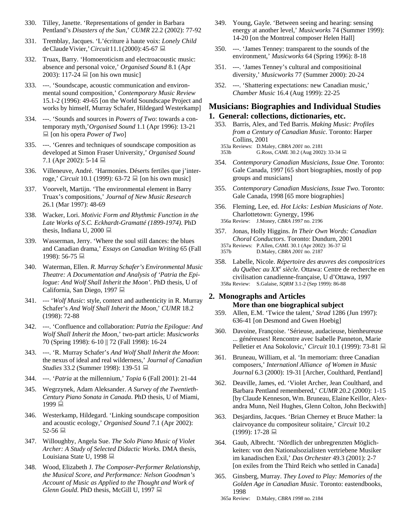- 330. Tilley, Janette. 'Representations of gender in Barbara Pentland's *Disasters of the Sun*,' *CUMR* 22.2 (2002): 77-92
- 331. Tremblay, Jacques. 'L'écriture à haute voix: *Lonely Child* deClaudeVivier,'*Circuit*11.1(2000):45-67
- 332. Truax, Barry. 'Homoeroticism and electroacoustic music: absence and personal voice,' *Organised Sound* 8.1 (Apr 2003): 117-24  $\Box$  [on his own music]
- 333. ---. 'Soundscape, acoustic communication and environmental sound composition,' *Contemporary Music Review* 15.1-2 (1996): 49-65 [on the World Soundscape Project and works by himself, Murray Schafer, Hildegard Westerkamp]
- 334. ---. 'Sounds and sources in *Powers of Two*: towards a contemporary myth,'*Organised Sound* 1.1 (Apr 1996): 13-21 [on his opera *Power of Two*]
- 335. ---. 'Genres and techniques of soundscape composition as developed at Simon Fraser University,' *Organised Sound* 7.1 (Apr 2002): 5-14 ■
- 336. Villeneuve, André. 'Harmonies. Déserts fertiles que j'interroge,' *Circuit* 10.1 (1999): 63-72 **■** [on his own music]
- 337. Voorvelt, Martijn. 'The environmental element in Barry Truax's compositions,' *Journal of New Music Research* 26.1 (Mar 1997): 48-69
- 338. Wacker, Lori. *Motivic Form and Rhythmic Function in the Late Works of S.C. Eckhardt-Gramatté (1899-1974)*. PhD thesis, Indiana U, 2000  $\Box$
- 339. Wasserman, Jerry. 'Where the soul still dances: the blues and Canadian drama,' *Essays on Canadian Writing* 65 (Fall 1998): 56-75 显
- 340. Waterman, Ellen. *R. Murray Schafer's Environmental Music Theatre: A Documentation and Analysis of 'Patria the Epilogue: And Wolf Shall Inherit the Moon'*. PhD thesis, U of California, San Diego, 1997
- 341. --- '*Wolf Music*: style, context and authenticity in R. Murray Schafer's *And Wolf Shall Inherit the Moon*,' *CUMR* 18.2 (1998): 72-88
- 342. ---. 'Confluence and collaboration: *Patria the Epilogue: And Wolf Shall Inherit the Moon*,' two-part article: *Musicworks* 70 (Spring 1998): 6-10 || 72 (Fall 1998): 16-24
- 343. ---. 'R. Murray Schafer's *And Wolf Shall Inherit the Moon*: the nexus of ideal and real wilderness,' *Journal of Canadian Studies* 33.2 (Summer 1998): 139-51 ■
- 344. ---. '*Patria* at the millennium,' *Topia* 6 (Fall 2001): 21-44
- 345. Wegrzynek, Adam Aleksander. *A Survey of the Twentieth-Century Piano Sonata in Canada*. PhD thesis, U of Miami, 1999 里
- 346. Westerkamp, Hildegard. 'Linking soundscape composition and acoustic ecology,' *Organised Sound* 7.1 (Apr 2002):  $52-56 \equiv$
- 347. Willoughby, Angela Sue. *The Solo Piano Music of Violet Archer: A Study of Selected Didactic Works*. DMA thesis, Louisiana State U, 1998
- 348. Wood, Elizabeth J. *The Composer-Performer Relationship, the Musical Score, and Performance: Nelson Goodman's Account of Music as Applied to the Thought and Work of Glenn Gould*. PhD thesis, McGill U, 1997
- 349. Young, Gayle. 'Between seeing and hearing: sensing energy at another level,' *Musicworks* 74 (Summer 1999): 14-20 [on the Montreal composer Helen Hall]
- 350. ---. 'James Tenney: transparent to the sounds of the environment,' *Musicworks* 64 (Spring 1996): 8-18
- 351. ---. 'James Tenney's cultural and compositioinal diversity,' *Musicworks* 77 (Summer 2000): 20-24
- 352. ---. 'Shattering expectations: new Canadian music,' *Chamber Music* 16.4 (Aug 1999): 22-25

# **Musicians: Biographies and Individual Studies**

# **1. General: collections, dictionaries, etc.**

353. Barris, Alex, and Ted Barris. *Making Music: Profiles from a Century of Canadian Music*. Toronto: Harper Collins, 2001 353a Reviews: D.Maley, *CBRA 2001* no. 2181

353b G.Ross, *CAML* 30.2 (Aug 2002): 33-34  $\Box$ 

- 354. *Contemporary Canadian Musicians, Issue One*. Toronto: Gale Canada, 1997 [65 short biographies, mostly of pop groups and musicians]
- 355. *Contemporary Canadian Musicians, Issue Two*. Toronto: Gale Canada, 1998 [65 more biographies]
- 356. Fleming, Lee, ed. *Hot Licks: Lesbian Musicians of Note*. Charlottetown: Gynergy, 1996 356a Review: J.Money, *CBRA 1997* no. 2196
- 357. Jonas, Holly Higgins. *In Their Own Words: Canadian Choral Conductors*. Toronto: Dundurn, 2001 357a Reviews: P.Allen, *CAML* 30.1 (Apr 2002): 36-37 357b D.Maley, *CBRA 2001* no. 2187
- 358. Labelle, Nicole. *Répertoire des œuvres des compositrices du Québec au XXe siècle*. Ottawa: Centre de recherche en civilisation canadienne-française, U d'Ottawa, 1997

# 358a Review: S.Galaise, *SQRM* 3.1-2 (Sep 1999): 86-88

# **2. Monographs and Articles**

# **More than one biographical subject**

- 359. Allen, E.M. 'Twice the talent,' *Strad* 1286 (Jun 1997): 636-41 [on Desmond and Gwen Hoebig]
- 360. Davoine, Françoise. 'Sérieuse, audacieuse, bienheureuse ... généreuses! Rencontre avec Isabelle Panneton, Marie Pelletier et Ana Sokolovic,' *Circuit* 10.1 (1999): 73-81
- 361. Bruneau, William, et al. 'In memoriam: three Canadian composers,' *Internationl Alliance of Women in Music Journal* 6.3 (2000): 19-31 [Archer, Coulthard, Pentland]
- 362. Deaville, James, ed. 'Violet Archer, Jean Coulthard, and Barbara Pentland remembered,' *CUMR* 20.2 (2000): 1-15 [byClaude Kenneson, Wm. Bruneau, Elaine Keillor,Alexandra Munn, Neil Hughes, Glenn Colton, John Beckwith]
- 363. Desjardins, Jacques. 'Brian Cherney et Bruce Mather: la clairvoyance du compositeur solitaire,' *Circuit* 10.2 (1999): 17-28
- 364. Gaub, Albrecht. 'Nördlich der unbregrenzten Möglichkeiten: von den Nationalsozialisten vertriebene Musiker im kanadischen Exil,' *Das Orchester* 49.3 (2001): 2-7 [on exiles from the Third Reich who settled in Canada]
- 365. Ginsberg, Murray. *They Loved to Play: Memories of the Golden Age in Canadian Music*. Toronto: eastendbooks, 1998
	- 365a Review: D.Maley, *CBRA 1998* no. 2184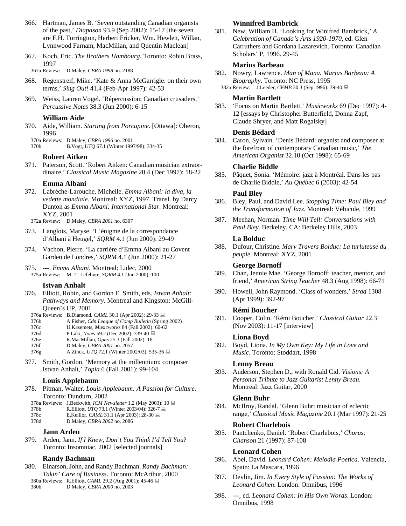- 366. Hartman, James B. 'Seven outstanding Canadian organists of the past,' *Diapason* 93.9 (Sep 2002): 15-17 [the seven are F.H. Torrington, Herbert Fricker, Wm. Hewlett, Willan, Lynnwood Farnam, MacMillan, and Quentin Maclean]
- 367. Koch, Eric. *The Brothers Hambourg*. Toronto: Robin Brass, 1997

367a Review: D.Maley, *CBRA 1998* no. 2188

- 368. Regenstreif, Mike. 'Kate & Anna McGarrigle: on their own terms,' *Sing Out!* 41.4 (Feb-Apr 1997): 42-53
- 369. Weiss, Lauren Vogel. 'Répercussion: Canadian crusaders,' *Percussive Notes* 38.3 (Jun 2000): 6-15

### **William Aide**

370. Aide, William. *Starting from Porcupine*. [Ottawa]: Oberon, 1996

370a Reviews: D.Maley, *CBRA 1996* no. 2001

370b B.Vogt, *UTQ* 67.1 (Winter 1997/98): 334-35

### **Robert Aitken**

371. Paterson, Scott. 'Robert Aitken: Canadian musician extraordinaire,' *Classical Music Magazine* 20.4 (Dec 1997): 18-22

### **Emma Albani**

372. Labrèche-Larouche, Michelle. *Emma Albani: la diva, la vedette mondiale*. Montreal: XYZ, 1997. Transl. by Darcy Dunton as *Emma Albani: International Star*. Montreal: XYZ, 2001

372a Review: D.Maley, *CBRA 2001* no. 6307

- 373. Langlois, Maryse. 'L'énigme de la correspondance d'Albani à Heugel,' *SQRM* 4.1 (Jun 2000): 29-49
- 374. Vachon, Pierre. 'La carrière d'Emma Albani au Covent Garden de Londres,' *SQRM* 4.1 (Jun 2000): 21-27
- 375. ---. *Emma Albani*. Montreal: Lidec, 2000 375a Review: M.-T. Lefebvre, *SQRM* 4.1 (Jun 2000): 100

### **Istvan Anhalt**

- 376. Elliott, Robin, and Gordon E. Smith, eds. *Istvan Anhalt: Pathways and Memory*. Montreal and Kingston: McGill-Queen's UP, 2001
	- 376a Reviews: B.Diamond, *CAML* 30.1 (Apr 2002): 29-33  $\Box$ <br>376b A.Fisher, *Cdn League of Comp Bulletin* (Sprin
	- 376b A.Fisher, *Cdn League of Comp Bulletin* (Spring 2002)
	- 376c U.Kasemets, *Musicworks* 84 (Fall 2002): 60-62
	- 376d P.Laki, *Notes* 59.2 (Dec 2002): 339-40 376e R.MacMillan, *Opus* 25.3 (Fall 2002): 18
	- 376f D.Maley, *CBRA 2001* no. 2057
- 376g A.Zinck, *UTQ* 72.1 (Winter 2002/03): 535-36
- 377. Smith, Gordon. 'Memory at the millennium: composer Istvan Anhalt,' *Topia* 6 (Fall 2001): 99-104

### **Louis Applebaum**

- 378. Pitman, Walter. *Louis Applebaum: A Passion for Culture*. Toronto: Dundurn, 2002
	- 378a Reviews: J.Beckwith, *ICM Newsletter* 1.2 (May 2003): 10
	- 378b R.Elliott, *UTQ* 73.1 (Winter 2003/04): 326-7
	- 378c E.Keillor, *CAML* 31.1 (Apr 2003): 28-30  $\Box$ <br>378d D.Maley, *CBRA* 2002 no. 2086
	- 378d D.Maley, *CBRA 2002* no. 2086

### **Jann Arden**

379. Arden, Jann. *If I Knew, Don't You Think I'd Tell You*? Toronto: Insomniac, 2002 [selected journals]

# **Randy Bachman**

380. Einarson, John, and Randy Bachman. *Randy Bachman: Takin' Care of Business*. Toronto: McArthur, 2000 380a Reviews: R.Elliott, *CAML* 29.2 (Aug 2001): 45-46

380b D.Maley, *CBRA 2000* no. 2003

# **Winnifred Bambrick**

381. New, William H. 'Looking for Winifred Bambrick,' *A Celebration of Canada's Arts 1920-1970*, ed. Glen Carruthers and Gordana Lazarevich. Toronto: Canadian Scholars' P, 1996. 29-45

# **Marius Barbeau**

- 382. Nowry, Lawrence. *Man of Mana. Marius Barbeau: A Biography*. Toronto: NC Press, 1995
	- 382a Review: J.Leeder, *CFMB* 30.3 (Sep 1996): 39-40

# **Martin Bartlett**

383. 'Focus on Martin Bartlett,' *Musicworks* 69 (Dec 1997): 4- 12 [essays by Christopher Butterfield, Donna Zapf, Claude Shryer, and Matt Rogalsky]

# **Denis Bédard**

384. Caron, Sylvain. 'Denis Bédard: organist and composer at the forefront of contemporary Canadian music,' *The American Organist* 32.10 (Oct 1998): 65-69

### **Charlie Biddle**

385. Pâquet, Sonia. 'Mémoire: jazz à Montréal. Dans les pas de Charlie Biddle,' *Au Québec* 6 (2003): 42-54

## **Paul Bley**

- 386. Bley, Paul, and David Lee. *Stopping Time: Paul Bley and the Transformation of Jazz*. Montreal: Véhicule, 1999
- 387. Meehan, Norman. *Time Will Tell: Conversations with Paul Bley*. Berkeley, CA: Berkeley Hills, 2003

## **La Bolduc**

388. Dufour, Christine. *Mary Travers Bolduc: La turluteuse du peuple*. Montreal: XYZ, 2001

# **George Bornoff**

- 389. Chan, Jennie Mae. 'George Bornoff: teacher, mentor, and friend,' *American String Teacher* 48.3 (Aug 1998): 66-71
- 390. Howell, John Raymond. 'Class of wonders,' *Strad* 1308 (Apr 1999): 392-97

# **Rémi Boucher**

391. Cooper, Colin. 'Rémi Boucher,' *Classical Guitar* 22.3 (Nov 2003): 11-17 [interview]

### **Liona Boyd**

392. Boyd, Liona. *In My Own Key: My Life in Love and Music*. Toronto: Stoddart, 1998

# **Lenny Breau**

393. Anderson, Stephen D., with Ronald Cid. *Visions: A Personal Tribute to Jazz Guitarist Lenny Breau*. Montreal: Jazz Guitar, 2000

# **Glenn Buhr**

394. McIlroy, Randal. 'Glenn Buhr: musician of eclectic range,' *Classical Music Magazine* 20.1 (Mar 1997): 21-25

### **Robert Charlebois**

395. Pantchenko, Daniel. 'Robert Charlebois,' *Chorus: Chanson* 21 (1997): 87-108

# **Leonard Cohen**

- 396. Abel, David. *Leonard Cohen: Melodia Poetica*. Valencia, Spain: La Mascara, 1996
- 397. Devlin, Jim. *In Every Style of Passion: The Works of Leonard Cohen*. London: Omnibus, 1996
- 398. ---, ed. *Leonard Cohen: In His Own Words*. London: Omnibus, 1998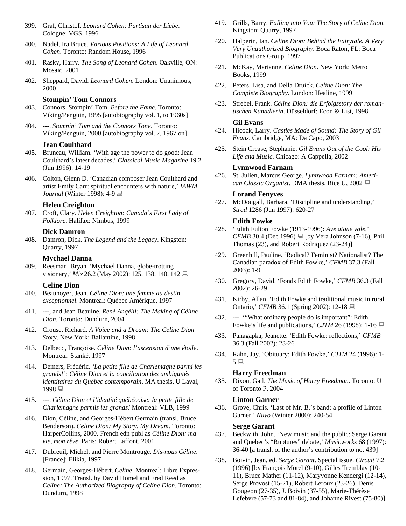- 399. Graf, Christof. *Leonard Cohen: Partisan der Liebe*. Cologne: VGS, 1996
- 400. Nadel, Ira Bruce. *Various Positions: A Life of Leonard Cohen*. Toronto: Random House, 1996
- 401. Rasky, Harry. *The Song of Leonard Cohen*. Oakville, ON: Mosaic, 2001
- 402. Sheppard, David. *Leonard Cohen*. London: Unanimous, 2000

#### **Stompin' Tom Connors**

- 403. Connors, Stompin' Tom. *Before the Fame*. Toronto: Viking/Penguin, 1995 [autobiography vol. 1, to 1960s]
- 404. ---. *Stompin' Tom and the Connors Tone*. Toronto: Viking/Penguin, 2000 [autobiography vol. 2, 1967 on]

#### **Jean Coulthard**

- 405. Bruneau, William. 'With age the power to do good: Jean Coulthard's latest decades,' *Classical Music Magazine* 19.2 (Jun 1996): 14-19
- 406. Colton, Glenn D. 'Canadian composer Jean Coulthard and artist Emily Carr: spiritual encounters with nature,' *IAWM Journal* (Winter 1998): 4-9 **■**

#### **Helen Creighton**

407. Croft, Clary. *Helen Creighton: Canada's First Lady of Folklore*. Halifax: Nimbus, 1999

#### **Dick Damron**

408. Damron, Dick. *The Legend and the Legacy*. Kingston: Quarry, 1997

#### **Mychael Danna**

409. Reesman, Bryan. 'Mychael Danna, globe-trotting visionary,' *Mix* 26.2 (May 2002): 125, 138, 140, 142

#### **Celine Dion**

- 410. Beaunoyer, Jean. *Céline Dion: une femme au destin exceptionnel*. Montreal: Québec Amérique, 1997
- 411. ---, and Jean Beaulne. *René Angélil: The Making of Céline Dion*. Toronto: Dundurn, 2004
- 412. Crouse, Richard. *A Voice and a Dream: The Celine Dion Story*. New York: Ballantine, 1998
- 413. Delbecq, Françoise. *Céline Dion: l'ascension d'une étoile*. Montreal: Stanké, 1997
- 414. Demers, Frédéric. *'La petite fille de Charlemagne parmi les grands!': Céline Dion et la conciliation des ambiguïtés identitaires du Québec contemporain*. MA thesis, U Laval,  $1998 \equiv$
- 415. ---. *Céline Dion et l'identité québécoise: la petite fille de Charlemagne parmis les grands!* Montreal: VLB, 1999
- 416. Dion, Céline, and Georges-Hébert Germain (transl. Bruce Benderson). *Celine Dion: My Story, My Dream*. Toronto: HarperCollins, 2000. French edn publ as *Céline Dion: ma vie, mon rêve*. Paris: Robert Laffont, 2001
- 417. Dubreuil, Michel, and Pierre Montrouge. *Dis-nous Céline*. [France]: Elikia, 1997
- 418. Germain, Georges-Hébert. *Celine*. Montreal: Libre Expression, 1997. Transl. by David Homel and Fred Reed as *Celine: The Authorized Biography of Celine Dion*. Toronto: Dundurn, 1998
- 419. Grills, Barry. *Falling into You: The Story of Celine Dion*. Kingston: Quarry, 1997
- 420. Halperin, Ian. *Celine Dion: Behind the Fairytale. A Very Very Unauthorized Biography*. Boca Raton, FL: Boca Publications Group, 1997
- 421. McKay, Marianne. *Celine Dion*. New York: Metro Books, 1999
- 422. Peters, Lisa, and Della Druick. *Celine Dion: The Complete Biography*. London: Healine, 1999
- 423. Strebel, Frank. *Céline Dion: die Erfolgsstory der romantischen Kanadierin*. Düsseldorf: Econ & List, 1998

### **Gil Evans**

- 424. Hicock, Larry. *Castles Made of Sound: The Story of Gil Evans*. Cambridge, MA: Da Capo, 2003
- 425. Stein Crease, Stephanie. *Gil Evans Out of the Cool: His Life and Music*. Chicago: A Cappella, 2002

#### **Lynnwood Farnam**

426. St. Julien, Marcus George. *Lynnwood Farnam: American Classic Organist*. DMA thesis, Rice U, 2002

#### **Lorand Fenyves**

427. McDougall, Barbara. 'Discipline and understanding,' *Strad* 1286 (Jun 1997): 620-27

#### **Edith Fowke**

- 428. 'Edith Fulton Fowke (1913-1996): *Ave atque vale*,' *CFMB* 30.4 (Dec 1996)  $\Box$  [by Vera Johnson (7-16), Phil Thomas (23), and Robert Rodriquez (23-24)]
- 429. Greenhill, Pauline. 'Radical? Feminist? Nationalist? The Canadian paradox of Edith Fowke,' *CFMB* 37.3 (Fall 2003): 1-9
- 430. Gregory, David. 'Fonds Edith Fowke,' *CFMB* 36.3 (Fall 2002): 26-29
- 431. Kirby, Allan. 'Edith Fowke and traditional music in rural Ontario,' *CFMB* 36.1 (Spring 2002): 12-18
- 432. ---. '"What ordinary people do is important": Edith Fowke's life and publications,' *CJTM* 26 (1998): 1-16
- 433. Panagapka, Jeanette. 'Edith Fowke: reflections,' *CFMB* 36.3 (Fall 2002): 23-26
- 434. Rahn, Jay. 'Obituary: Edith Fowke,' *CJTM* 24 (1996): 1-  $5 \equiv$

#### **Harry Freedman**

435. Dixon, Gail. *The Music of Harry Freedman*. Toronto: U of Toronto P, 2004

#### **Linton Garner**

436. Grove, Chris. 'Last of Mr. B.'s band: a profile of Linton Garner,' *Nuvo* (Winter 2000): 240-54

#### **Serge Garant**

- 437. Beckwith, John. 'New music and the public: Serge Garant and Quebec's "Ruptures" debate,' *Musicworks* 68 (1997): 36-40 [a transl. of the author's contribution to no. 439]
- 438. Boivin, Jean, ed. *Serge Garant*. Special issue. *Circuit* 7.2 (1996) [by François Morel (9-10), Gilles Tremblay (10- 11), Bruce Mather (11-12), Maryvonne Kendergi (12-14), Serge Provost (15-21), Robert Leroux (23-26), Denis Gougeon (27-35), J. Boivin (37-55), Marie-Thérèse Lefebvre (57-73 and 81-84), and Johanne Rivest (75-80)]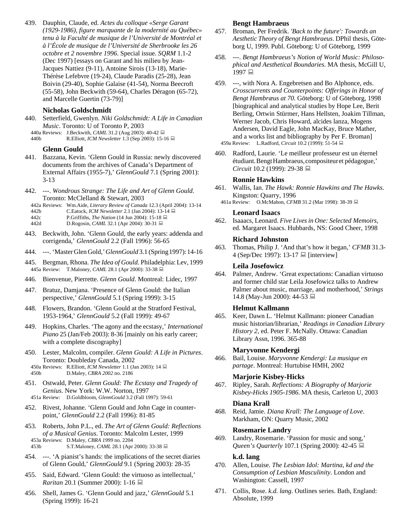439. Dauphin, Claude, ed. *Actes du colloque «Serge Garant (1929-1986), figure marquante de la modernité au Québec» tenu à la Faculté de musique de l'Université de Montréal et à l'École de musique de l'Université de Sherbrooke les 26 octobre et 2 novembre 1996*. Special issue. *SQRM* 1.1-2 (Dec 1997) [essays on Garant and his milieu by Jean-Jacques Nattiez (9-11), Antoine Sirois (13-18), Marie-Thérèse Lefebvre (19-24), Claude Paradis (25-28), Jean Boivin (29-40), Sophie Galaise (41-54), Norma Beecroft (55-58), John Beckwith (59-64), Charles Déragon (65-72), and Marcelle Guertin (73-79)]

#### **Nicholas Goldschmidt**

440. Setterfield, Gwenlyn. *Niki Goldschmidt: A Life in Canadian Music*. Toronto: U of Toronto P, 2003 440a Reviews: J.Beckwith, *CAML* 31.2 (Aug 2003): 40-42

440b R.Elliott, *ICM Newsletter* 1.3 (Sep 2003): 15-16

#### **Glenn Gould**

- 441. Bazzana, Kevin. 'Glenn Gould in Russia: newly discovered documents from the archives of Canada's Department of External Affairs (1955-7),' *GlennGould* 7.1 (Spring 2001): 3-13
- 442. ---. *Wondrous Strange: The Life and Art of Glenn Gould*. Toronto: McClelland & Stewart, 2003
- 442a Reviews: Wm.Aide, *Literary Review of Canada* 12.3 (April 2004): 13-14
- 442b C.Eatock, *ICM Newsletter* 2.1 (Jan 2004): 13-14
- 442c P.Griffiths, *The Nation* (14 Jun 2004): 15-18
- 442d D.Rogosin, *CAML* 32.1 (Apr 2004): 30-31 ■
- 443. Beckwith, John. 'Glenn Gould, the early years: addenda and corrigenda,' *GlennGould* 2.2 (Fall 1996): 56-65
- 444. ---. 'MasterGlen Gold,'*GlennGould* 3.1 (Spring1997):14-16
- 445. Bergman, Rhona. *The Idea of Gould*. Philadelphia:Lev, 1999 445a Review: T.Maloney, *CAML* 28.1 (Apr 2000): 33-38
- 446. Bienvenue, Pierrette. *Glenn Gould*. Montreal: Lidec, 1997
- 447. Bratuz, Damjana. 'Presence of Glenn Gould: the Italian perspective,' *GlennGould* 5.1 (Spring 1999): 3-15
- 448. Flowers, Brandon. 'Glenn Gould at the Stratford Festival, 1953-1964,' *GlennGould* 5.2 (Fall 1999): 49-67
- 449. Hopkins, Charles. 'The agony and the ecstasy,' *International Piano* 25 (Jan/Feb 2003): 8-36 [mainly on his early career; with a complete discography]

450. Lester, Malcolm, compiler. *Glenn Gould: A Life in Pictures*. Toronto: Doubleday Canada, 2002 450a Reviews: R.Elliott, *ICM Newsletter* 1.1 (Jan 2003): 14 450b D.Maley, *CBRA 2002* no. 2186

451. Ostwald, Peter. *Glenn Gould: The Ecstasy and Tragedy of Genius*. New York: W.W. Norton, 1997

- 451a Review: D.Goldbloom, *GlennGould* 3.2 (Fall 1997): 59-61
- 452. Rivest, Johanne. 'Glenn Gould and John Cage in counterpoint,' *GlennGould* 2.2 (Fall 1996): 81-85
- 453. Roberts, John P.L., ed. *The Art of Glenn Gould: Reflections of a Musical Genius*. Toronto: Malcolm Lester, 1999 453a Reviews: D.Maley, *CBRA 1999* no. 2204 453b S.T.Maloney, *CAML* 28.1 (Apr 2000): 33-38 **■**
- 454. ---. 'A pianist's hands: the implications of the secret diaries of Glenn Gould,' *GlennGould* 9.1 (Spring 2003): 28-35
- 455. Said, Edward. 'Glenn Gould: the virtuoso as intellectual,' *Raritan* 20.1 (Summer 2000): 1-16
- 456. Shell, James G. 'Glenn Gould and jazz,' *GlennGould* 5.1 (Spring 1999): 16-21

#### **Bengt Hambraeus**

- 457. Broman, Per Fredrik. *'Back to the future': Towards an Aesthetic Theory of Bengt Hambraeus*. DPhil thesis, Göteborg U, 1999. Publ. Göteborg: U of Göteborg, 1999
- 458. ---. *Bengt Hambraeus's Notion of World Music: Philosophical and Aesthetical Boundaries*. MA thesis, McGill U, 1997 里
- 459. ---, with Nora A. Engebretsen and Bo Alphonce, eds. *Crosscurrents and Counterpoints: Offerings in Honor of Bengt Hambræus at 70*. Göteborg: U of Göteborg, 1998 [biographical and analytical studies by Hope Lee, Berit Berling, Ortwin Stürmer, Hans Hellsten, Joakim Tillman, Werner Jacob, Chris Howard, alcides lanza, Mogens Andersen, David Eagle, John MacKay, Bruce Mather, and a works list and bibliography by Per F. Broman] 459a Review: L.Radford, *Circuit* 10.2 (1999): 51-54
- 460. Radford, Laurie. 'Le meilleur professeur est un éternel étudiant.BengtHambraeus,compositeuret pédagogue,' *Circuit* 10.2 (1999): 29-38

#### **Ronnie Hawkins**

- 461. Wallis, Ian. *The Hawk: Ronnie Hawkins and The Hawks*. Kingston: Quarry, 1996
	- 461a Review: O.McMahon, *CFMB* 31.2 (Mar 1998): 38-39

#### **Leonard Isaacs**

462. Isaaacs, Leonard. *Five Lives in One: Selected Memoirs*, ed. Margaret Isaacs. Hubbards, NS: Good Cheer, 1998

#### **Richard Johnston**

463. Thomas, Philip J. 'And that's how it began,' *CFMB* 31.3-  $4$  (Sep/Dec 1997): 13-17  $\Box$  [interview]

#### **Leila Josefowicz**

464. Palmer, Andrew. 'Great expectations: Canadian virtuoso and former child star Leila Josefowicz talks to Andrew Palmer about music, marriage, and motherhood,' *Strings* 14.8 (May-Jun 2000): 44-53

#### **Helmut Kallmann**

465. Keer, Dawn L. 'Helmut Kallmann: pioneer Canadian music historian/librarian,' *Readings in Canadian Library History 2*, ed. Peter F. McNally. Ottawa: Canadian Library Assn, 1996. 365-88

#### **Maryvonne Kendergi**

466. Bail, Louise. *Maryvonne Kendergi: La musique en partage*. Montreal: Hurtubise HMH, 2002

#### **Marjorie Kisbey-Hicks**

467. Ripley, Sarah. *Reflections: A Biography of Marjorie Kisbey-Hicks 1905-1986*. MA thesis, Carleton U, 2003

#### **Diana Krall**

468. Reid, Jamie. *Diana Krall: The Language of Love*. Markham, ON: Quarry Music, 2002

#### **Rosemarie Landry**

469. Landry, Rosemarie. 'Passion for music and song,' *Queen's Quarterly* 107.1 (Spring 2000): 42-45 **■** 

#### **k.d. lang**

- 470. Allen, Louise. *The Lesbian Idol: Martina, kd and the Consumption of Lesbian Masculinity*. London and Washington: Cassell, 1997
- 471. Collis, Rose. *k.d. lang*. Outlines series. Bath, England: Absolute, 1999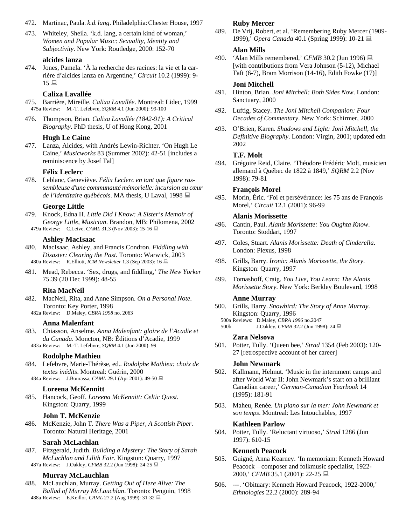- 472. Martinac, Paula. *k.d.lang*. Philadelphia:Chester House, 1997
- 473. Whiteley, Sheila. 'k.d. lang, a certain kind of woman,' *Women and Popular Music: Sexuality, Identity and Subjectivity*. New York: Routledge, 2000: 152-70

### **alcides lanza**

474. Jones, Pamela. 'À la recherche des racines: la vie et la carrière d'alcides lanza en Argentine,' *Circuit* 10.2 (1999): 9-  $15 \equiv$ 

# **Calixa Lavallée**

- 475. Barrière, Mireille. *Calixa Lavallée*. Montreal: Lidec, 1999 475a Review: M.-T. Lefebvre, *SQRM* 4.1 (Jun 2000): 99-100
- 476. Thompson, Brian. *Calixa Lavallée (1842-91): A Critical Biography*. PhD thesis, U of Hong Kong, 2001

## **Hugh Le Caine**

477. Lanza, Alcides, with Andrés Lewin-Richter. 'On Hugh Le Caine,' *Musicworks* 83 (Summer 2002): 42-51 [includes a reminiscence by Josef Tal]

## **Félix Leclerc**

478. Leblanc, Geneviève. *Félix Leclerc en tant que figure rassembleuse d'une communauté mémorielle:incursion au cœur de l'identitaire québécois*. MA thesis, U Laval, 1998

### **George Little**

479. Knock, Edna H. *Little Did I Know: A Sister's Memoir of George Little, Musician*. Brandon, MB: Philomena, 2002 479a Review: C.Leive, *CAML* 31.3 (Nov 2003): 15-16

#### **Ashley MacIsaac**

- 480. MacIsaac, Ashley, and Francis Condron. *Fiddling with Disaster: Clearing the Past*. Toronto: Warwick, 2003 480a Review: R.Elliott, *ICM Newsletter* 1.3 (Sep 2003): 16
- 481. Mead, Rebecca. 'Sex, drugs, and fiddling,' *The New Yorker* 75.39 (20 Dec 1999): 48-55

### **Rita MacNeil**

- 482. MacNeil, Rita, and Anne Simpson. *On a Personal Note*. Toronto: Key Porter, 1998
	- 482a Review: D.Maley, *CBRA 1998* no. 2063

#### **Anna Malenfant**

483. Chiasson, Anselme. *Anna Malenfant: gloire de l'Acadie et du Canada*. Moncton, NB: Éditions d'Acadie, 1999 483a Review: M.-T. Lefebvre, *SQRM* 4.1 (Jun 2000): 99

# **Rodolphe Mathieu**

- 484. Lefebvre, Marie-Thérèse, ed.. *Rodolphe Mathieu: choix de textes inédits*. Montreal: Guérin, 2000
	- 484a Review: J.Bourassa, *CAML* 29.1 (Apr 2001): 49-50

# **Loreena McKennitt**

485. Hancock, Geoff. *Loreena McKennitt: Celtic Quest*. Kingston: Quarry, 1999

### **John T. McKenzie**

486. McKenzie, John T. *There Was a Piper, A Scottish Piper*. Toronto: Natural Heritage, 2001

### **Sarah McLachlan**

487. Fitzgerald, Judith. *Building a Mystery: The Story of Sarah McLachlan and Lilith Fair*. Kingston: Quarry, 1997 487a Review: J.Oakley, *CFMB* 32.2 (Jun 1998): 24-25 ■

### **Murray McLauchlan**

488. McLauchlan, Murray. *Getting Out of Here Alive: The Ballad of Murray McLauchlan*. Toronto: Penguin, 1998 488a Review: E.Keillor, *CAML* 27.2 (Aug 1999): 31-32

#### **Ruby Mercer**

489. De Vrij, Robert, et al. 'Remembering Ruby Mercer (1909- 1999),' *Opera Canada* 40.1 (Spring 1999): 10-21

### **Alan Mills**

490. 'Alan Mills remembered,' *CFMB* 30.2 (Jun 1996) ■ [with contributions from Vera Johnson (5-12), Michael Taft (6-7), Bram Morrison (14-16), Edith Fowke (17)]

#### **Joni Mitchell**

- 491. Hinton, Brian. *Joni Mitchell: Both Sides Now*. London: Sanctuary, 2000
- 492. Luftig, Stacey. *The Joni Mitchell Companion: Four Decades of Commentary*. New York: Schirmer, 2000
- 493. O'Brien, Karen. *Shadows and Light: Joni Mitchell, the Definitive Biography*. London: Virgin, 2001; updated edn 2002

### **T.F. Molt**

494. Grégoire Reid, Claire. 'Théodore Frédéric Molt, musicien allemand à Québec de 1822 à 1849,' *SQRM* 2.2 (Nov 1998): 79-81

## **François Morel**

495. Morin, Éric. 'Foi et persévérance: les 75 ans de François Morel,' *Circuit* 12.1 (2001): 96-99

### **Alanis Morissette**

- 496. Cantin, Paul. *Alanis Morissette: You Oughta Know*. Toronto: Stoddart, 1997
- 497. Coles, Stuart. *Alanis Morissette: Death of Cinderella*. London: Plexus, 1998
- 498. Grills, Barry. *Ironic: Alanis Morissette, the Story*. Kingston: Quarry, 1997
- 499. Tomashoff, Craig. *You Live, You Learn: The Alanis Morissette Story*. New York: Berkley Boulevard, 1998

#### **Anne Murray**

- 500. Grills, Barry. *Snowbird: The Story of Anne Murray*. Kingston: Quarry, 1996
	- 500a Reviews: D.Maley, *CBRA 1996* no.2047
	- J.Oakley, *CFMB* 32.2 (Jun 1998): 24

#### **Zara Nelsova**

501. Potter, Tully. 'Queen bee,' *Strad* 1354 (Feb 2003): 120- 27 [retrospective account of her career]

#### **John Newmark**

- 502. Kallmann, Helmut. 'Music in the internment camps and after World War II: John Newmark's start on a brilliant Canadian career,' *German-Canadian Yearbook* 14 (1995): 181-91
- 503. Maheu, Renée. *Un piano sur la mer: John Newmark et son temps*. Montreal: Les Intouchables, 1997

### **Kathleen Parlow**

504. Potter, Tully. 'Reluctant virtuoso,' *Strad* 1286 (Jun 1997): 610-15

### **Kenneth Peacock**

- 505. Guigné, Anna Kearney. 'In memoriam: Kenneth Howard Peacock – composer and folkmusic specialist, 1922- 2000,' *CFMB* 35.1 (2001): 22-25 ■
- 506. ---. 'Obituary: Kenneth Howard Peacock, 1922-2000,' *Ethnologies* 22.2 (2000): 289-94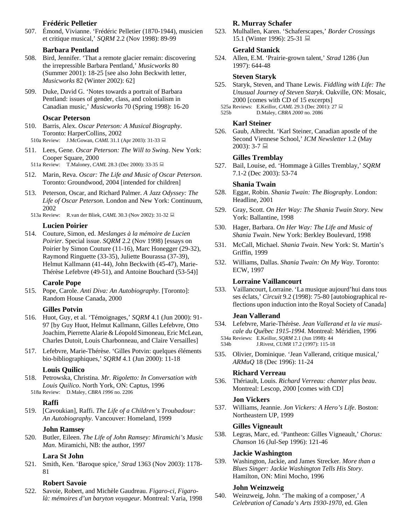# **Frédéric Pelletier**

507. Émond, Vivianne. 'Frédéric Pelletier (1870-1944), musicien et critique musical,' *SQRM* 2.2 (Nov 1998): 89-99

### **Barbara Pentland**

- 508. Bird, Jennifer. 'That a remote glacier remain: discovering the irrepressible Barbara Pentland,' *Musicworks* 80 (Summer 2001): 18-25 [see also John Beckwith letter, *Musicworks* 82 (Winter 2002): 62]
- 509. Duke, David G. 'Notes towards a portrait of Barbara Pentland: issues of gender, class, and colonialism in Canadian music,' *Musicworks* 70 (Spring 1998): 16-20

#### **Oscar Peterson**

- 510. Barris, Alex. *Oscar Peterson: A Musical Biography*. Toronto: HarperCollins, 2002 510a Review: J.McGowan, *CAML* 31.1 (Apr 2003): 31-33 ■
- 511. Lees, Gene. *Oscar Peterson: The Will to Swing*. New York: Cooper Square, 2000
- 511a Review: T.Maloney, *CAML* 28.3 (Dec 2000): 33-35
- 512. Marin, Reva. *Oscar: The Life and Music of Oscar Peterson*. Toronto: Groundwood, 2004 [intended for children]
- 513. Peterson, Oscar, and Richard Palmer. *A Jazz Odyssey: The Life of Oscar Peterson*. London and New York: Continuum, 2002
	- 513a Review: R.van der Bliek, *CAML* 30.3 (Nov 2002): 31-32

#### **Lucien Poirier**

514. Couture, Simon, ed. *Meslanges à la mémoire de Lucien Poirier*. Special issue. *SQRM* 2.2 (Nov 1998) [essays on Poirier by Simon Couture (11-16), Marc Honegger (29-32), Raymond Ringuette (33-35), Juliette Bourassa (37-39), Helmut Kallmann (41-44), John Beckwith (45-47), Marie-Thérèse Lefebvre (49-51), and Antoine Bouchard (53-54)]

#### **Carole Pope**

515. Pope, Carole. *Anti Diva: An Autobiography*. [Toronto]: Random House Canada, 2000

### **Gilles Potvin**

- 516. Huot, Guy, et al. 'Témoignages,' *SQRM* 4.1 (Jun 2000): 91- 97 [by Guy Huot, Helmut Kallmann, Gilles Lefebvre, Otto Joachim, Pierrette Alarie&Léopold Simoneau, Eric McLean, Charles Dutoit, Louis Charbonneau, and Claire Versailles]
- 517. Lefebvre, Marie-Thérèse. 'Gilles Potvin: quelques éléments bio-bibliographiques,' *SQRM* 4.1 (Jun 2000): 11-18

#### **Louis Quilico**

- 518. Petrowska, Christina. *Mr. Rigoletto: In Conversation with Louis Quilico*. North York, ON: Captus, 1996
	- 518a Review: D.Maley, *CBRA 1996* no. 2206

#### **Raffi**

519. [Cavoukian], Raffi. *The Life of a Children's Troubadour: An Autobiography*. Vancouver: Homeland, 1999

#### **John Ramsey**

520. Butler, Eileen. *The Life of John Ramsey: Miramichi's Music Man*. Miramichi, NB: the author, 1997

### **Lara St John**

521. Smith, Ken. 'Baroque spice,' *Strad* 1363 (Nov 2003): 1178- 81

# **Robert Savoie**

522. Savoie, Robert, and Michèle Gaudreau. *Figaro-ci, Figarolà: mémoires d'un baryton voyageur*. Montreal: Varia, 1998

## **R. Murray Schafer**

523. Mulhallen, Karen. 'Schaferscapes,' *Border Crossings* 15.1 (Winter 1996): 25-31 ■

### **Gerald Stanick**

524. Allen, E.M. 'Prairie-grown talent,' *Strad* 1286 (Jun 1997): 644-48

#### **Steven Staryk**

- 525. Staryk, Steven, and Thane Lewis. *Fiddling with Life: The Unusual Journey of Steven Staryk*. Oakville, ON: Mosaic, 2000 [comes with CD of 15 excerpts]
	- 525a Reviews: E.Keillor, *CAML* 29.3 (Dec 2001): 27
	- 525b D.Maley, *CBRA 2000* no. 2086

# **Karl Steiner**

526. Gaub, Albrecht. 'Karl Steiner, Canadian apostle of the Second Viennese School,' *ICM Newsletter* 1.2 (May  $2003$ : 3-7

### **Gilles Tremblay**

527. Bail, Louise, ed. 'Hommage à Gilles Tremblay,' *SQRM* 7.1-2 (Dec 2003): 53-74

### **Shania Twain**

- 528. Eggar, Robin. *Shania Twain: The Biography*. London: Headline, 2001
- 529. Gray, Scott. *On Her Way: The Shania Twain Story*. New York: Ballantine, 1998
- 530. Hager, Barbara. *On Her Way: The Life and Music of Shania Twain*. New York: Berkley Boulevard, 1998
- 531. McCall, Michael. *Shania Twain*. New York: St. Martin's Griffin, 1999
- 532. Williams, Dallas. *Shania Twain: On My Way*. Toronto: ECW, 1997

#### **Lorraine Vaillancourt**

533. Vaillancourt, Lorraine. 'La musique aujourd'hui dans tous ses éclats,' *Circuit* 9.2 (1998): 75-80 [autobiographical reflections upon induction into the Royal Society of Canada]

#### **Jean Vallerand**

534. Lefebvre, Marie-Thérèse. *Jean Vallerand et la vie musicale du Québec 1915-1994*. Montreal: Méridien, 1996 534a Reviews: E.Keillor, *SQRM* 2.1 (Jun 1998): 44

534b J.Rivest, *CUMR* 17.2 (1997): 115-18

535. Olivier, Dominique. 'Jean Vallerand, critique musical,' *ARMuQ* 18 (Dec 1996): 11-24

#### **Richard Verreau**

536. Thériault, Louis. *Richard Verreau: chanter plus beau*. Montreal: Lescop, 2000 [comes with CD]

#### **Jon Vickers**

537. Williams, Jeannie. *Jon Vickers: A Hero's Life*. Boston: Northeastern UP, 1999

#### **Gilles Vigneault**

538. Legras, Marc, ed. 'Pantheon: Gilles Vigneault,' *Chorus: Chanson* 16 (Jul-Sep 1996): 121-46

#### **Jackie Washington**

539. Washington, Jackie, and James Strecker. *More than a Blues Singer: Jackie Washington Tells His Story*. Hamilton, ON: Mini Mocho, 1996

#### **John Weinzweig**

540. Weinzweig, John. 'The making of a composer,' *A Celebration of Canada's Arts 1930-1970*, ed. Glen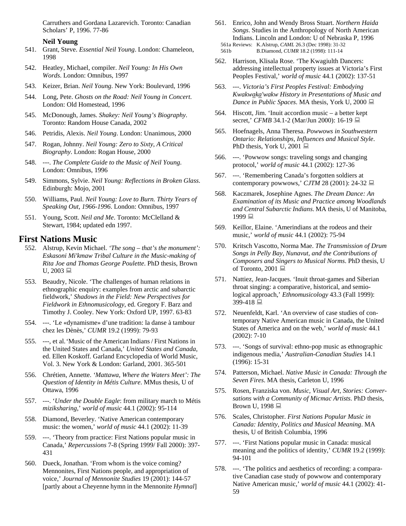Carruthers and Gordana Lazarevich. Toronto: Canadian Scholars' P, 1996. 77-86

#### **Neil Young**

- 541. Grant, Steve. *Essential Neil Young*. London: Chameleon, 1998
- 542. Heatley, Michael, compiler. *Neil Young: In His Own Words*. London: Omnibus, 1997
- 543. Keizer, Brian. *Neil Young*. New York: Boulevard, 1996
- 544. Long, Pete. *Ghosts on the Road: Neil Young in Concert*. London: Old Homestead, 1996
- 545. McDonough, James. *Shakey: Neil Young's Biography*. Toronto: Random House Canada, 2002
- 546. Petridis, Alexis. *Neil Young*. London: Unanimous, 2000
- 547. Rogan, Johnny. *Neil Young: Zero to Sixty, A Critical Biography*. London: Rogan House, 2000
- 548. ---. *The Complete Guide to the Music of Neil Young*. London: Omnibus, 1996
- 549. Simmons, Sylvie. *Neil Young: Reflections in Broken Glass*. Edinburgh: Mojo, 2001
- 550. Williams, Paul. *Neil Young: Love to Burn. Thirty Years of Speaking Out, 1966-1996*. London: Omnibus, 1997
- 551. Young, Scott. *Neil and Me*. Toronto: McClelland & Stewart, 1984; updated edn 1997.

# **First Nations Music**

- 552. Alstrup, Kevin Michael. *'The song that's the monument': Eskasoni Mi'kmaw Tribal Culture in the Music-making of Rita Joe and Thomas George Poulette*. PhD thesis, Brown  $U$ , 2003
- 553. Beaudry, Nicole. 'The challenges of human relations in ethnographic enquiry: examples from arctic and subarctic fieldwork,' *Shadows in the Field: New Perspectives for Fieldwork in Ethnomusicology*, ed. Gregory F. Barz and Timothy J. Cooley. New York: Oxford UP, 1997. 63-83
- 554. ---. 'Le «dynamisme» d'une tradition: la danse à tambour chez les Dènès,' *CUMR* 19.2 (1999): 79-93
- 555. ---, et al.'Music of the American Indians / First Nations in the United States and Canada,' *United States and Canada*, ed. Ellen Koskoff. Garland Encyclopedia of World Music, Vol. 3. New York & London: Garland, 2001. 365-501
- 556. Chrétien, Annette. *'Mattawa, Where the Waters Meet': The Question of Identity in Métis Culture*. MMus thesis, U of Ottawa, 1996
- 557. ---. '*Under the Double Eagle*: from military march to Métis *miziksharing*,' *world of music* 44.1 (2002): 95-114
- 558. Diamond, Beverley. 'Native American contemporary music: the women,' *world of music* 44.1 (2002): 11-39
- 559. ---. 'Theory from practice: First Nations popular music in Canada,' *Repercussions* 7-8 (Spring 1999/ Fall 2000): 397- 431
- 560. Dueck, Jonathan. 'From whom is the voice coming? Mennonites, First Nations people, and appropriation of voice,' *Journal of Mennonite Studies* 19 (2001): 144-57 [partly about a Cheyenne hymn in the Mennonite *Hymnal*]
- 561. Enrico, John and Wendy Bross Stuart. *Northern Haida Songs*. Studies in the Anthropology of North American Indians. Lincoln and London: U of Nebraska P, 1996 561a Reviews: K.Alstrup, *CAML* 26.3 (Dec 1998): 31-32 561b B.Diamond, *CUMR* 18.2 (1998): 111-14
- 562. Harrison, Klisala Rose. 'The Kwagiulth Dancers: addressing intellectual property issues at Victoria's First Peoples Festival,' *world of music* 44.1 (2002): 137-51
- 563. ---. *Victoria's First Peoples Festival: Embodying Kwakwaka'wakw History in Presentations of Music and Dance in Public Spaces*. MA thesis, York U, 2000 **■**
- 564. Hiscott, Jim. 'Inuit accordion music a better kept secret,' *CFMB* 34.1-2 (Mar/Jun 2000): 16-19
- 565. Hoefnagels, Anna Theresa. *Powwows in Southwestern Ontario: Relationships, Influences and Musical Style*. PhD thesis, York U, 2001
- 566. ---. 'Powwow songs: traveling songs and changing protocol,' *world of music* 44.1 (2002): 127-36
- 567. ---. 'Remembering Canada's forgotten soldiers at contemporary powwows,' *CJTM* 28 (2001): 24-32
- 568. Kaczmarek, Josephine Agnes. *The Dream Dance: An Examination of its Music and Practice among Woodlands and Central Subarctic Indians*. MA thesis, U of Manitoba, 1999 里
- 569. Keillor, Elaine. 'Amerindians at the rodeos and their music,' *world of music* 44.1 (2002): 75-94
- 570. Kritsch Vascotto, Norma Mae. *The Transmission of Drum Songs in Pelly Bay, Nunavut, and the Contributions of Composers and Singers to Musical Norms*. PhD thesis, U of Toronto, 2001
- 571. Nattiez, Jean-Jacques. 'Inuit throat-games and Siberian throat singing: a comparative, historical, and semiological approach,' *Ethnomusicology* 43.3 (Fall 1999): 399-418 ■
- 572. Neuenfeldt, Karl. 'An overview of case studies of contemporary Native American music in Canada, the United States of America and on the web,' *world of music* 44.1 (2002): 7-10
- 573. ---. 'Songs of survival: ethno-pop music as ethnographic indigenous media,' *Australian-Canadian Studies* 14.1 (1996): 15-31
- 574. Patterson, Michael. *Native Music in Canada: Through the Seven Fires*. MA thesis, Carleton U, 1996
- 575. Rosen, Franziska von. *Music, Visual Art, Stories: Conversations with a Community of Micmac Artists*. PhD thesis, Brown U, 1998
- 576. Scales, Christopher. *First Nations Popular Music in Canada: Identity, Politics and Musical Meaning*. MA thesis, U of British Columbia, 1996
- 577. ---. 'First Nations popular music in Canada: musical meaning and the politics of identity,' *CUMR* 19.2 (1999): 94-101
- 578. ---. 'The politics and aesthetics of recording: a comparative Canadian case study of powwow and contemporary Native American music,' *world of music* 44.1 (2002): 41- 59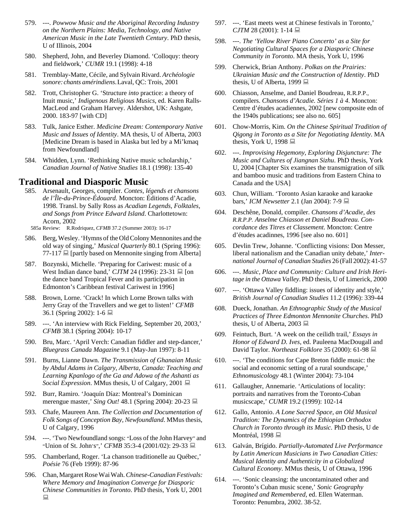- 579. ---. *Powwow Music and the Aboriginal Recording Industry on the Northern Plains: Media, Technology, and Native American Music in the Late Twentieth Century*. PhD thesis, U of Illinois, 2004
- 580. Shepherd, John, and Beverley Diamond. 'Colloquy: theory and fieldwork,' *CUMR* 19.1 (1998): 4-18
- 581. Tremblay-Matte, Cécile, and Sylvain Rivard. *Archéologie sonore:chants amérindiens*.Laval, QC: Trois, 2001
- 582. Trott, Christopher G. 'Structure *into* practice: a theory of Inuit music,' *Indigenous Religious Musics*, ed. Karen Ralls-MacLeod and Graham Harvey. Aldershot, UK: Ashgate, 2000. 183-97 [with CD]
- 583. Tulk, Janice Esther. *Medicine Dream: Contemporary Native Music and Issues of Identity*. MA thesis, U of Alberta, 2003 [Medicine Dream is based in Alaska but led by a Mi'kmaq from Newfoundland]
- 584. Whidden, Lynn. 'Rethinking Native music scholarship,' *Canadian Journal of Native Studies* 18.1 (1998): 135-40

# **Traditional and Diasporic Music**

585. Arsenault, Georges, compiler. *Contes, légends et chansons de l'Île-du-Prince-Édouard.* Moncton: Éditions d'Acadie, 1998. Transl. by Sally Ross as *Acadian Legends, Folktales, and Songs from Prince Edward Island*. Charlottetown: Acorn, 2002

585a Review: R.Rodriquez, *CFMB* 37.2 (Summer 2003): 16-17

- 586. Berg,Wesley.'Hymns of theOldColonyMennonites and the old way of singing,' *Musical Quarterly* 80.1 (Spring 1996):  $77-117 \equiv$  [partly based on Mennonite singing from Alberta]
- 587. Bozynski, Michelle. 'Preparing for Cariwest: music of a West Indian dance band,' *CJTM* 24 (1996): 23-31  $\Box$  [on the dance band Tropical Fever and its participation in Edmonton's Caribbean festival Cariwest in 1996]
- 588. Brown, Lorne. 'Crack! In which Lorne Brown talks with Jerry Gray of the Travellers and we get to listen!' *CFMB* 36.1 (Spring 2002): 1-6
- 589. ---. 'An interview with Rick Fielding, September 20, 2003,' *CFMB* 38.1 (Spring 2004): 10-17
- 590. Bru, Marc. 'April Verch: Canadian fiddler and step-dancer,' *Bluegrass Canada Magazine* 9.1 (May-Jun 1997): 8-11
- 591. Burns, Lianne Dawn. *The Transmission of Ghanaian Music by Abdul Adams in Calgary, Alberta, Canada: Teaching and Learning Kpanlogo of the Ga and Adowa of the Ashanti as Social Expression*. MMus thesis, U of Calgary, 2001
- 592. Burr, Ramiro. 'Joaquín Díaz: Montreal's Dominican merengue master,' *Sing Out!* 48.1 (Spring 2004): 20-23
- 593. Chafe, Maureen Ann. *The Collection and Documentation of Folk Songs of Conception Bay, Newfoundland*. MMus thesis, U of Calgary, 1996
- 594. ---. 'Two Newfoundland songs: "Loss of the John Harvey" and "Union of St. John's",' *CFMB* 35:3-4 (2001/02): 29-33
- 595. Chamberland, Roger. 'La chanson traditionelle au Québec,' *Poésie* 76 (Feb 1999): 87-96
- 596. Chan,MargaretRoseWaiWah.*Chinese-CanadianFestivals: Where Memory and Imagination Converge for Diasporic Chinese Communities in Toronto*. PhD thesis, York U, 2001  $\Box$
- 597. ---. 'East meets west at Chinese festivals in Toronto,' *CJTM* 28 (2001): 1-14
- 598. ---. *The 'Yellow River Piano Concerto' as a Site for Negotiating Cultural Spaces for a Diasporic Chinese Community in Toronto*. MA thesis, York U, 1996
- 599. Cherwick, Brian Anthony. *Polkas on the Prairies: Ukrainian Music and the Construction of Identity*. PhD thesis, U of Alberta, 1999  $\Box$
- 600. Chiasson, Anselme, and Daniel Boudreau, R.R.P.P., compilers. *Chansons d'Acadie. Séries 1 à 4*. Moncton: Centre d'études acadiennes, 2002 [new composite edn of the 1940s publications; see also no. 605]
- 601. Chow-Morris, Kim. *On the Chinese Spiritual Tradition of Qigong in Toronto as a Site for Negotiating Identity*. MA thesis, York U, 1998  $\Box$
- 602. ---. *Improvising Hegemony, Exploring Disjuncture: The Music and Cultures of Jiangnan Sizhu*. PhD thesis, York U, 2004 [Chapter Six examines the transmigration of silk and bamboo music and traditions from Eastern China to Canada and the USA]
- 603. Chun, William. 'Toronto Asian karaoke and karaoke bars,' *ICM Newsetter* 2.1 (Jan 2004): 7-9
- 604. Deschêne, Donald, compiler. *Chansons d'Acadie, des R.R.P.P. Anselme Chiasson et Daniel Boudreau. Concordance des Titres et Classement*. Moncton: Centre d'études acadinnes, 1996 [see also no. 601]
- 605. Devlin Trew, Johanne. 'Conflicting visions: Don Messer, liberal nationalism and the Canadian unity debate,' *International Journal of Canadian Studies* 26 (Fall 2002):41-57
- 606. ---. *Music, Place and Community: Culture and Irish Heritage in the Ottawa Valley*. PhD thesis, U of Limerick, 2000
- 607. ---. 'Ottawa Valley fiddling: issues of identity and style,' *British Journal of Canadian Studies* 11.2 (1996): 339-44
- 608. Dueck, Jonathan. *An Ethnographic Study of the Musical Practices of Three Edmonton Mennonite Churches*. PhD thesis, U of Alberta, 2003
- 609. Feintuch, Burt. 'A week on the ceilidh trail,' *Essays in Honor of Edward D. Ives*, ed. Pauleena MacDougall and David Taylor. *Northeast Folklore* 35 (2000): 61-98
- 610. ---. 'The conditions for Cape Breton fiddle music: the social and economic setting of a rural soundscape,' *Ethnomusicology* 48.1 (Winter 2004): 73-104
- 611. Gallaugher, Annemarie. 'Articulations of locality: portraits and narratives from the Toronto-Cuban musicscape,' *CUMR* 19.2 (1999): 102-14
- 612. Gallo, Antonio. *A Lone Sacred Space, an Old Musical Tradition: The Dynamics of the Ethiopian Orthodox Church in Toronto through its Music*. PhD thesis, U de Montréal, 1998 <del>■</del>
- 613. Galván, Brígido. *Partially-Automated Live Performance by Latin American Musicians in Two Canadian Cities: Musical Identity and Authenticity in a Globalized Cultural Economy*. MMus thesis, U of Ottawa, 1996
- 614. ---. 'Sonic cleansing: the uncontaminated other and Toronto's Cuban music scene,' *Sonic Geography Imagined and Remembered*, ed. Ellen Waterman. Toronto: Penumbra, 2002. 38-52.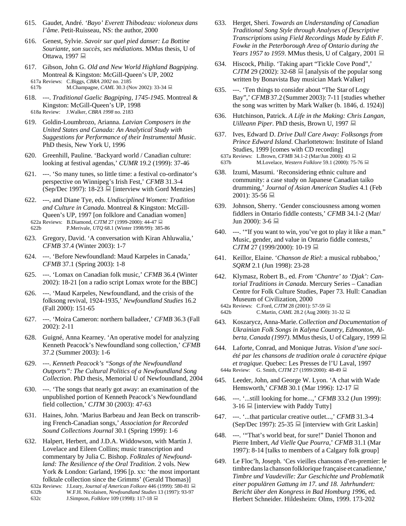- 615. Gaudet, André. *'Bayo' Everett Thibodeau: violoneux dans l'âme*. Petit-Ruisseau, NS: the author, 2000
- 616. Genest, Sylvie. *Savoir sur quel pied danser: La Bottine Souriante, son succès, ses médiations*. MMus thesis, U of Ottawa, 1997 **■**
- 617. Gibson, John G. *Old and New World Highland Bagpiping*. Montreal & Kingston: McGill-Queen's UP, 2002 617a Reviews: C.Biggs, *CBRA 2002* no. 2185 617b M.Champagne, *CAML* 30.3 (Nov 2002): 33-34
- 618. ---. *Traditional Gaelic Bagpiping, 1745-1945*. Montreal & Kingston: McGill-Queen's UP, 1998 618a Review: J.Walker, *CBRA 1998* no. 2183
- 619. Goldin-Loumbrozo, Arianna. *Latvian Composers in the United States and Canada: An Analytical Study with Suggestions for Performance of their Instrumental Music*. PhD thesis, New York U, 1996
- 620. Greenhill, Pauline. 'Backyard world / Canadian culture: looking at festival agendas,' *CUMR* 19.2 (1999): 37-46
- 621. ---. 'So many tunes, so little time: a festival co-ordinator's perspective on Winnipeg's Irish Fest,' *CFMB* 31.3-4  $(Sep/Dec 1997)$ : 18-23  $\Box$  [interview with Gord Menzies]
- 622. ---, and Diane Tye, eds. *Undisciplined Women: Tradition and Culture in Canada*. Montreal & Kingston: McGill-Queen's UP, 1997 [on folklore and Canadian women] 622a Reviews: B.Diamond, *CJTM* 27 (1999-2000): 44-47 622b P.Merivale, *UTQ* 68.1 (Winter 1998/99): 385-86
- 623. Gregory, David. 'A conversation with Kiran Ahluwalia,' *CFMB* 37.4 (Winter 2003): 1-7
- 624. ---. 'Before Newfoundland: Maud Karpeles in Canada,' *CFMB* 37.1 (Spring 2003): 1-8
- 625. ---. 'Lomax on Canadian folk music,' *CFMB* 36.4 (Winter 2002): 18-21 [on a radio script Lomax wrote for the BBC]
- 626. ---. 'Maud Karpeles, Newfoundland, and the crisis of the folksong revival, 1924-1935,' *Newfoundland Studies* 16.2 (Fall 2000): 151-65
- 627. ---. 'Moira Cameron: northern balladeer,' *CFMB* 36.3 (Fall 2002): 2-11
- 628. Guigné, Anna Kearney. 'An operative model for analyzing Kenneth Peacock's Newfoundland song collection,' *CFMB* 37.2 (Summer 2003): 1-6
- 629. ---. *Kenneth Peacock's "Songs of the Newfoundland Outports": The Cultural Politics of a Newfoundland Song Collection*. PhD thesis, Memorial U of Newfoundland, 2004
- 630. ---. 'The songs that nearly got away: an examination of the unpublished portion of Kenneth Peacock's Newfoundland field collection,' *CJTM* 30 (2003): 47-63
- 631. Haines, John. 'Marius Barbeau and Jean Beck on transcribing French-Canadian songs,' *Association for Recorded Sound Collections Journal* 30.1 (Spring 1999): 1-6
- 632. Halpert, Herbert, and J.D.A. Widdowson, with Martin J. Lovelace and Eileen Collins; music transcription and commentary by Julia C. Bishop. *Folktales of Newfoundland: The Resilience of the Oral Tradition*. 2 vols. New York & London: Garland, 1996 [p. xx: 'the most important folktale collection since the Grimms' (Gerald Thomas)]
	- 632a Reviews: J.Leary, *Journal of American Folkore* 446 (1999): 580-81 632b W.F.H. Nicolaisen, *Newfoundland Studies* 13 (1997): 93-97 632c J.Simpson, *Folklore* 109 (1998): 117-18
- 633. Herget, Sheri. *Towards an Understanding of Canadian Traditional Song Style through Analyses of Descriptive Transcriptions using Field Recordings Made by Edith F. Fowke in the Peterborough Area of Ontario during the Years 1957 to 1959.* MMus thesis, U of Calgary, 2001 **■**
- 634. Hiscock, Philip. 'Taking apart "Tickle Cove Pond",' *CJTM* 29 (2002): 32-68  $\Box$  [analysis of the popular song written by Bonavista Bay musician Mark Walker]
- 635. ---. 'Ten things to consider about "The Star of Logy Bay",' *CFMB* 37.2 (Summer 2003): 7-11 [studies whether the song was written by Mark Walker (b. 1846, d. 1924)]
- 636. Hutchinson, Patrick. *A Life in the Making: Chris Langan, Uilleann Piper*. PhD thesis, Brown U, 1997
- 637. Ives, Edward D. *Drive Dull Care Away: Folksongs from Prince Edward Island*. Charlottetown: Institute of Island Studies, 1999 [comes with CD recording] 637a Reviews: L.Brown, *CFMB* 34.1-2 (Mar/Jun 2000): 43
- 637b M.Lovelace, *Western Folklore* 59.1 (2000): 75-76
- 638. Izumi, Masumi. 'Reconsidering ethnic culture and community: a case study on Japanese Canadian taiko drumming,' *Journal of Asian American Studies* 4.1 (Feb 2001): 35-56 呈
- 639. Johnson, Sherry. 'Gender consciousness among women fiddlers in Ontario fiddle contests,' *CFMB* 34.1-2 (Mar/ Jun 2000): 3-6
- 640. ---. '"If you want to win, you've got to play it like a man." Music, gender, and value in Ontario fiddle contests,' *CJTM* 27 (1999/2000): 10-19
- 641. Keillor, Elaine. '*Chanson de Riel*: a musical rubbaboo,' *SQRM* 2.1 (Jun 1998): 23-28
- 642. Klymasz, Robert B., ed. *From 'Chantre' to 'Djak': Cantorial Traditions in Canada*. Mercury Series – Canadian Centre for Folk Culture Studies, Paper 73. Hull: Canadian Museum of Civilization, 2000
	- 642a Reviews: C.Ford, *CJTM* 28 (2001): 57-59 642b C.Martin, *CAML* 28.2 (Aug 2000): 31-32 ■
- 643. Koszarycz, Anna-Marie.*Collection and Documentation of Ukrainian Folk Songs in Kalyna Country, Edmonton, Alberta, Canada (1997)*. MMus thesis, U of Calgary, 1999
- 644. Laforte, Conrad, and Monique Jutras. *Vision d'une société par les chansons de tradition orale à caractère épique et tragique*. Quebec: Les Presses de l'U Laval, 1997 644a Review: G. Smith, *CJTM* 27 (1999/2000): 48-49
- 645. Leeder, John, and George W. Lyon. 'A chat with Wade Hemsworth,' *CFMB* 30.1 (Mar 1996): 12-17 ■
- 646. ---. '...still looking for home...,' *CFMB* 33.2 (Jun 1999): 3-16  $\Box$  [interview with Paddy Tutty]
- 647. ---. '...that particular creative outlet...,' *CFMB* 31.3-4 (Sep/Dec 1997): 25-35  $\Box$  [interview with Grit Laskin]
- 648. ---. '"That's world beat, for sure!" Daniel Thonon and Pierre Imbert, *Ad Vielle Que Pourra*,' *CFMB* 31.1 (Mar 1997): 8-14 [talks to members of a Calgary folk group]
- 649. Le Floc'h, Joseph. 'Ces vieilles chansons d'en-premier: le timbredansla chanson folklorique française et canadienne,' *Timbre und Vaudeville: Zur Geschichte und Problematik einer populären Gattung im 17. und 18. Jahrhundert: Bericht über den Kongress in Bad Homburg 1996*, ed. Herbert Schneider. Hildesheim: Olms, 1999. 173-202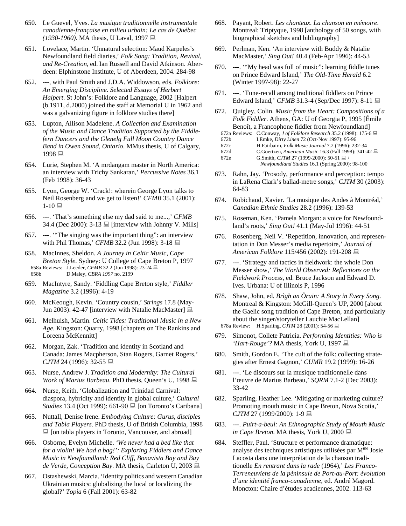- 650. Le Guevel, Yves. *La musique traditionnelle instrumentale canadienne-française en milieu urbain: Le cas de Québec (1930-1960)*. MA thesis, U Laval, 1997 ■
- 651. Lovelace, Martin. 'Unnatural selection: Maud Karpeles's Newfoundland field diaries,' *Folk Song: Tradition, Revival, and Re-Creation*, ed. Ian Russell and David Atkinson. Aberdeen: Elphinstone Institute, U of Aberdeen, 2004. 284-98
- 652. ---, with Paul Smith and J.D.A. Widdowson, eds. *Folklore: An Emerging Discipline. Selected Essays of Herbert Halpert*. St John's: Folklore and Language, 2002 [Halpert (b.1911, d.2000) joined the staff at Memorial U in 1962 and was a galvanizing figure in folklore studies there]
- 653. Lupton, Allison Madelene. *A Collection and Examination of the Music and Dance Tradition Supported by the Fiddlefern Dancers and the Glenelg Full Moon Country Dance Band in Owen Sound, Ontario*. MMus thesis, U of Calgary, 1998 里
- 654. Lurie, Stephen M. 'A mrdangam master in North America: an interview with Trichy Sankaran,' *Percussive Notes* 36.1 (Feb 1998): 36-43
- 655. Lyon, George W. 'Crack!: wherein George Lyon talks to Neil Rosenberg and we get to listen!' *CFMB* 35.1 (2001):  $1-10$
- 656. ---. 'That's something else my dad said to me...,' *CFMB* 34.4 (Dec 2000):  $3-13 \equiv$  [interview with Johnny V. Mills]
- 657. ---. '"The singing was the important thing": an interview with Phil Thomas,' *CFMB* 32.2 (Jun 1998): 3-18 ■
- 658. MacInnes, Sheldon. *A Journey in Celtic Music, Cape Breton Style*. Sydney: U College of Cape Breton P, 1997 658a Reviews: J.Leeder, *CFMB* 32.2 (Jun 1998): 23-24 658b D.Maley, *CBRA 1997* no. 2199
- 659. MacIntyre, Sandy. 'Fiddling Cape Breton style,' *Fiddler Magazine* 3.2 (1996): 4-19
- 660. McKeough, Kevin. 'Country cousin,' *Strings* 17.8 (May-Jun 2003): 42-47 [interview with Natalie MacMaster]  $\Box$
- 661. Melhuish, Martin. *Celtic Tides: Traditional Music in a New Age*. Kingston: Quarry, 1998 [chapters on The Rankins and Loreena McKennitt]
- 662. Morgan, Zak. 'Tradition and identity in Scotland and Canada: James Macpherson, Stan Rogers, Garnet Rogers,' *CJTM* 24 (1996): 32-55 ■
- 663. Nurse, Andrew J. *Tradition and Modernity: The Cultural Work of Marius Barbeau*. PhD thesis, Queen's U, 1998 **■**
- 664. Nurse, Keith. 'Globalization and Trinidad Carnival: diaspora, hybridity and identity in global culture,' *Cultural Studies* 13.4 (Oct 1999): 661-90 ■ [on Toronto's Caribana]
- 665. Nuttall, Denise Irene. *Embodying Culture: Gurus, disciples and Tabla Players*. PhD thesis, U of British Columbia, 1998  $\Box$  [on tabla players in Toronto, Vancouver, and abroad]
- 666. Osborne, Evelyn Michelle. *'We never had a bed like that for a violin! We had a bag!': Exploring Fiddlers and Dance Music in Newfoundland: Red Cliff, Bonavista Bay and Bay de Verde, Conception Bay*. MA thesis, Carleton U, 2003
- 667. Ostashewski, Marcia. 'Identity politics and western Canadian Ukrainian musics: globalizing the local or localizing the global?' *Topia* 6 (Fall 2001): 63-82
- 668. Payant, Robert. *Les chanteux. La chanson en mémoire*. Montreal: Triptyque, 1998 [anthology of 50 songs, with biographical sketches and bibliography]
- 669. Perlman, Ken. 'An interview with Buddy & Natalie MacMaster,' *Sing Out!* 40.4 (Feb-Apr 1996): 44-53
- 670. ---. '"My head was full of music": learning fiddle tunes on Prince Edward Island,' *The Old-Time Herald* 6.2 (Winter 1997-98): 22-27
- 671. ---. 'Tune-recall among traditional fiddlers on Prince Edward Island,' *CFMB* 31.3-4 (Sep/Dec 1997): 8-11 ■
- 672. Quigley, Colin. *Music from the Heart: Compositions of a Folk Fiddler*. Athens, GA: U of Georgia P, 1995 [Émile Benoît, a Francophone fiddler from Newfoundland]
	- 672a Reviews: C.Conway, *J of Folklore Research* 35.2 (1998): 175-6
	- 672b I.Emke, *Dirty Linen* 72 (Oct-Nov 1997): 95-96
	- 672c H.Fairbairn, *Folk Music Journal* 7.2 (1996): 232-34
	- 672d C.Goertzen, *American Music* 16.3 (Fall 1998): 341-42 672e G.Smith, *CJTM* 27 (1999-2000): 50-51 ■ /
		- *Newfoundland Studies* 16.1 (Spring 2000): 98-100
- 673. Rahn, Jay. 'Prosody, performance and perception: tempo in LaRena Clark's ballad-metre songs,' *CJTM* 30 (2003): 64-83
- 674. Robichaud, Xavier. 'La musique des Andes à Montréal,' *Canadian Ethnic Studies* 28.2 (1996): 139-53
- 675. Roseman, Ken. 'Pamela Morgan: a voice for Newfoundland's roots,' *Sing Out!* 41.1 (May-Jul 1996): 44-51
- 676. Rosenberg, Neil V. 'Repetition, innovation, and representation in Don Messer's media repertoire,' *Journal of American Folklore* 115/456 (2002): 191-208
- 677. ---. 'Strategy and tactics in fieldwork: the whole Don Messer show,' *The World Observed: Reflections on the Fieldwork Process*, ed. Bruce Jackson and Edward D. Ives. Urbana: U of Illinois P, 1996
- 678. Shaw, John, ed. *Brìgh an Òrain: A Story in Every Song*. Montreal & Kingston: McGill-Queen's UP, 2000 [about the Gaelic song tradition of Cape Breton, and particularly about the singer/storyteller Lauchie MacLellan] 678a Review: H.Sparling, *CJTM* 28 (2001): 54-56
- 679. Simonot, Collete Patricia. *Performing Identities: Who is 'Hart-Rouge'?* MA thesis, York U, 1997
- 680. Smith, Gordon E. 'The cult of the folk: collecting strategies after Ernest Gagnon,' *CUMR* 19.2 (1999): 16-26
- 681. ---. 'Le discours sur la musique traditionnelle dans l'œuvre de Marius Barbeau,' *SQRM* 7.1-2 (Dec 2003): 33-42
- 682. Sparling, Heather Lee. 'Mitigating or marketing culture? Promoting mouth music in Cape Breton, Nova Scotia,' *CJTM* 27 (1999/2000): 1-9
- 683. ---. *Puirt-a-beul: An Ethnographic Study of Mouth Music in Cape Breton*. MA thesis, York U, 2000
- 684. Steffler, Paul. 'Structure et performance dramatique: analyse des techniques artistiques utilisées par Mme Josie Lacosta dans une interprétation de la chanson traditionelle *En rentrant dans la rade* (1964),' *Les Franco-Terreneuviens de la péninsule de Port-au-Port: évolution d'une identité franco-canadienne*, ed. André Magord. Moncton: Chaire d'études acadiennes, 2002. 113-63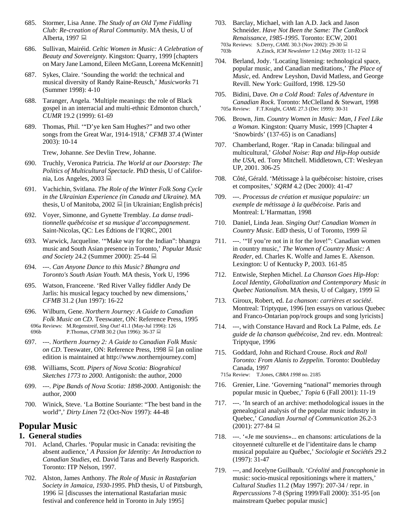- 685. Stormer, Lisa Anne. *The Study of an Old Tyme Fiddling Club: Re-creation of Rural Community*. MA thesis, U of Alberta, 1997
- 686. Sullivan, Mairéid. *Celtic Women in Music: A Celebration of Beauty and Sovereignty*. Kingston: Quarry, 1999 [chapters on Mary Jane Lamond, Eileen McGann, Loreena McKennitt]
- 687. Sykes, Claire. 'Sounding the world: the technical and musical diversity of Randy Raine-Reusch,' *Musicworks* 71 (Summer 1998): 4-10
- 688. Taranger, Angela. 'Multiple meanings: the role of Black gospel in an interracial and multi-ethnic Edmonton church,' *CUMR* 19.2 (1999): 61-69
- 689. Thomas, Phil. '"D'ye ken Sam Hughes?" and two other songs from the Great War, 1914-1918,' *CFMB* 37.4 (Winter 2003): 10-14

Trew, Johanne. *See* Devlin Trew, Johanne.

- 690. Truchly, Veronica Patricia. *The World at our Doorstep: The Politics of Multicultural Spectacle*. PhD thesis, U of California, Los Angeles, 2003
- 691. Vachichin, Svitlana. *The Role of the Winter Folk Song Cycle in the Ukrainian Experience (in Canada and Ukraine)*. MA thesis, U of Manitoba, 2002  $\Box$  [in Ukrainian; English précis]
- 692. Voyer, Simonne, and Gynette Tremblay. *La danse traditionnelle québécoise et sa musique d'accompagnement*. Saint-Nicolas, QC: Les Édtions de l'IQRC, 2001
- 693. Warwick, Jacqueline. '"Make way for the Indian": bhangra music and South Asian presence in Toronto,' *Popular Music and Society* 24.2 (Summer 2000): 25-44 ■
- 694. ---. *Can Anyone Dance to this Music? Bhangra and Toronto's South Asian Youth*. MA thesis, York U, 1996
- 695. Watson, Franceene. 'Red River Valley fiddler Andy De Jarlis: his musical legacy touched by new dimensions,' *CFMB* 31.2 (Jun 1997): 16-22
- 696. Wilburn, Gene. *Northern Journey: A Guide to Canadian Folk Music on CD*. Teeswater, ON: Reference Press, 1995 696a Reviews: M.Regenstreif, *Sing Out!* 41.1 (May-Jul 1996): 126 696b P.Thomas, *CFMB* 30.2 (Jun 1996): 36-37 **■**
- 697. ---. *Northern Journey 2: A Guide to Canadian Folk Music on CD*. Teeswater, ON: Reference Press, 1998 **■** [an online edition is maintained at http://www.northernjourney.com]
- 698. Williams, Scott. *Pipers of Nova Scotia: Biograhical Sketches 1773 to 2000*. Antigonish: the author, 2000
- 699. ---. *Pipe Bands of Nova Scotia: 1898-2000*. Antigonish: the author, 2000
- 700. Winick, Steve. 'La Bottine Souriante: "The best band in the world",' *Dirty Linen* 72 (Oct-Nov 1997): 44-48

# **Popular Music**

# **1. General studies**

- 701. Acland, Charles. 'Popular music in Canada: revisiting the absent audience,' *A Passion for Identity: An Introduction to Canadian Studies*, ed. David Taras and Beverly Rasporich. Toronto: ITP Nelson, 1997.
- 702. Alston, James Anthony. *The Role of Music in Rastafarian Society in Jamaica, 1930-1995*. PhD thesis, U of Pittsburgh, 1996  $\Box$  [discusses the international Rastafarian music festival and conference held in Toronto in July 1995]
- 703. Barclay, Michael, with Ian A.D. Jack and Jason Schneider. *Have Not Been the Same: The CanRock Renaissance, 1985-1995*. Toronto: ECW, 2001 703a Reviews: S.Derry, *CAML* 30.3 (Nov 2002): 29-30 703b A.Zinck, *ICM Newsletter* 1.2 (May 2003): 11-12
- 704. Berland, Jody. 'Locating listening: technological space, popular music, and Canadian meditations,' *The Place of Music*, ed. Andrew Leyshon, David Matless, and George Revill. New York: Guilford, 1998. 129-50
- 705. Bidini, Dave. *On a Cold Road: Tales of Adventure in Canadian Rock*. Toronto: McClelland & Stewart, 1998 705a Review: F.T.Knight, *CAML* 27.3 (Dec 1999): 30-31
- 706. Brown, Jim. *Country Women in Music: Man, I Feel Like a Woman*. Kingston: Quarry Music, 1999 [Chapter 4 'Snowbirds' (137-65) is on Canadians]
- 707. Chamberland, Roger. 'Rap in Canada: bilingual and multicultural,' *Global Noise: Rap and Hip-Hop outside the USA*, ed. Tony Mitchell. Middletown, CT: Wesleyan UP, 2001. 306-25
- 708. Côté, Gérald. 'Métissage à la québécoise: histoire, crises et composites,' *SQRM* 4.2 (Dec 2000): 41-47
- 709. ---. *Processus de création et musique populaire: un exemple de métissage à la québécoise*. Paris and Montreal: L'Harmattan, 1998
- 710. Daniel, Linda Jean. *Singing Out! Canadian Women in Country Music*. EdD thesis, U of Toronto, 1999
- 711. ---. '"If you're not in it for the love!": Canadian women in country music,' *The Women of Country Music: A Reader*, ed. Charles K. Wolfe and James E. Akenson. Lexington: U of Kentucky P, 2003. 161-85
- 712. Entwisle, Stephen Michel. *La Chanson Goes Hip-Hop: Local Identity, Globalization and Contemporary Music in Quebec Nationalism.* MA thesis, U of Calgary, 1999 **■**
- 713. Giroux, Robert, ed. *La chanson: carrières et société*. Montreal: Triptyque, 1996 [ten essays on various Quebec and Franco-Ontarian pop/rock groups and song lyricists]
- 714. ---, with Constance Havard and Rock La Palme, eds. *Le guide de la chanson québécoise*, 2nd rev. edn. Montreal: Triptyque, 1996
- 715. Goddard, John and Richard Crouse. *Rock and Roll Toronto: From Alanis to Zeppelin*. Toronto: Doubleday Canada, 1997

715a Review: T.Jones, *CBRA 1998* no. 2185

- 716. Grenier, Line. 'Governing "national" memories through popular music in Quebec,' *Topia* 6 (Fall 2001): 11-19
- 717. ---. 'In search of an archive: methodological issues in the genealogical analysis of the popular music industry in Quebec,' *Canadian Journal of Communication* 26.2-3  $(2001): 277-84 \equiv$
- 718. ---. '«Je me souviens»... en chansons: articulations de la citoyenneté culturelle et de l'identitaire dans le champ musical populaire au Québec,' *Sociologie et Sociétés* 29.2 (1997): 31-47
- 719. ---, and Jocelyne Guilbault. '*Créolité* and *francophonie* in music: socio-musical repositionings where it matters,' *Cultural Studies* 11.2 (May 1997): 207-34 / repr. in *Repercussions* 7-8 (Spring 1999/Fall 2000): 351-95 [on mainstream Quebec popular music]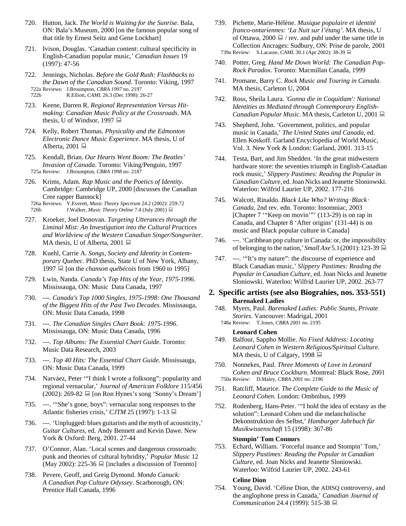- 720. Hutton, Jack. *The World is Waiting for the Sunrise*. Bala, ON: Bala's Museum, 2000 [on the famous popular song of that title by Ernest Seitz and Gene Lockhart]
- 721. Ivison, Douglas. 'Canadian content: cultural specificity in English-Canadian popular music,' *Canadian Issues* 19 (1997): 47-56
- 722. Jennings, Nicholas. *Before the Gold Rush: Flashbacks to the Dawn of the Canadian Sound*. Toronto: Viking, 1997 722a Reviews: J.Broumpton, *CBRA 1997* no. 2197 722b R.Elliott, *CAML* 26.3 (Dec 1998): 26-27
- 723. Keene, Darren R. *Regional Representation Versus Hitmaking: Canadian Music Policy at the Crossroads*. MA thesis, U of Windsor, 1997
- 724. Kelly, Robert Thomas. *Physicality and the Edmonton Electronic Dance Music Experience*. MA thesis, U of Alberta, 2001
- 725. Kendall, Brian. *Our Hearts Went Boom: The Beatles' Invasion of Canada*. Toronto: Viking/Penguin, 1997 725a Review: J.Broumpton, *CBRA 1998* no. 2187
- 726. Krims, Adam. *Rap Music and the Poetics of Identity*. Cambridge: Cambridge UP, 2000 [discusses the Canadian Cree rapper Bannock]
- 726a Reviews: Y.Everett, *Music Theory Spectrum* 24.2 (2002): 259-72 726b J.Walker, *Music Theory Online* 7.4 (July 2001)
- 727. Kroeker, Joel Donovan. *Targeting Utterances through the Liminal Mist: An Investigation into the Cultural Practices and Worldview of the Western Canadian Singer/Songwriter*. MA thesis, U of Alberta, 2001  $\Box$
- 728. Kuehl, Carrie A. *Songs, Society and Identity in Contemporary Quebec*. PhD thesis, State U of New York, Albany, 1997 **[asse** [on the *chanson québécois* from 1960 to 1995]
- 729. Lwin, Nanda. *Canada's Top Hits of the Year, 1975-1996*. Mississauga, ON: Music Data Canada, 1997
- 730. ---. *Canada's Top 1000 Singles, 1975-1998: One Thousand of the Biggest Hits of the Past Two Decades*. Mississauga, ON: Music Data Canada, 1998
- 731. ---. *The Canadian Singles Chart Book: 1975-1996*. Mississauga, ON: Music Data Canada, 1996
- 732. ---. *Top Albums: The Essential Chart Guide*. Toronto: Music Data Research, 2003
- 733. ---. *Top 40 Hits: The Essential Chart Guide.* Mississauga, ON: Music Data Canada, 1999
- 734. Narváez, Peter '"I think I wrote a folksong": popularity and regional vernacular,' *Journal of American Folklore* 115/456  $(2002)$ : 269-82  $\Box$  [on Ron Hynes's song 'Sonny's Dream']
- 735. ---. '"She's gone, boys": vernacular song responses to the Atlantic fisheries crisis,' *CJTM* 25 (1997): 1-13
- 736. ---. 'Unplugged: blues guitarists and the myth of acousticity,' *Guitar Cultures*, ed. Andy Bennett and Kevin Dawe. New York & Oxford: Berg, 2001. 27-44
- 737. O'Connor, Alan. 'Local scenes and dangerous crossroads: punk and theories of cultural hybridity,' *Popular Music* 12 (May 2002): 225-36  $\Box$  [includes a discussion of Toronto]
- 738. Pevere, Geoff, and Greig Dymond. *Mondo Canuck: A Canadian Pop Culture Odyssey*. Scarborough, ON: Prentice Hall Canada, 1996
- 739. Pichette, Marie-Hélène. *Musique populaire et identité franco-ontariennes: 'La Nuit sur l'étang'*. MA thesis, U of Ottawa, 2000  $\Box$  / rev. and publ under the same title in Collection Ancrages: Sudbury, ON: Prise de parole, 2001 739a Review: S.Lacasse, *CAML* 30.1 (Apr 2002): 38-39
- 740. Potter, Greg. *Hand Me Down World: The Canadian Pop-Rock Paradox*. Toronto: Macmillan Canada, 1999
- 741. Promane, Barry C. *Rock Music and Touring in Canada*. MA thesis, Carleton U, 2004
- 742. Ross, Sheila Laura. *'Gonna die in Coquitlam': National Identities as Mediated through Contemporary English-Canadian Popular Music*. MA thesis, Carleton U, 2001
- 743. Shepherd, John. 'Government, politics, and popular music in Canada,' *The United States and Canada*, ed. Ellen Koskoff. Garland Encyclopedia of World Music, Vol. 3. New York & London: Garland, 2001. 313-15
- 744. Testa, Bart, and Jim Shedden. 'In the great midwestern hardware store: the seventies triumph in English-Canadian rock music,' *Slippery Pastimes: Reading the Popular in Canadian Culture*, ed.Joan Nicks and Jeanette Sloniowski. Waterloo: Wilfrid Laurier UP, 2002. 177-216
- 745. Walcott, Rinaldo. *Black Like Who? Writing·Black · Canada*, 2nd rev. edn. Toronto: Insomniac, 2003 [Chapter 7 "Keep on movin"" (113-29) is on rap in Canada, and Chapter 8 'After origins' (131-44) is on music and Black popular culture in Canada]
- 746. ---. 'Caribbean pop culture in Canada: or, the impossibility of belonging to the nation,'*Small Axe*5.1(2001):123-39
- 747. ---. '"It's my nature": the discourse of experience and Black Canadian music,' *Slippery Pastimes: Reading the Popular in Canadian Culture*, ed. Joan Nicks and Jeanette Sloniowski. Waterloo: Wilfrid Laurier UP, 2002. 263-77

# **2. Specific artists (see also Biograhies, nos. 353-551) Barenaked Ladies**

- 748. Myers, Paul. *Barenaked Ladies: Public Stunts, Private Stories*. Vancouver: Madrigal, 2001
- 748a Review: T.Jones, *CBRA 2001* no. 2195

# **Leonard Cohen**

- 749. Balfour, Sappho Mollie. *No Fixed Address: Locating Leonard Cohen in Western Religious/Spiritual Culture*. MA thesis, U of Calgary, 1998
- 750. Nonnekes, Paul. *Three Moments of Love in Leonard Cohen and Bruce Cockburn*. Montreal: Black Rose, 2001 750a Review: D.Maley, *CBRA 2001* no. 2196
- 751. Ratcliff, Maurice. *The Complete Guide to the Music of Leonard Cohen*. London: Ombnibus, 1999
- 752. Rodenberg, Hans-Peter. '"I hold the idea of ecstasy as the solution": Leonard Cohen und die melancholische Dekonstruktion des Selbst,' *Hamburger Jahrbuch für Musikwissenschaft* 15 (1998): 367-86

### **Stompin' Tom Connors**

753. Echard, William. 'Forceful nuance and Stompin' Tom,' *Slippery Pastimes: Reading the Popular in Canadian Culture*, ed. Joan Nicks and Jeanette Sloniowski. Waterloo: Wilfrid Laurier UP, 2002. 243-61

#### **Celine Dion**

754. Young, David. 'Céline Dion, the ADISQ controversy, and the anglophone press in Canada,' *Canadian Journal of Communication* 24.4 (1999): 515-38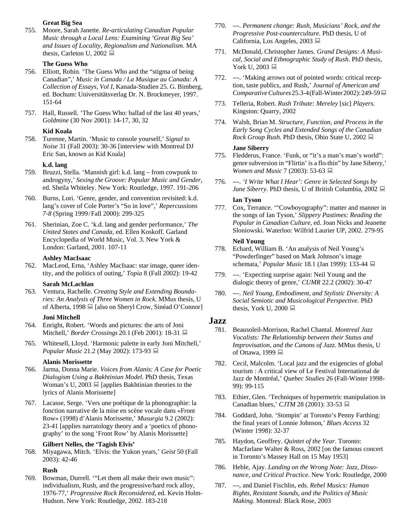### **Great Big Sea**

755. Moore, Sarah Janette. *Re-articulating Canadian Popular Music through a Local Lens: Examining 'Great Big Sea' and Issues of Locality, Regionalism and Nationalism*. MA thesis, Carleton U, 2002

### **The Guess Who**

- 756. Elliott, Robin. 'The Guess Who and the "stigma of being Canadian",' *Music in Canada / La Musique au Canada: A Collection of Essays, Vol I*, Kanada-Studien 25. G. Bimberg, ed. Bochum: Universitätsverlag Dr. N. Brockmeyer, 1997. 151-64
- 757. Hall, Russell. 'The Guess Who: ballad of the last 40 years,' *Goldmine* (30 Nov 2001): 14-17, 30, 32

#### **Kid Koala**

758. Turenne, Martin. 'Music to console yourself,' *Signal to Noise* 31 (Fall 2003): 30-36 [interview with Montreal DJ Eric San, known as Kid Koala]

#### **k.d. lang**

- 759. Bruzzi, Stella. 'Mannish girl: k.d. lang from cowpunk to androgyny,' *Sexing the Groove: Popular Music and Gender*, ed. Sheila Whiteley. New York: Routledge, 1997. 191-206
- 760. Burns, Lori. 'Genre, gender, and convention revisited: k.d. lang's cover of Cole Porter's "So in love",' *Repercussions 7-8* (Spring 1999/Fall 2000): 299-325
- 761. Sherinian, Zoe C. 'k.d. lang and gender performance,' *The United States and Canada*, ed. Ellen Koskoff. Garland Encyclopedia of World Music, Vol. 3. New York & London: Garland, 2001. 107-11

#### **Ashley MacIsaac**

762. MacLeod, Erna, 'Ashley MacIsaac: star image, queer identity, and the politics of outing,' *Topia* 8 (Fall 2002): 19-42

#### **Sarah McLachlan**

763. Ventura, Rachelle. *Creating Style and Extending Boundaries: An Analysis of Three Women in Rock*. MMus thesis, U of Alberta, 1998  $\Box$  [also on Sheryl Crow, Sinéad O'Connor]

#### **Joni Mitchell**

- 764. Enright, Robert. 'Words and pictures: the arts of Joni Mitchell,' *Border Crossings* 20.1 (Feb 2001): 18-31
- 765. Whitesell, Lloyd. 'Harmonic palette in early Joni Mitchell,' *Popular Music* 21.2 (May 2002): 173-93 ■

#### **Alanis Morissette**

- 766. Jarma, Donna Marie. *Voices from Alanis: A Case for Poetic Dialogism Using a Bakhtinian Model*. PhD thesis, Texas Woman's U, 2003  $\Box$  [applies Bakhtinian theories to the lyrics of Alanis Morissette]
- 767. Lacasse, Serge. 'Vers une poétique de la phonographie: la fonction narrative de la mise en scène vocale dans «Front Row» (1998) d'Alanis Morissette,' *Musurgia* 9.2 (2002): 23-41 [applies narratology theory and a 'poetics of phonography' to the song 'Front Row' by Alanis Morissette]

#### **Gilbert Nelles, the 'Tagish Elvis'**

768. Miyagawa, Mitch. 'Elvis: the Yukon years,' *Geist* 50 (Fall 2003): 42-46

#### **Rush**

769. Bowman, Durrell. '"Let them all make their own music": individualism, Rush, and the progressive/hard rock alloy, 1976-77,' *Progressive Rock Reconsidered*, ed. Kevin Holm-Hudson. New York: Routledge, 2002. 183-218

- 770. ---. *Permanent change: Rush, Musicians' Rock, and the Progressive Post-counterculture*. PhD thesis, U of California, Los Angeles, 2003
- 771. McDonald, Christopher James. *Grand Designs: A Musical, Social and Ethnographic Study of Rush*. PhD thesis, York U, 2003 <del>■</del>
- 772. ---. 'Making arrows out of pointed words: critical reception, taste publics, and Rush,' *Journal of American and Comparative Cultures* 25.3-4 (Fall-Winter 2002): 249-59 **■**
- 773. Telleria, Robert. *Rush Tribute: Mereley* [sic] *Players*. Kingston: Quarry, 2002
- 774. Walsh, Brian M. *Structure, Function, and Process in the Early Song Cycles and Extended Songs of the Canadian Rock Group Rush.* PhD thesis, Ohio State U, 2002 **■**

#### **Jane Siberry**

- 775. Fledderus, France. 'Funk, or "it's a man's man's world": genre subversion in "Flirtin' is a flo-thin" by Jane Siberry,' *Women and Music* 7 (2003): 53-63 **■**
- 776. ---. *'I Write What I Hear': Genre in Selected Songs by Jane Siberry*. PhD thesis, U of British Columbia, 2002 ■

#### **Ian Tyson**

777. Cox, Terrance. '"Cowboyography": matter and manner in the songs of Ian Tyson,' *Slippery Pastimes: Reading the Popular in Canadian Culture*, ed. Joan Nicks and Jeanette Sloniowski. Waterloo: Wilfrid Laurier UP, 2002. 279-95

#### **Neil Young**

- 778. Echard, William B. 'An analysis of Neil Young's "Powderfinger" based on Mark Johnson's image schemata,' *Popular Music* 18.1 (Jan 1999): 133-44
- 779. ---. 'Expecting surprise again: Neil Young and the dialogic theory of genre,' *CUMR* 22.2 (2002): 30-47
- 780. ---. *Neil Young, Embodiment, and Stylistic Diversity: A Social Semiotic and Musicological Perspective*. PhD thesis, York U, 2000  $\Box$

# **Jazz**

- 781. Beausoleil-Morrison, Rachel Chantal. *Montreal Jazz Vocalists: The Relationship between their Status and Improvisation, and the Canons of Jazz*. MMus thesis, U of Ottawa, 1999
- 782. Cecil, Malcolm. 'Local jazz and the exigencies of global tourism : A critical view of Le Festival International de Jazz de Montréal,' *Quebec Studies* 26 (Fall-Winter 1998- 99): 99-115
- 783. Ethier, Glen. 'Techniques of hypermetric manipulation in Canadian blues,' *CJTM* 28 (2001): 33-53
- 784. Goddard, John. 'Stompin' at Toronto's Penny Farthing: the final years of Lonnie Johnson,' *Blues Access* 32 (Winter 1998): 32-37
- 785. Haydon, Geoffrey. *Quintet of the Year*. Toronto: Macfarlane Walter & Ross, 2002 [on the famous concert in Toronto's Massey Hall on 15 May 1953]
- 786. Heble, Ajay. *Landing on the Wrong Note: Jazz, Dissonance, and Critical Practice*. New York: Routledge, 2000
- 787. ---, and Daniel Fischlin, eds. *Rebel Musics: Human Rights, Resistant Sounds, and the Politics of Music Making*. Montreal: Black Rose, 2003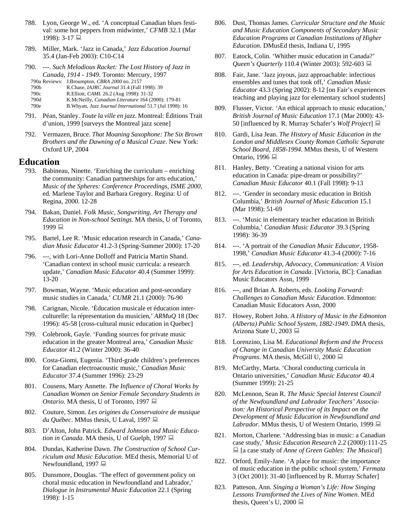- 788. Lyon, George W., ed. 'A conceptual Canadian blues festival: some hot peppers from midwinter,' *CFMB* 32.1 (Mar 1998): 3-17 ■
- 789. Miller, Mark. 'Jazz in Canada,' *Jazz Education Journal* 35.4 (Jan-Feb 2003): C10-C14
- 790. ---. *Such Melodious Racket: The Lost History of Jazz in Canada, 1914 - 1949*. Toronto: Mercury, 1997 790a Reviews: J.Broumpton, *CBRA 2000* no. 2157

|      | $120a$ Keviews. $3.110$ umpton, CDKA 2000 no. 2131 |
|------|----------------------------------------------------|
| 790b | R.Chase, <i>IAJRC Journal</i> 31.4 (Fall 1998): 39 |

790c R.Elliott, *CAML* 26.2 (Aug 1998): 31-32

790d K.McNeilly, *Canadian Literature* 164 (2000): 179-81

790e B.Whyatt, *Jazz Journal International* 51.7 (Jul 1998): 16

- 791. Péan, Stanley. *Toute la ville en jazz*. Montreal: Éditions Trait d'union, 1999 [surveys the Montreal jazz scene]
- 792. Vermazen, Bruce. *That Moaning Saxophone: The Six Brown Brothers and the Dawning of a Musical Craze*. New York: Oxford UP, 2004

# **Education**

- 793. Babineau, Ninette. 'Enriching the curriculum enriching the community: Canadian partnerships for arts education,' *Music of the Spheres: Conference Proceedings, ISME 2000*, ed. Marlene Taylor and Barbara Gregory. Regina: U of Regina, 2000. 12-28
- 794. Bakan, Daniel. *Folk Music, Songwriting, Art Therapy and Education in Non-school Settings*. MA thesis, U of Toronto, 1999 里
- 795. Bartel, Lee R. 'Music education research in Canada,' *Canadian Music Educator* 41.2-3 (Spring-Summer 2000): 17-20
- 796. ---, with Lori-Anne Dolloff and Patricia Martin Shand. 'Canadian context in school music curricula: a research update,' *Canadian Music Educator* 40.4 (Summer 1999): 13-20
- 797. Bowman, Wayne. 'Music education and post-secondary music studies in Canada,' *CUMR* 21.1 (2000): 76-90
- 798. Carignan, Nicole. 'Éducation musicale et éducation interculturelle: la répresentation du musicien,' *ARMuQ* 18 (Dec 1996): 45-58 [cross-cultural music education in Quebec]
- 799. Colebrook, Gayle. 'Funding sources for private music education in the greater Montreal area,' *Canadian Music Educator* 41.2 (Winter 2000): 36-40
- 800. Costa-Giomi, Eugenia. 'Third-grade children's preferences for Canadian electroacoustic music,' *Canadian Music Educator* 37.4 (Summer 1996): 23-29
- 801. Cousens, Mary Annette. *The Influence of Choral Works by Canadian Women on Senior Female Secondary Students in Ontario*. MA thesis, U of Toronto, 1997 ■
- 802. Couture, Simon. *Les origines du Conservatoire de musique du Québec*. MMus thesis, U Laval, 1997
- 803. D'Alton, John Patrick. *Edward Johnson and Music Education in Canada*. MA thesis, U of Guelph, 1997
- 804. Dundas, Katherine Dawn. *The Construction of School Curriculum and Music Education*. MEd thesis, Memorial U of Newfoundland, 1997 ■
- 805. Dunsmore, Douglas. 'The effect of government policy on choral music education in Newfoundland and Labrador,' *Dialogue in Instrumental Music Education* 22.1 (Spring 1998): 1-15
- 806. Dust, Thomas James. *Curricular Structure and the Music and Music Education Components of Secondary Music Education Programs at Canadian Institutions of Higher Education*. DMusEd thesis, Indiana U, 1995
- 807. Eatock, Colin. 'Whither music education in Canada?' *Queen's Quarterly* 110.4 (Winter 2003): 592-603 ■
- 808. Fair, Jane. 'Jazz joyous, jazz approachable: infectious ensembles and tunes that took off,' *Canadian Music Educator* 43.3 (Spring 2002): 8-12 [on Fair's experiences teaching and playing jazz for elementary school students]
- 809. Flusser, Victor. 'An ethical approach to music education,' *British Journal of Music Education* 17.1 (Mar 2000): 43- 50 [influenced by R. Murray Schafer's *Wolf Project*]
- 810. Gardi, Lisa Jean. *The History of Music Education in the London and Middlesex County Roman Catholic Separate School Board, 1858-1994*. MMus thesis, U of Western Ontario, 1996
- 811. Hanley, Betty. 'Creating a national vision for arts education in Canada: pipe-dream or possibility?' *Canadian Music Educator* 40.1 (Fall 1998): 9-13
- 812. ---. 'Gender in secondary music education in British Columbia,' *British Journal of Music Education* 15.1 (Mar 1998): 51-69
- 813. ---. 'Music in elementary teacher education in British Columbia,' *Canadian Music Educator* 39.3 (Spring 1998): 36-39
- 814. ---. 'A portrait of the *Canadian Music Educator*, 1958- 1998,' *Canadian Music Educator* 41.3-4 (2000): 7-16
- 815. ---, ed. *Leadership, Advocacy, Communication: A Vision for Arts Education in Canada*. [Victoria, BC]: Canadian Music Educators Assn, 1999
- 816. ---, and Brian A. Roberts, eds. *Looking Forward: Challenges to Canadian Music Education*. Edmonton: Canadian Music Educators Assn, 2000
- 817. Howey, Robert John. *A History of Music in the Edmonton (Alberta) Public School System, 1882-1949*. DMA thesis, Arizona State U, 2003 ■
- 818. Lorenzino, Lisa M. *Educational Reform and the Process of Change in Canadian University Music Education Programs*. MA thesis, McGill U, 2000  $\Box$
- 819. McCarthy, Marta. 'Choral conducting curricula in Ontario universities,' *Canadian Music Educator* 40.4 (Summer 1999): 21-25
- 820. McLennon, Sean R. *The Music Special Interest Council of the Newfoundland and Labrador Teachers' Association: An Historical Perspective of its Impact on the Development of Music Education in Newfoundland and Labrador*. MMus thesis, U of Western Ontario, 1999
- 821. Morton, Charlene. 'Addressing bias in music: a Canadian case study,' *Music Education Research* 2.2 (2000):111-25 [a case study of *Anne of Green Gables: The Musical*]
- 822. Orford, Emily-Jane. 'A place for music: the importance of music education in the public school system,' *Fermata* 3 (Oct 2001): 31-40 [influenced by R. Murray Schafer]
- 823. Patteson, Ann. *Singing a Woman's Life: How Singing Lessons Transformed the Lives of Nine Women*. MEd thesis, Queen's U, 2000  $\Box$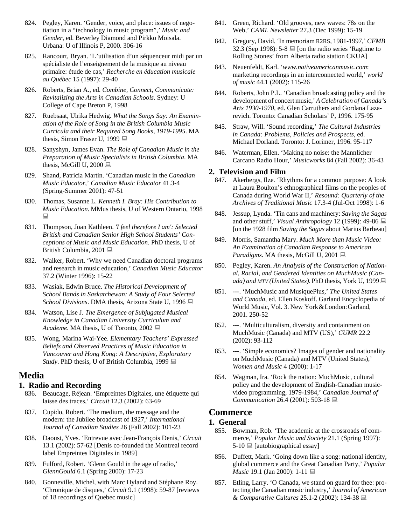- 824. Pegley, Karen. 'Gender, voice, and place: issues of negotiation in a "technology in music program",' *Music and Gender*, ed. Beverley Diamond and Pirkko Moisala. Urbana: U of Illinois P, 2000. 306-16
- 825. Rancourt, Bryan. 'L'utilisation d'un séquenceur midi par un spécialiste de l'enseignement de la musique au niveau primaire: étude de cas,' *Recherche en éducation musicale au Québec* 15 (1997): 29-40
- 826. Roberts, Brian A., ed. *Combine, Connect, Communicate: Revitalizing the Arts in Canadian Schools*. Sydney: U College of Cape Breton P, 1998
- 827. Ruebsaat, Ulrika Hedwig. *What the Songs Say: An Examination of the Role of Song in the British Columbia Music Curricula and their Required Song Books, 1919-1995*. MA thesis, Simon Fraser U, 1999
- 828. Sanyshyn, James Evan. *The Role of Canadian Music in the Preparation of Music Specialists in British Columbia*. MA thesis, McGill U, 2000  $\Box$
- 829. Shand, Patricia Martin. 'Canadian music in the *Canadian Music Educator*,' *Canadian Music Educator* 41.3-4 (Spring-Summer 2001): 47-51
- 830. Thomas, Susanne L. *Kenneth I. Bray: His Contribution to Music Education*. MMus thesis, U of Western Ontario, 1998 鳳
- 831. Thompson, Joan Kathleen. *'I feel therefore I am': Selected British and Canadian Senior High School Students' Conceptions of Music and Music Education*. PhD thesis, U of British Columbia, 2001
- 832. Walker, Robert. 'Why we need Canadian doctoral programs and research in music education,' *Canadian Music Educator* 37.2 (Winter 1996): 15-22
- 833. Wasiak, Edwin Bruce. *The Historical Development of School Bands in Saskatchewan: A Study of Four Selected School Divisions*. DMA thesis, Arizona State U, 1996 **■**
- 834. Watson, Lise J. *The Emergence of Subjugated Musical Knowledge in Canadian University Curriculum and Academe*. MA thesis, U of Toronto, 2002
- 835. Wong, Marina Wai-Yee. *Elementary Teachers' Expressed Beliefs and Observed Practices of Music Education in Vancouver and Hong Kong: A Descriptive, Exploratory Study*. PhD thesis, U of British Columbia, 1999

# **Media**

# **1. Radio and Recording**

- 836. Beaucage, Réjean. 'Empreintes Digitales, une étiquette qui laisse des traces,' *Circuit* 12.3 (2002): 63-69
- 837. Cupido, Robert. 'The medium, the message and the modern: the Jubilee broadcast of 1927,' *International Journal of Canadian Studies* 26 (Fall 2002): 101-23
- 838. Daoust, Yves. 'Entrevue avec Jean-François Denis,' *Circuit* 13.1 (2002): 57-62 [Denis co-founded the Montreal record label Empreintes Digitales in 1989]
- 839. Fulford, Robert. 'Glenn Gould in the age of radio,' *GlennGould* 6.1 (Spring 2000): 17-23
- 840. Gonneville, Michel, with Marc Hyland and Stéphane Roy. 'Chronique de disques,' *Circuit* 9.1 (1998): 59-87 [reviews of 18 recordings of Quebec music]
- 841. Green, Richard. 'Old grooves, new waves: 78s on the Web,' *CAML Newsletter* 27.3 (Dec 1999): 15-19
- 842. Gregory, David. 'In memoriam R2RS, 1981-1997,' *CFMB* 32.3 (Sep 1998):  $5-8 \equiv$  [on the radio series 'Ragtime to Rolling Stones' from Alberta radio station CKUA]
- 843. Neuenfeldt, Karl. '*www.nativeamericanmusic.com*: marketing recordings in an interconnected world,' *world of music* 44.1 (2002): 115-26
- 844. Roberts, John P.L. 'Canadian broadcasting policy and the development of concert music,'*ACelebration of Canada's Arts 1930-1970*, ed. Glen Carruthers and Gordana Lazarevich. Toronto: Canadian Scholars' P, 1996. 175-95
- 845. Straw, Will. 'Sound recording,' *The Cultural Industries in Canada: Problems, Policies and Prospects*, ed. Michael Dorland. Toronto: J. Lorimer, 1996. 95-117
- 846. Waterman, Ellen. 'Making no noise: the Mannlicher Carcano Radio Hour,' *Musicworks* 84 (Fall 2002): 36-43

# **2. Television and Film**

- 847. Akerbergs, Ilze. 'Rhythms for a common purpose: A look at Laura Boulton's ethnographical films on the peoples of Canada during World War II,' *Resound: Quarterly of the Archives of Traditional Music* 17.3-4 (Jul-Oct 1998): 1-6
- 848. Jessup, Lynda. 'Tin cans and machinery: *Saving the Sagas* and other stuff,' *Visual Anthropology* 12 (1999): 49-86 [on the 1928 film *Saving the Sagas* about Marius Barbeau]
- 849. Morris, Samantha Mary. *Much More than Music Video: An Examination of Canadian Response to American Paradigms*. MA thesis, McGill U, 2001 ■
- 850. Pegley, Karen. *An Analysis of the Construction of National, Racial, and Gendered Identities on MuchMusic (Canada) and MTV (United States)*. PhD thesis, York U, 1999
- 851. ---. 'MuchMusic and MusiquePlus,' *The United States and Canada*, ed. Ellen Koskoff. Garland Encyclopedia of World Music, Vol. 3. New York&London:Garland, 2001. 250-52
- 852. ---. 'Multiculturalism, diversity and containment on MuchMusic (Canada) and MTV (US),' *CUMR* 22.2 (2002): 93-112
- 853. ---. 'Simple economics? Images of gender and nationality on MuchMusic (Canada) and MTV (United States),' *Women and Music* 4 (2000): 1-17
- 854. Wagman, Ira. 'Rock the nation: MuchMusic, cultural policy and the development of English-Canadian musicvideo programming, 1979-1984,' *Canadian Journal of Communication* 26.4 (2001): 503-18

# **Commerce**

# **1. General**

- 855. Bowman, Rob. 'The academic at the crossroads of commerce,' *Popular Music and Society* 21.1 (Spring 1997):  $5-10 \equiv$  [autobiographical essay]
- 856. Duffett, Mark. 'Going down like a song: national identity, global commerce and the Great Canadian Party,' *Popular Music* 19.1 (Jan 2000): 1-11 ■
- 857. Etling, Larry. 'O Canada, we stand on guard for thee: protecting the Canadian music industry,' *Journal of American & Comparative Cultures* 25.1-2 (2002): 134-38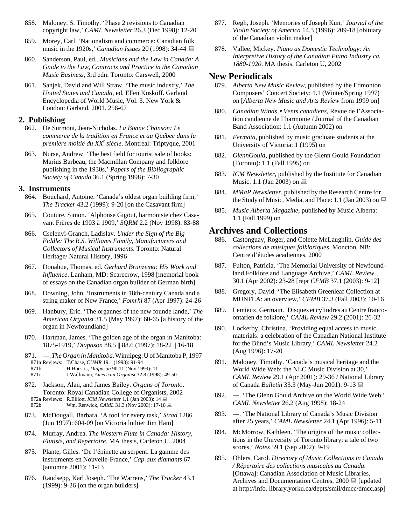- 858. Maloney, S. Timothy. 'Phase 2 revisions to Canadian copyright law,' *CAML Newsletter* 26.3 (Dec 1998): 12-20
- 859. Morey, Carl. 'Nationalism and commerce: Canadian folk music in the 1920s,' *Canadian Issues* 20 (1998): 34-44
- 860. Sanderson, Paul, ed.. *Musicians and the Law in Canada: A Guide to the Law, Contracts and Practice in the Canadian Music Business*, 3rd edn. Toronto: Carswell, 2000
- 861. Sanjek, David and Will Straw. 'The music industry,' *The United States and Canada*, ed. Ellen Koskoff. Garland Encyclopedia of World Music, Vol. 3. New York & London: Garland, 2001. 256-67

# **2. Publishing**

- 862. De Surmont, Jean-Nicholas. *La Bonne Chanson: Le commerce de la tradition en France et au Québec dans la première moitié du XXe siècle*. Montreal: Triptyque, 2001
- 863. Nurse, Andrew. 'The best field for tourist sale of books: Marius Barbeau, the Macmillan Company and folklore publishing in the 1930s,' *Papers of the Bibliographic Society of Canada* 36.1 (Spring 1998): 7-30

### **3. Instruments**

- 864. Bouchard, Antoine. 'Canada's oldest organ building firm,' *The Tracker* 43.2 (1999): 9-20 [on the Casavant firm]
- 865. Couture, Simon. 'Alphonse Gigout, harmoniste chez Casavant Frères de 1903 à 1909,' *SQRM* 2.2 (Nov 1998): 83-88
- 866. Cselenyi-Granch, Ladislav. *Under the Sign of the Big Fiddle: The R.S. Williams Family, Manufacturers and Collectors of Musical Instruments*. Toronto: Natural Heritage/ Natural History, 1996
- 867. Donahue, Thomas, ed. *Gerhard Brunzema: His Work and Influence*. Lanham, MD: Scarecrow, 1998 [memorial book of essays on the Canadian organ builder of German birth]
- 868. Downing, John. 'Instruments in 18th-century Canada and a string maker of New France,' *Fomrhi* 87 (Apr 1997): 24-26
- 869. Hanbury, Eric. 'The organnes of the new founde lande,' *The American Organist* 31.5 (May 1997): 60-65 [a history of the organ in Newfoundland]
- 870. Hartman, James. 'The golden age of the organ in Manitoba: 1875-1919,' *Diapason* 88.5 || 88.6 (1997): 18-22 || 16-18
- 871. ---.*TheOrgan in Manitoba*.Winnipeg:U of Manitoba P, 1997 871a Reviews: T.Chase, *CUMR* 19.1 (1998): 91-94 871b H.Huestis, *Diapason* 90.11 (Nov 1999): 11 871c J.Wallmann, *American Organist* 32.8 (1998): 49-50
- 872. Jackson, Alan, and James Bailey. *Organs of Toronto*. Toronto: Royal Canadian College of Organists, 2002 872a Reviews: R.Elliott, *ICM Newsletter* 1.1 (Jan 2003): 14 872b Wm. Renwick, *CAML* 31.3 (Nov 2003): 17-18
- 873. McDougall, Barbara. 'A tool for every task,' *Strad* 1286 (Jun 1997): 604-09 [on Victoria luthier Jim Ham]
- 874. Murray, Andrea. *The Western Flute in Canada: History, Flutists, and Repertoire*. MA thesis, Carleton U, 2004
- 875. Plante, Gilles. 'De l'épinette au serpent. La gamme des instruments en Nouvelle-France,' *Cap-aux diamants* 67 (automne 2001): 11-13
- 876. Raudsepp, Karl Joseph. 'The Warrens,' *The Tracker* 43.1 (1999): 9-26 [on the organ builders]
- 877. Regh, Joseph. 'Memories of Joseph Kun,' *Journal of the Violin Society of America* 14.3 (1996): 209-18 [obituary of the Canadian violin maker]
- 878. Vallee, Mickey. *Piano as Domestic Technology: An Interpretive History of the Canadian Piano Industry ca. 1880-1920*. MA thesis, Carleton U, 2002

# **New Periodicals**

- 879. *Alberta New Music Review*, published by the Edmonton Composers' Concert Society: 1.1 (Winter/Spring 1997) on [*Alberta New Music and Arts Review* from 1999 on]
- 880. Canadian Winds Vents canadiens, Revue de l'Association candienne de l'harmonie / Journal of the Canadian Band Association: 1.1 (Autumn 2002) on
- 881. *Fermata*, published by music graduate students at the University of Victoria: 1 (1995) on
- 882. *GlennGould*, published by the Glenn Gould Foundation (Toronto): 1.1 (Fall 1995) on
- 883. *ICM Newsletter*, published by the Institute for Canadian Music: 1.1 (Jan 2003) on  $\Box$
- 884. *MMaP Newsletter*, published by the Research Centre for the Study of Music, Media, and Place: 1.1 (Jan 2003) on  $\Box$
- 885. *Music Alberta Magazine*, published by Music Alberta: 1.1 (Fall 1999) on

# **Archives and Collections**

- 886. Castonguay, Roger, and Colette McLaughlin. *Guide des collections de musiques folkloriques*. Moncton, NB: Centre d'études acadiennes, 2000
- 887. Fulton, Patricia. 'The Memorial University of Newfoundland Folklore and Language Archive,' *CAML Review* 30.1 (Apr 2002): 23-28 [repr *CFMB* 37.1 (2003): 9-12]
- 888. Gregory, David. 'The Elisabeth Greenleaf Collection at MUNFLA: an overview,' *CFMB* 37.3 (Fall 2003): 10-16
- 889. Lemieux, Germain. 'Disques et cylindres au Centre francoontarien de folklore,' *CAML Review* 29.2 (2001): 26-32
- 890. Lockerby, Christina. 'Providing equal access to music materials: a celebration of the Canadian National Institute for the Blind's Music Library,' *CAML Newsletter* 24.2 (Aug 1996): 17-20
- 891. Maloney, Timothy. 'Canada's musical heritage and the World Wide Web: the NLC Music Division at 30,' *CAML Review* 29.1 (Apr 2001): 29-36 / National Library of Canada *Bulletin* 33.3 (May-Jun 2001): 9-13
- 892. ---. 'The Glenn Gould Archive on the World Wide Web,' *CAML Newsletter* 26.2 (Aug 1998): 18-24
- 893. ---. 'The National Library of Canada's Music Division after 25 years,' *CAML Newsletter* 24.1 (Apr 1996): 5-11
- 894. McMorrow, Kathleen. 'The origins of the music collections in the University of Toronto library: a tale of two scores,' *Notes* 59.1 (Sep 2002): 9-19
- 895. Ohlers, Carol. *Directory of Music Collections in Canada / Répertoire des collections musicales au Canada*. [Ottawa]: Canadian Association of Music Libraries, Archives and Documentation Centres,  $2000 \equiv$  [updated] at http://info. library.yorku.ca/depts/smil/dmcc/dmcc.asp]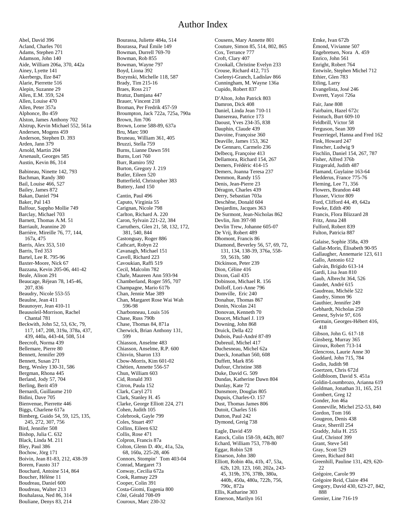# Author Index

Abel, David 396 Acland, Charles 701 Adams, Stephen 271 Adamson, John 140 Aide, William 206a, 370, 442a Ainey, Lyette 141 Akerbergs, Ilze 847 Alarie, Pierrette 516 Alepin, Suzanne 29 Allen, E.M. 359, 524 Allen, Louise 470 Allen, Peter 357a Alphonce, Bo 459 Alston, James Anthony 702 Alstrup, Kevin Michael 552, 561a Andersen, Mogens 459 Anderson, Stephen D. 393 Arden, Jann 379 Arnold, Martin 204 Arsenault, Georges 585 Austin, Kevin 86, 314 Babineau, Ninette 142, 793 Bachman, Randy 380 Bail, Louise 466, 527 Bailey, James 872 Bakan, Daniel 794 Baker, Pal 143 Balfour, Sappho Mollie 749 Barclay, Michael 703 Barnett, Thomas A.M. 51 Barriault, Jeannine 20 Barrière, Mireille 76, 77, 144, 167a, 475 Barris, Alex 353, 510 Barris, Ted 353 Bartel, Lee R. 795-96 Baxter-Moore, Nick 67 Bazzana, Kevin 205-06, 441-42 Beale, Alison 291 Beaucage, Réjean 78, 145-46, 207, 836 Beaudry, Nicole 553-55 Beaulne, Jean 411 Beaunoyer, Jean 410-11 Beausoleil-Morrison, Rachel Chantal 781 Beckwith, John 52, 53, 63c, 79, 117, 147, 208, 319a, 378a, 437, 439, 440a, 443-44, 508, 514 Beecroft, Norma 439 Bellemare, Pierre 80 Bennett, Jennifer 209 Bennett, Susan 271 Berg, Wesley 130-31, 586 Bergman, Rhona 445 Berland, Jody 57, 704 Berling, Berit 459 Bernardi, Guillaume 210 Bidini, Dave 705 Bienvenue, Pierrette 446 Biggs, Charlene 617a Bimberg, Guido 54, 59, 125, 135, 245, 272, 307, 756 Bird, Jennifer 508 Bishop, Julia C. 632 Black, Linda M. 211 Bley, Paul 386 Bochow, Jörg 171 Boivin, Jean 81-83, 212, 438-39 Borem, Fausto 317 Bouchard, Antoine 514, 864 Boucher, Hélène 11 Boudreau, Daniel 600 Boudreau, Walter 213 Bouhalassa, Ned 86, 314 Bouliane, Denys 83, 214

Bourassa, Juliette 484a, 514 Bourassa, Paul Émile 149 Bowman, Durrell 769-70 Bowman, Rob 855 Bowman, Wayne 797 Boyd, Liona 392 Bozynski, Michelle 118, 587 Brady, Tim 215-16 Braes, Ross 217 Bratuz, Damjana 447 Brauer, Vincent 218 Broman, Per Fredrik 457-59 Broumpton, Jack 722a, 725a, 790a Brown, Jim 706 Brown, Lorne 588-89, 637a Bru, Marc 590 Bruneau, William 361, 405 Bruzzi, Stella 759 Burns, Lianne Dawn 591 Burns, Lori 760 Burr, Ramiro 592 Burton, Gregory J. 219 Butler, Eileen 520 Butterfield, Christopher 383 Buttery, Jand 150 Cantin, Paul 496 Caputo, Virginia 55 Carignan, Nicole 798 Carlton, Richard A. 220 Caron, Sylvain 221-22, 384 Carruthers, Glen 21, 58, 132, 172, 381, 540, 844 Castonguay, Roger 886 Cathcart, Robyn 22 Cavanagh, Michael 151 Cavell, Richard 223 Cavoukian, Raffi 519 Cecil, Malcolm 782 Chafe, Maureen Ann 593-94 Chamberland, Roger 595, 707 Champagne, Mario 617b Chan, Jennie Mae 389 Chan, Margaret Rose Wai Wah 596-98 Charbonneau, Louis 516 Chase, Russ 790b Chase, Thomas 84, 871a Cherwick, Brian Anthony 131, 599 Chiasson, Anselme 483 Chiasson, Anselme, R.P. 600 Chisvin, Sharon 133 Cbow-Morris, Kim 601-02 Chétien, Annette 556-57 Chun, William 603 Cid, Ronald 393 Citron, Paula 152 Clark, Caryl 271 Clark, Stanley H. 45 Clarke, George Elliott 224, 271 Cohen, Judith 105 Colebrook, Gayle 799 Coles, Stuart 497 Collins, Eileen 632 Collis, Rose 471 Colpron, Francis 87a Colton, Glenn D. 40c, 41a, 52a, 68, 160a, 225-28, 406 Connors, Stompin' Tom 403-04 Conrad, Margaret 73 Conway, Cecilia 672a Cook, Ramsay 229 Cooper, Colin 391 Costa-Giomi, Eugenia 800 Côté, Gérald 708-09 Couroux, Marc 230-32

Cousens, Mary Annette 801 Couture, Simon 85, 514, 802, 865 Cox, Terrance 777 Croft, Clary 407 Crookall, Christine Evelyn 233 Crouse, Richard 412, 715 Cselenyi-Granch, Ladislav 866 Cunningham, M. Wayne 136a Cupido, Robert 837 D'Alton, John Patrick 803 Damron, Dick 408 Daniel, Linda Jean 710-11 Dansereau, Patrice 173 Daoust, Yves 234-35, 838 Dauphin, Claude 439 Davoine, Françoise 360 Deaville, James 153, 362 De Gennaro, Carmelo 236 Delbecq, Françoise 413 Dellamora, Richard 154, 267 Demers, Frédéric 414-15 Demers, Joanna Teresa 237 Demmon, Randy 155 Denis, Jean-Pierre 23 Déragon, Charles 439 Derry, Sebastian 703a Deschêne, Donald 604 Desjardins, Jacques 363 De Surmont, Jean-Nicholas 862 Devlin, Jim 397-98 Devlin Trew, Johanne 605-07 De Vrij, Robert 489 Dhomont, Francis 86 Diamond, Beverley 56, 57, 69, 72, 131, 134, 138-39, 376a, 558- 59, 561b, 580 Dickinson, Peter 239 Dion, Céline 416 Dixon, Gail 435 Dobinson, Michael R. 156 Dolloff, Lori-Anne 796 Domville, Eric 240 Donahue, Thomas 867 Donin, Nicolas 241 Donovan, Kenneth 70 Doucet, Michael J. 119 Downing, John 868 Druick, Della 422 Dubois, Paul-André 87-89 Dubreuil, Michel 417 Duchesneau, Michel 62a Dueck, Jonathan 560, 608 Duffett, Mark 856 Dufour, Christine 388 Duke, David G. 509 Dundas, Katherine Dawn 804 Dunlay, Kate 72 Dunsmore, Douglas 805 Dupuis, Charles-O. 157 Dust, Thomas James 806 Dutoit, Charles 516 Dutton, Paul 242 Dymond, Greig 738 Eagle, David 459 Eatock, Colin 158-59, 442b, 807 Echard, William 753, 778-80 Eggar, Robin 528 Einarson, John 380 Elliott, Robin 40a, 41b, 47, 53a, 62b, 120, 123, 160, 202a, 243- 45, 319b, 376, 378b, 380a,

440b, 450a, 480a, 722b, 756,

790c, 872a Ellis, Katharine 303 Emerson, Marilyn 161 Emke, Ivan 672b Émond, Vivianne 507 Engebretsen, Nora A. 459 Enrico, John 561 Enright, Robert 764 Entwisle, Stephen Michel 712 Ethier, Glen 783 Etling, Larry Evangelista, José 246 Everett, Yayoi 726a Fair, Jane 808 Fairbairn, Hazel 672c Feintuch, Burt 609-10 Feldbrill, Victor 58 Ferguson, Sean 309 Feuerriegel, Hanna and Fred 162 Fink, Howard 247 Finscher, Ludwig 9 Fischlin, Daniel 154, 267, 787 Fisher, Alfred 376b Fitzgerald, Judith 487 Flamand, Guylaine 163-64 Fledderus, France 775-76 Fleming, Lee 71, 356 Flowers, Brandon 448 Flusser, Victor 809 Ford, Clifford 44, 49, 642a Fowke, Edith 490 Francis, Flora Blizzard 28 Fritz, Anna 248 Fulford, Robert 839 Fulton, Patricia 887 Galaise, Sophie 358a, 439 Gallat-Morin, Élisabeth 90-95 Gallaugher, Annemarie 123, 611 Gallo, Antonio 612 Galván, Brígido 613-14 Gardi, Lisa Jean 810 Gaub, Albrecht 364, 526 Gaudet, André 615 Gaudreau, Michèle 522 Gaudry, Simon 96 Gauthier, Jennifer 249 Gebhardt, Nicholas 250 Genest, Sylvie 97, 616 Germain, Georges-Hébert 416, 418 Gibson, John G. 617-18 Ginsberg, Murray 365 Giroux, Robert 713-14 Glencross, Laurie Anne 30 Goddard, John 715, 784 Godin, Judith 98 Goertzen, Chris 672d Goldbloom, David S. 451a Goldin-Loumbrozo, Arianna 619 Goldman, Jonathan 31, 165, 251 Gombert, Greg 12 Gonder, Jon 46a Gonneville, Michel 252-53, 840 Gordon, Tom 166 Gougeon, Denis 438 Grace, Sherrill 254 Graddy, Julia H. 255 Graf, Christof 399 Grant, Steve 541 Gray, Scott 529 Green, Richard 841 Greenhill, Pauline 131, 429, 620- 22 Grégoire, Carole 99 Grégoire Reid, Claire 494 Gregory, David 430, 623-27, 842, 888

Grenier, Line 716-19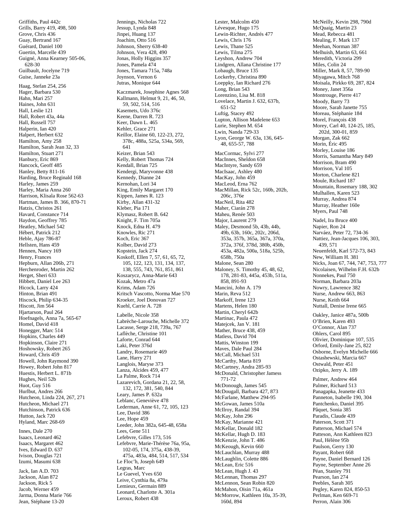Griffiths, Paul 442c Grills, Barry 419, 498, 500 Grove, Chris 436 Guay, Bertrand 167 Guérard, Daniel 100 Guertin, Marcelle 439 Guigné, Anna Kearney 505-06, 628-30 Guilbault, Jocelyne 719 Guise, Janneke 23a Haag, Stefan 254, 256 Hager, Barbara 530 Hahn, Mari 257 Haines, John 631 Hall, Leslie 121 Hall, Robert 43a, 44a Hall, Russell 757 Halperin, Ian 420 Halpert, Herbert 632 Hamilton, Amy 258 Hamilton, Sarah Jean 32, 33 Hamilton, Stuart 271 Hanbury, Eric 869 Hancock, Geoff 485 Hanley, Betty 811-16 Harding, Bruce Reginald 168 Harley, James 259 Harley, Maria Anna 260 Harrison, Klisala Rose 562-63 Hartman, James B. 366, 870-71 Hatzis, Christos 261 Havard, Constance 714 Haydon, Geoffrey 785 Heatley, Michael 542 Hébert, Patrick 212 Heble, Ajay 786-87 Hellsten, Hans 459 Hennen, Nancy 169 Henry, Frances Hepburn, Allan 206b, 271 Herchenroder, Martin 262 Herget, Sheri 633 Hibbett, Daniel Lee 263 Hicock, Larry 424 Hinton, Brian 491 Hiscock, Philip 634-35 Hiscott, Jim 564 Hjartarson, Paul 264 Hoefnagels, Anna 7a, 565-67 Homel, David 418 Honegger, Marc 514 Hopkins, Charles 449 Hopkinson, Claire 271 Hoshowsky, Robert 265 Howard, Chris 459 Howell, John Raymond 390 Howey, Robert John 817 Huestis, Herbert L. 871b Hughes, Neil 52b Huot, Guy 516 Hurlbut, Andres 266 Hutcheon, Linda 224, 267, 271 Hutcheon, Michael 271 Hutchinson, Patrick 636 Hutton, Jack 720 Hyland, Marc 268-69 Innes, Dale 270

Isaacs, Leonard 462 Isaacs, Margaret 462 Ives, Edward D. 637 Ivison, Douglas 721 Izumi, Masumi 638

Jack, Ian A.D. 703 Jackson, Alan 872 Jackson, Rick 5 Jacob, Werner 459 Jarma, Donna Marie 766 Jean, Stéphane 13-20

Jennings, Nicholas 722 Jessup, Lynda 848 Jinpei, Huang 137 Joachim, Otto 516 Johnson, Sherry 638-40 Johnson, Vera 428, 490 Jonas, Holly Higgins 357 Jones, Pamela 474 Jones, Tamara 715a, 748a Joynson, Vernon 6 Jutras, Monique 644 Kaczmarek, Josephine Agnes 568 Kallmann, Helmut 9, 21, 46, 50, 59, 502, 514, 516 Kasemets, Udo 376c Keene, Darren R. 723 Keer, Dawn L. 465 Kehler, Grace 271 Keillor, Elaine 60, 122-23, 272, 378c, 488a, 525a, 534a, 569, 641 Keizer, Brian 543 Kelly, Robert Thomas 724 Kendall, Brian 725 Kendergi, Maryvonne 438 Kennedy, Dianne 24 Kernohan, Lori 34 King, Emily Margaret 170 Kippen, James R. 123 Kirby, Allan 431-32 Kleber, Pia 171 Klymasz, Robert B. 642 Knight, F. Tim 705a Knock, Edna H. 479 Knowles, Ric 271 Koch, Eric 367 Kolber, David 273 Kopstein, Jack 274 Koskoff, Ellen 7, 57, 61, 65, 72, 105, 122, 123, 131, 134, 137, 138, 555, 743, 761, 851, 861 Koszarycz, Anna-Marie 643 Kozak, Metro 47a Krims, Adam 726 Kritsch Vascotto, Norma Mae 570 Kroeker, Joel Donovan 727 Kuehl, Carrie A. 728 Labelle, Nicole 358 Labrèche-Larouche, Michelle 372 Lacasse, Serge 218, 739a, 767 Laflèche, Christine 101 Laforte, Conrad 644 Laki, Peter 376d Landry, Rosemarie 469 Lane, Harry 271 Langlois, Maryse 373 Lanza, Alcides 459, 477 La Palme, Rock 714 Lazarevich, Gordana 21, 22, 58, 132, 172, 381, 540, 844 Leary, James P. 632a Leblanc, Geneviève 478 Lederman, Anne 61, 72, 105, 123 Lee, David 386 Lee, Hope 459 Leeder, John 382a, 645-48, 658a Lees, Gene 511 Lefebvre, Gilles 173, 516 Lefebvre, Marie-Thérèse 76a, 95a, 102-05, 174, 375a, 438-39, 475a, 483a, 484, 514, 517, 534

Le Floc'h, Joseph 649 Legras, Marc Le Guevel, Yves 650 Leive, Cynthia 8a, 479a Lemieux, Germain 889 Leonard, Charlotte A. 301a Leroux, Robert 438

Lester, Malcolm 450 Lévesque, Hugo 175 Lewin-Richter, Andrés 477 Lewis, Chris 176 Lewis, Thane 525 Lewis, Tilma 275 Leyshon, Andrew 704 Lindgren, Allana Christine 177 Lobaugh, Bruce 135 Lockerby, Christina 890 Loeppky, Ian Richard 276 Long, Brian 543 Lorenzino, Lisa M. 818 Lovelace, Martin J. 632, 637b, 651-52 Luftig, Stacey 492 Lupton, Allison Madelene 653 Lurie, Stephen M. 654 Lwin, Nanda 729-33 Lyon, George W. 63a, 136, 645- 48, 655-57, 788 MacCormac, Sylvi 277 MacInnes, Sheldon 658 MacIntyre, Sandy 659 MacIsaac, Ashley 480 MacKay, John 459 MacLeod, Erna 762 MacMillan, Rick 52c, 160b, 202b, 206c, 376e MacNeil, Rita 482 Maher, Ciarán 278 Maheu, Renée 503 Major, Laurent 279 Maley, Desmond 5b, 43b, 44b, 49b, 63b, 160c, 202c, 206d, 353a, 357b, 365a, 367a, 370a, 372a, 376f, 378d, 380b, 450b, 453a, 482a, 500a, 518a, 525b, 658b, 750a Malone, Sean 280 Maloney, S. Timothy 45, 48, 62, 178, 281-83, 445a, 453b, 511a, 858, 891-93 Mancini, John A. 179 Marin, Reva 512 Markoff, Irene 123 Martens, Helen 180 Martin, Cheryl 642b Martinac, Paula 472 Matejcek, Jan V. 181 Mather, Bruce 438, 459 Matless, David 704 Mattis, Winston 199 Maves, Dale Paul 284 McCall, Michael 531 McCarthy, Marta 819 McCartney, Andra 285-93 McDonald, Christopher Jamess 771-72 McDonough, James 545 McDougall, Barbara 427, 873 McFarlane, Matthew 294-95 McGowan, James 510a McIlroy, Randal 394 McKay, John 296 McKay, Marianne 421 McKellar, Donald 182 McKellar, Hugh D. 183 McKenzie, John T. 486 McKeough, Kevin 660 McLauchlan, Murray 488 McLaughlin, Colette 886 McLean, Eric 516 McLean, Hugh J. 43 McLennan, Thomas 297 McLennon, Sean Robin 820 McMahon, Oisin 71a, 461a McMorrow, Kathleen 10a, 35-39, 160d, 894

McNeilly, Kevin 298, 790d McQuaig, Martin 23 Mead, Rebecca 481 Mealing, F. Mark 137 Meehan, Norman 387 Melhuish, Martin 63, 661 Meredith, Victoria 299 Miles, Colin 24 Miller, Mark 8, 57, 789-90 Miyagawa, Mitch 768 Moisala, Pirkko 69, 287, 824 Money, Janet 356a Montrouge, Pierre 417 Moody, Barry 73 Moore, Sarah Janette 755 Moreau, Stéphanie 184 Morel, Francois 438 Morey, Carl 40, 124-25, 185, 202d, 300-01, 859 Morgan, Zak 662 Morin, Éric 495 Morley, Louise 186 Morris, Samantha Mary 849 Morrison, Bram 490 Morrison, Val 105 Morton, Charlene 821 Moule, Richard 187 Mountain, Rosemary 188, 302 Mulhallen, Karen 523 Murray, Andrea 874 Murray, Heather 160e Myers, Paul 748 Nadel, Ira Bruce 400 Napier, Ron 24 Narváez, Peter 72, 734-36 Nattiez, Jean-Jacques 106, 303, 439, 571 Neuenfeldt, Karl 572-73, 843 New, William H. 381 Nicks, Joan 67, 744, 747, 753, 777 Nicolaisen, Wilhelm F.H. 632b Nonnekes, Paul 750 Norman, Barbara 203a Nowry, Lawrence 382 Nurse, Andrew 663, 863 Nurse, Keith 664 Nuttall, Denise Irene 665 Oakley, Janice 487a, 500b O'Brien, Karen 493 O'Connor, Alan 737 Ohlers, Carol 895 Olivier, Dominique 107, 535 Orford, Emily-Jane 25, 822 Osborne, Evelyn Michelle 666 Ostashewski, Marcia 667 Ostwald, Peter 451 Ozipko, Jerry A. 189 Palmer, Andrew 464 Palmer, Richard 513 Panagapka, Jeanette 433 Panneton, Isabelle 190, 304 Pantchenko, Daniel 395 Pâquet, Sonia 385 Paradis, Claude 439 Paterson, Scott 371 Patterson, Michael 574 Patteson, Ann Kathleen 823 Paul, Hélène 95b Paulson, Gerry 130 Payant, Robert 668 Payne, Daniel Bernard 126 Payne, September Anne 26 Péan, Stanley 791 Pearson, Ian 274 Peebles, Sarah 305

Pegley, Karen 824, 850-53 Perlman, Ken 669-71 Perron, Alain 306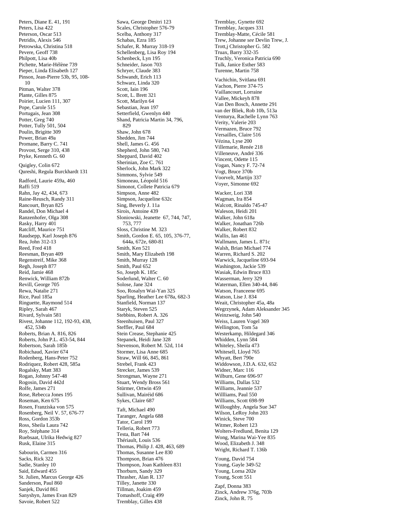Peters, Diane E. 41, 191 Peters, Lisa 422 Peterson, Oscar 513 Petridis, Alexis 546 Petrowska, Christina 518 Pevere, Geoff 738 Philpott, Lisa 40b Pichette, Marie-Hélène 739 Pieper, Linda Elisabeth 127 Pinson, Jean-Pierre 53b, 95, 108- 10 Pitman, Walter 378 Plante, Gilles 875 Poirier, Lucien 111, 307 Pope, Carole 515 Portugais, Jean 308 Potter, Greg 740 Potter, Tully 501, 504 Poulin, Brigitte 309 Power, Brian 49a Promane, Barry C. 741 Provost, Serge 310, 438 Pryke, Kenneth G. 60 Quigley, Colin 672 Qureshi, Regula Burckhardt 131 Radford, Laurie 459a, 460 Raffi 519 Rahn, Jay 42, 434, 673 Raine-Reusch, Randy 311 Rancourt, Bryan 825 Randel, Don Michael 4 Ranzenhofer, Olga 308 Rasky, Harry 401 Ratcliff, Maurice 751 Raudsepp, Karl Joseph 876 Rea, John 312-13 Reed, Fred 418 Reesman, Bryan 409 Regenstreif, Mike 368 Regh, Joseph 877 Reid, Jamie 468 Renwick, William 872b Revill, George 705 Rewa, Natalie 271 Rice, Paul 185a Ringuette, Raymond 514 Ripley, Sarah 467 Rivard, Sylvain 581 Rivest, Johanne 112, 192-93, 438, 452, 534b Roberts, Brian A. 816, 826 Roberts, John P.L. 453-54, 844 Robertson, Sarah 185b Robichaud, Xavier 674 Rodenberg, Hans-Peter 752 Rodriquez, Robert 428, 585a Rogalsky, Matt 383 Rogan, Johnny 547-48 Rogosin, David 442d Rolfe, James 271 Rose, Rebecca Jones 195 Roseman, Ken 675 Rosen, Franziska von 575 Rosenberg, Neil V. 57, 676-77 Ross, Gordon 353b Ross, Sheila Laura 742 Roy, Stéphane 314 Ruebsaat, Ulrika Hedwig 827 Rusk, Elaine 315 Sabourin, Carmen 316 Sacks, Rick 322 Sadie, Stanley 10 Said, Edward 455

St. Julien, Marcus George 426 Sanderson, Paul 860 Sanjek, David 861 Sanyshyn, James Evan 829 Savoie, Robert 522

Sawa, George Dmitri 123 Scales, Christopher 576-79 Scelba, Anthony 317 Schabas, Ezra 185 Schafer, R. Murray 318-19 Schellenberg, Lisa Roy 194 Schenbeck, Lyn 195 Schneider, Jason 703 Schryer, Claude 383 Schwandt, Erich 113 Schwarz, Linda 320 Scott, Iain 196 Scott, L. Brett 321 Scott, Marilyn 64 Sebastian, Jean 197 Setterfield, Gwenlyn 440 Shand, Patricia Martin 34, 796, 829 Shaw, John 678 Shedden, Jim 744 Shell, James G. 456 Shepherd, John 580, 743 Sheppard, David 402 Sherinian, Zoe C. 761 Sherlock, John Mark 322 Simmons, Sylvie 549 Simoneau, Léopold 516 Simonot, Collete Patricia 679 Simpson, Anne 482 Simpson, Jacqueline 632c Sing, Beverly J. 11a Sirois, Antoine 439 Sloniowski, Jeanette 67, 744, 747, 753, 777 Sloss, Christine M. 323 Smith, Gordon E. 65, 105, 376-77, 644a, 672e, 680-81 Smith, Ken 521 Smith, Mary Elizabeth 198 Smith, Murray 128 Smith, Paul 652 So, Joseph K. 185c Soderlund, Walter C. 60 Solose, Jane 324 Soo, Rosalyn Wai-Yan 325 Sparling, Heather Lee 678a, 682-3 Stanfield, Norman 137 Staryk, Steven 525 Stebbins, Robert A. 326 Steenhuisen, Paul 327 Steffler, Paul 684 Stein Crease, Stephanie 425 Stepanek, Heidi Jane 328 Stevenson, Robert M. 52d, 114 Stormer, Lisa Anne 685 Straw, Will 66, 845, 861 Strebel, Frank 423 Strecker, James 539 Strongman, Wayne 271 Stuart, Wendy Bross 561 Stürmer, Ortwin 459 Sullivan, Mairéid 686 Sykes, Claire 687 Taft, Michael 490 Taranger, Angela 688 Tator, Carol 199 Telleria, Robert 773 Testa, Bart 744 Thériault, Louis 536

Thomas, Philip J. 428, 463, 689 Thomas, Susanne Lee 830 Thompson, Brian 476 Thompson, Joan Kathleen 831 Thorburn, Sandy 329 Thrasher, Alan R. 137 Tilley, Janette 330 Tillman, Joakim 459 Tomashoff, Craig 499 Tremblay, Gilles 438

Tremblay, Gynette 692 Tremblay, Jacques 331 Tremblay-Matte, Cécile 581 Trew, Johanne *see* Devlin Trew, J. Trott,j Christopher G. 582 Truax, Barry 332-35 Truchly, Veronica Patricia 690 Tulk, Janice Esther 583 Turenne, Martin 758 Vachichin, Svitlana 691 Vachon, Pierre 374-75 Vaillancourt, Lorraine Vallee, Mickeyh 878 Van Den Bosch, Annette 291 van der Bliek, Rob 10b, 513a Venturya, Rachelle Lynn 763 Verity, Valerie 203 Vermazen, Bruce 792 Versailles, Claire 516 Vézina, Lyse 200 Villemarie, Renée 218 Villeneuve, André 336 Vincent, Odette 115 Vogan, Nancy F. 72-74 Vogt, Bruce 370b Voorvelt, Martijn 337 Voyer, Simonne 692 Wacker, Lori 338 Wagman, Ira 854 Walcott, Rinaldo 745-47 Waleson, Heidi 201 Walker, John 618a Walker, Jonathan 726b Walker, Robert 832 Wallis, Ian 461 Wallmann, James L. 871c Walsh, Brian Michael 774 Warren, Richard S. 202 Warwick, Jacqueline 693-94 Washington, Jackie 539 Wasiak, Edwin Bruce 833 Wasserman, Jerry 329 Waterman, Ellen 340-44, 846 Watson, Franceene 695 Watson, Lise J. 834 Weait, Christopher 45a, 48a Wegrzynek, Adam Aleksander 345 Weinzweig, John 540 Weiss, Lauren Vogel 369 Wellington, Tom 5a Westerkamp, Hildegard 346 Whidden, Lynn 584 Whiteley, Sheila 473 Whitesell, Lloyd 765 Whyatt, Bert 790e Widdowson, J.D.A. 632, 652 Widner, Marc 116 Wilburn, Gene 696-97 Williams, Dallas 532 Williams, Jeannie 537 Willliams, Paul 550 Williams, Scott 698-99 Willoughby, Angela Sue 347 Wilson, LeRoy John 203 Winick, Steve 700 Witmer, Robert 123 Wolters-Fredlund, Benita 129 Wong, Marina Wai-Yee 835 Wood, Elizabeth J. 348 Wright, Richard T. 136b Young, David 754 Young, Gayle 349-52 Young, Lorna 202e Young, Scott 551

Zapf, Donna 383 Zinck, Andrew 376g, 703b Zinck, John R. 75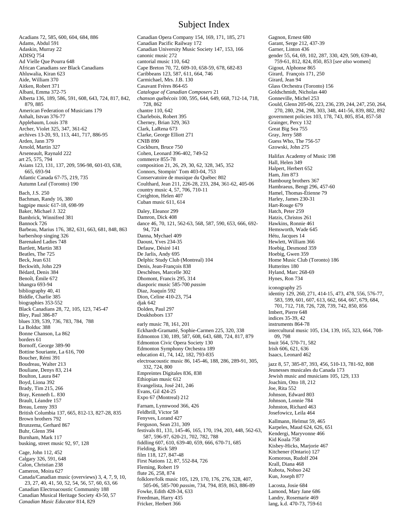Acadians 72, 585, 600, 604, 684, 886 Adams, Abdul 591 Adaskin, Murray 22 ADISQ 754 Ad Vielle Que Pourra 648 African Canadians *see* Black Canadians Ahluwalia, Kiran 623 Aide, William 370 Aitken, Robert 371 Albani, Emma 372-75 Alberta 136, 189, 586, 591, 608, 643, 724, 817, 842, 879, 885 American Federation of Musicians 179 Anhalt, Istvan 376-77 Applebaum, Louis 378 Archer, Violet 325, 347, 361-62 archives 13-20, 93, 113, 441, 717, 886-95 Arden, Jann 379 Arnold, Martin 327 Arseneault, Raynald 222 art 25, 575, 794 Asians 123, 131, 137, 209, 596-98, 601-03, 638, 665, 693-94 Atlantic Canada 67-75, 219, 735 Autumn Leaf (Toronto) 190 Bach, J.S. 250 Bachman, Randy 16, 380 bagpipe music 617-18, 698-99 Baker, Michael J. 322 Bambrick, Winnifred 381 Bannock 726 Barbeau, Marius 176, 382, 631, 663, 681, 848, 863 barbershop singing 326 Barenaked Ladies 748 Bartlett, Martin 383 Beatles, The 725 Beck, Jean 631 Beckwith, John 229 Bédard, Denis 384 Benoît, Émile 672 bhangra 693-94 bibliography 40, 41 Biddle, Charlie 385 biographies 353-552 Black Canadians 28, 72, 105, 123, 745-47 Bley, Paul 386-87 blues 339, 539, 736, 783, 784, 788 La Bolduc 388 Bonne Chanson, La 862 borders 61 Bornoff, George 389-90 Bottine Souriante, La 616, 700 Boucher, Rémi 391 Boudreau, Walter 213 Bouliane, Denys 83, 214 Boulton, Laura 847 Boyd, Liona 392 Brady, Tim 215, 266 Bray, Kenneth L. 830 Brault, Léandre 157 Breau, Lenny 393 British Columbia 137, 665, 812-13, 827-28, 835 Brown brothers 792 Brunzema, Gerhard 867 Buhr, Glenn 394 Burnham, Mark 117 busking, street music 92, 97, 128 Cage, John 112, 452 Calgary 326, 591, 648 Calon, Christian 238 Cameron, Moira 627 Canada/Canadian music (overviews) 3, 4, 7, 9, 10, 23, 27, 40, 41, 50, 52, 54, 56, 57, 60, 63, 66 Canadian Electroacoustic Community 188 Canadian Musical Heritage Society 43-50, 57 *Canadian Music Educator* 814, 829

#### Canadian Opera Company 154, 169, 171, 185, 271 Canadian Pacific Railway 172 Canadian University Music Society 147, 153, 166 canonic music 272 cantorial music 110, 642 Cape Breton 70, 72, 609-10, 658-59, 678, 682-83 Caribbeans 123, 587, 611, 664, 746 Carmichael, Mrs. J.B. 130 Casavant Frères 864-65 *Catalogue of Canadian Composers* 21 *chanson québécois* 100, 595, 644, 649, 668, 712-14, 718, 728, 862 chantre 110, 642 Charlebois, Robert 395 Cherney, Brian 329, 363 Clark, LaRena 673 Clarke, George Elliott 271 CNIB 890 Cockburn, Bruce 750 Cohen, Leonard 396-402, 749-52 commerce 855-78 composition 21, 26, 29, 30, 62, 328, 345, 352 Connors, Stompin' Tom 403-04, 753 Conservatoire de musique du Québec 802 Coulthard, Jean 211, 226-28, 233, 284, 361-62, 405-06 country music 4, 57, 706, 710-11 Creighton, Helen 407 Cuban music 611, 614 Daley, Eleanor 299 Damron, Dick 408 dance 46, 70, 121, 562-63, 568, 587, 590, 653, 666, 692- 94, 724 Danna, Mychael 409 Daoust, Yves 234-35 Defauw, Désiré 141 De Jarlis, Andy 695 Delphic Study Club (Montreal) 104 Denis, Jean-François 838 Deschênes, Marcelle 302 Dhomont, Francis 295, 314 diasporic music 585-700 *passim*  Diaz, Joaquín 592 Dion, Celine 410-23, 754 djak 642 Dolden, Paul 297 Doukhobors 137 early music 78, 161, 201 Eckhardt-Gramatté, Sophie-Carmen 225, 320, 338 Edmonton 130, 189, 587, 608, 643, 688, 724, 817, 879 Edmonton Civic Opera Society 130 Edmonton Symphony Orchestra 189 education 41, 74, 142, 182, 793-835 electroacoustic music 86, 145-46, 188, 286, 289-91, 305, 332, 724, 800 Empreintes Digitales 836, 838 Ethiopian music 612 Evangelista, José 241, 246 Evans, Gil 424-25 Expo 67 (Montreal) 212 Farnam, Lynnwood 366, 426 Feldbrill, Victor 58 Fenyves, Lorand 427 Ferguson, Sean 231, 309 festivals 81, 131, 145-46, 165, 170, 194, 203, 448, 562-63, 587, 596-97, 620-21, 702, 782, 788 fiddling 607, 610, 639-40, 659, 666, 670-71, 685 Fielding, Rick 589 film 118, 127, 847-48 First Nations 12, 87, 552-84, 726 Fleming, Robert 19 flute 26, 258, 874 folklore/folk music 105, 129, 170, 176, 276, 328, 407, 505-06, 585-700 *passim*, 734, 794, 859, 863, 886-89 Fowke, Edith 428-34, 633 Freedman, Harry 435 Fricker, Herbert 366

Subject Index

Gagnon, Ernest 680 Garant, Serge 212, 437-39 Garner, Linton 436 gender 55, 64, 69, 102, 287, 330, 429, 509, 639-40, 759-61, 812, 824, 850, 853 [*see also* women] Gigout, Alphonse 865 Girard, François 171, 250 Girard, Jean 94 Glass Orchestra (Toronto) 156 Goldschmidt, Nicholas 440 Gonneville, Michel 253 Gould, Glenn 205-06, 223, 236, 239, 244, 247, 250, 264, 270, 280, 294, 298, 303, 348, 441-56, 839, 882, 892 government policies 103, 178, 743, 805, 854, 857-58 Grainger, Percy 132 Great Big Sea 755 Gray, Jerry 588 Guess Who, The 756-57 Gzowski, John 275 Halifax Academy of Music 198 Hall, Helen 349 Halpert, Herbert 652 Ham, Jim 873 Hambourg brothers 367 Hambraeus, Bengt 296, 457-60 Hamel, Thomas-Étienne 79 Harley, James 230-31 Hart-Rouge 679 Hatch, Peter 259 Hatzis, Christos 261 Hawkins, Ronnie 461 Hemsworth, Wade 645 Hétu, Jacques 14 Hewlett, William 366 Hoebig, Desmond 359 Hoebig, Gwen 359 Home Music Club (Toronto) 186 Hutterites 180 Hyland, Marc 268-69 Hynes, Ron 734 iconography 25 identity 129, 260, 271, 414-15, 473, 478, 556, 576-77, 583, 599, 601, 607, 613, 662, 664, 667, 679, 684, 701, 712, 718, 726, 728, 739, 742, 850, 856 Imbert, Pierre 648 indices 35-39, 42 instruments 864-78 intercultural music 105, 134, 139, 165, 323, 664, 708- 09, 798 Inuit 564, 570-71, 582 Irish 606, 621, 636 Isaacs, Leonard 462 jazz 8, 57, 385-87, 393, 456, 510-13, 781-92, 808 Jeunesses musicales du Canada 173 Jewish music and musicians 105, 129, 133 Joachim, Otto 18, 212 Joe, Rita 552 Johnson, Edward 803 Johnson, Lonnie 784 Johnston, Richard 463 Josefowicz, Leila 464 Kallmann, Helmut 59, 465 Karpeles, Maud 624, 626, 651 Kendergi, Maryvonne 466 Kid Koala 758 Kisbey-Hicks, Marjorie 467 Kitchener (Ontario) 127 Komorous, Rudolf 204 Krall, Diana 468 Kubota, Nobuo 242 Kun, Joseph 877 Lacosta, Josie 684 Lamond, Mary Jane 686 Landry, Rosemarie 469 lang, k.d. 470-73, 759-61